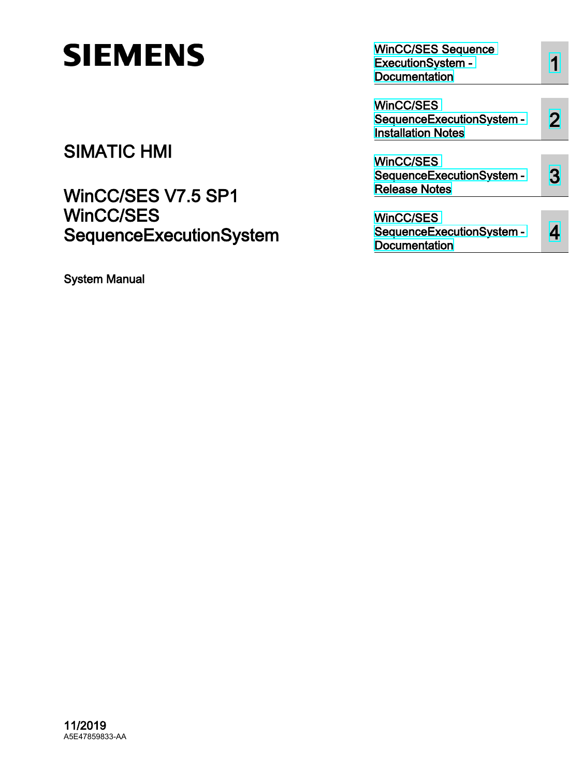# **SIEMENS**

## SIMATIC HMI

## WinCC/SES V7.5 SP1 WinCC/SES SequenceExecutionSystem

System Manual

| <b>WinCC/SES Sequence</b><br><b>ExecutionSystem -</b><br><b>Documentation</b> |  |
|-------------------------------------------------------------------------------|--|
| WinCC/SES<br>SequenceExecutionSystem -<br><b>Installation Notes</b>           |  |
| <b>WinCC/SES</b><br>SequenceExecutionSystem -<br><b>Release Notes</b>         |  |
| WinCC/SES<br>SequenceExecutionSystem -<br><b>Documentation</b>                |  |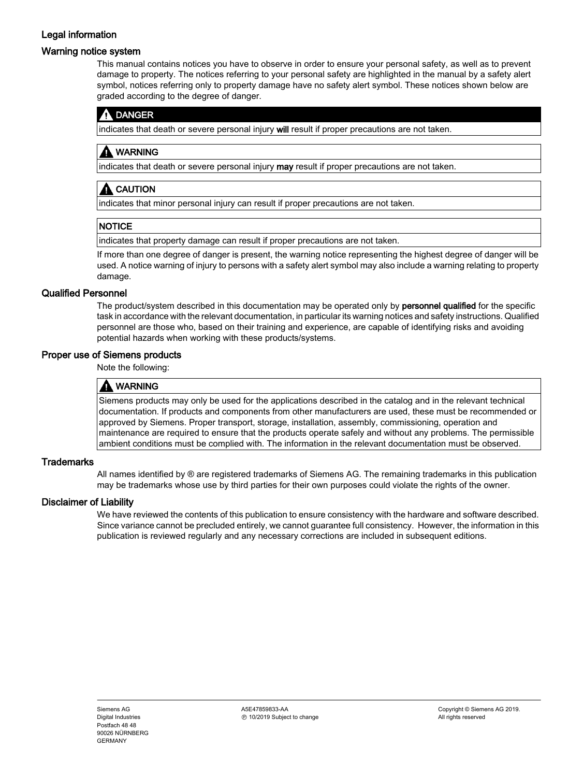#### Legal information

#### Warning notice system

This manual contains notices you have to observe in order to ensure your personal safety, as well as to prevent damage to property. The notices referring to your personal safety are highlighted in the manual by a safety alert symbol, notices referring only to property damage have no safety alert symbol. These notices shown below are graded according to the degree of danger.

#### DANGER

indicates that death or severe personal injury will result if proper precautions are not taken.

### **A** WARNING

indicates that death or severe personal injury may result if proper precautions are not taken.

### **A** CAUTION

indicates that minor personal injury can result if proper precautions are not taken.

#### **NOTICE**

indicates that property damage can result if proper precautions are not taken.

If more than one degree of danger is present, the warning notice representing the highest degree of danger will be used. A notice warning of injury to persons with a safety alert symbol may also include a warning relating to property damage.

#### Qualified Personnel

The product/system described in this documentation may be operated only by **personnel qualified** for the specific task in accordance with the relevant documentation, in particular its warning notices and safety instructions. Qualified personnel are those who, based on their training and experience, are capable of identifying risks and avoiding potential hazards when working with these products/systems.

#### Proper use of Siemens products

Note the following:

#### **A** WARNING

Siemens products may only be used for the applications described in the catalog and in the relevant technical documentation. If products and components from other manufacturers are used, these must be recommended or approved by Siemens. Proper transport, storage, installation, assembly, commissioning, operation and maintenance are required to ensure that the products operate safely and without any problems. The permissible ambient conditions must be complied with. The information in the relevant documentation must be observed.

#### **Trademarks**

All names identified by ® are registered trademarks of Siemens AG. The remaining trademarks in this publication may be trademarks whose use by third parties for their own purposes could violate the rights of the owner.

#### Disclaimer of Liability

We have reviewed the contents of this publication to ensure consistency with the hardware and software described. Since variance cannot be precluded entirely, we cannot guarantee full consistency. However, the information in this publication is reviewed regularly and any necessary corrections are included in subsequent editions.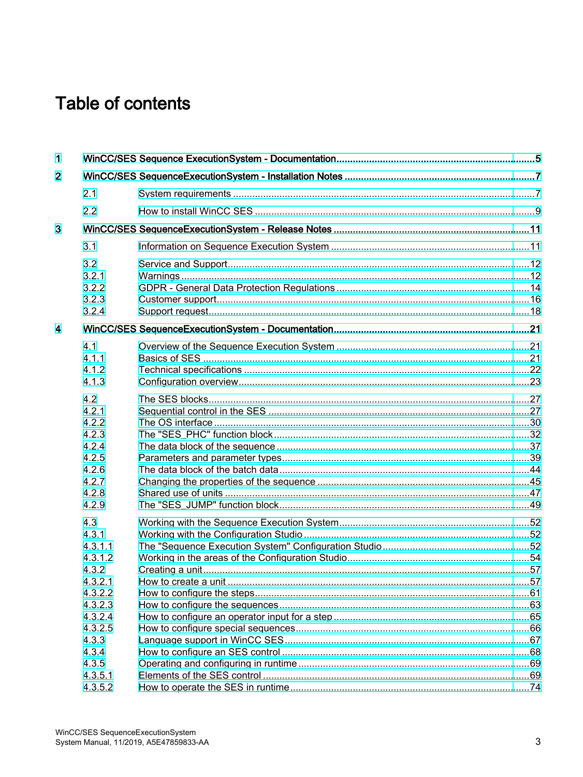## Table of contents

| 1                       |         |  |
|-------------------------|---------|--|
| $\mathbf{2}$            |         |  |
|                         | 2.1     |  |
|                         | 2.2     |  |
| 3                       |         |  |
|                         | 3.1     |  |
|                         | 3.2     |  |
|                         | 3.2.1   |  |
|                         | 3.2.2   |  |
|                         | 3.2.3   |  |
|                         | 3.2.4   |  |
| $\overline{\mathbf{4}}$ |         |  |
|                         | 4.1     |  |
|                         | 4.1.1   |  |
|                         | 4.1.2   |  |
|                         | 4.1.3   |  |
|                         | 4.2     |  |
|                         | 4.2.1   |  |
|                         | 4.2.2   |  |
|                         | 4.2.3   |  |
|                         | 4.2.4   |  |
|                         | 4.2.5   |  |
|                         | 4.2.6   |  |
|                         | 4.2.7   |  |
|                         | 4.2.8   |  |
|                         | 4.2.9   |  |
|                         | 4.3     |  |
|                         | 4.3.1   |  |
|                         | 4.3.1.1 |  |
|                         | 4.3.1.2 |  |
|                         | 4.3.2   |  |
|                         | 4.3.2.1 |  |
|                         | 4.3.2.2 |  |
|                         | 4.3.2.3 |  |
|                         | 4.3.2.4 |  |
|                         | 4.3.2.5 |  |
|                         | 4.3.3   |  |
|                         | 4.3.4   |  |
|                         | 4.3.5   |  |
|                         | 4.3.5.1 |  |
|                         | 4.3.5.2 |  |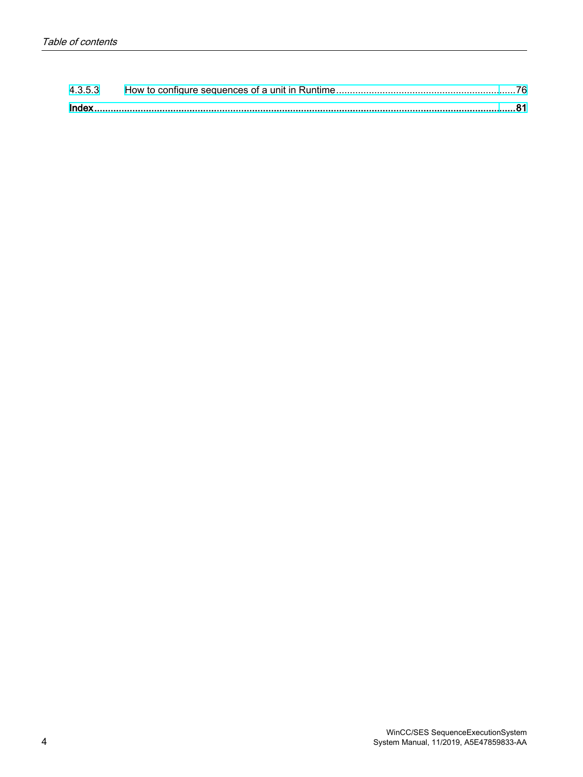| 4.3.5.3 |  |
|---------|--|
|         |  |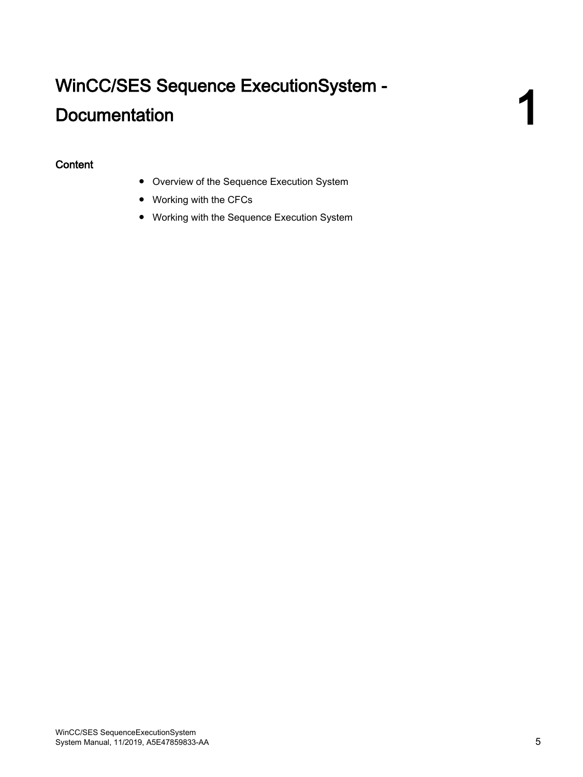# <span id="page-4-0"></span>WinCC/SES Sequence ExecutionSystem - Procumentation

#### **Content**

- Overview of the Sequence Execution System
- Working with the CFCs
- Working with the Sequence Execution System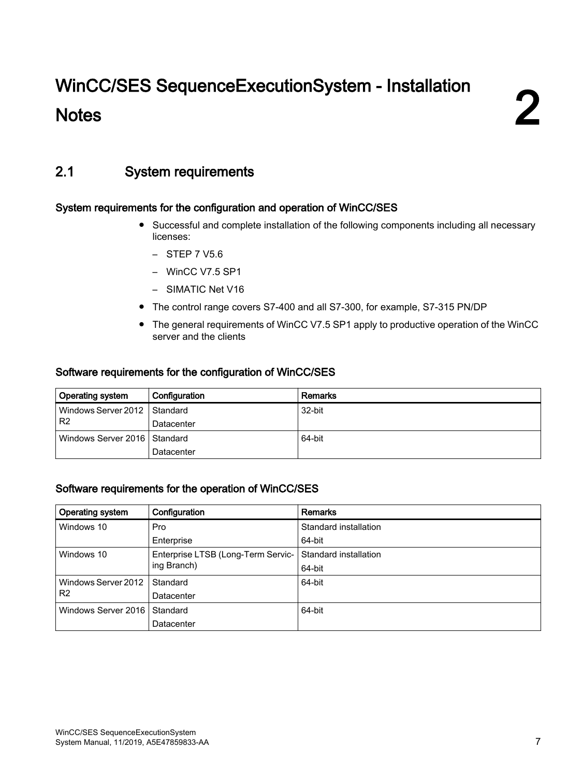## <span id="page-6-0"></span>2.1 System requirements

#### System requirements for the configuration and operation of WinCC/SES

- Successful and complete installation of the following components including all necessary licenses:
	- STEP 7 V5.6
	- WinCC V7.5 SP1
	- SIMATIC Net V16
- The control range covers S7-400 and all S7-300, for example, S7-315 PN/DP
- The general requirements of WinCC V7.5 SP1 apply to productive operation of the WinCC server and the clients

#### Software requirements for the configuration of WinCC/SES

| Operating system               | Configuration | Remarks |
|--------------------------------|---------------|---------|
| Windows Server 2012   Standard |               | 32-bit  |
| R <sub>2</sub>                 | Datacenter    |         |
| Windows Server 2016   Standard |               | 64-bit  |
|                                | Datacenter    |         |

#### Software requirements for the operation of WinCC/SES

| <b>Operating system</b> | Configuration                      | <b>Remarks</b>        |
|-------------------------|------------------------------------|-----------------------|
| Windows 10              | Pro                                | Standard installation |
|                         | Enterprise                         | 64-bit                |
| Windows 10              | Enterprise LTSB (Long-Term Servic- | Standard installation |
|                         | ing Branch)                        | 64-bit                |
| Windows Server 2012     | Standard                           | 64-bit                |
| R <sub>2</sub>          | Datacenter                         |                       |
| Windows Server 2016     | Standard                           | 64-bit                |
|                         | Datacenter                         |                       |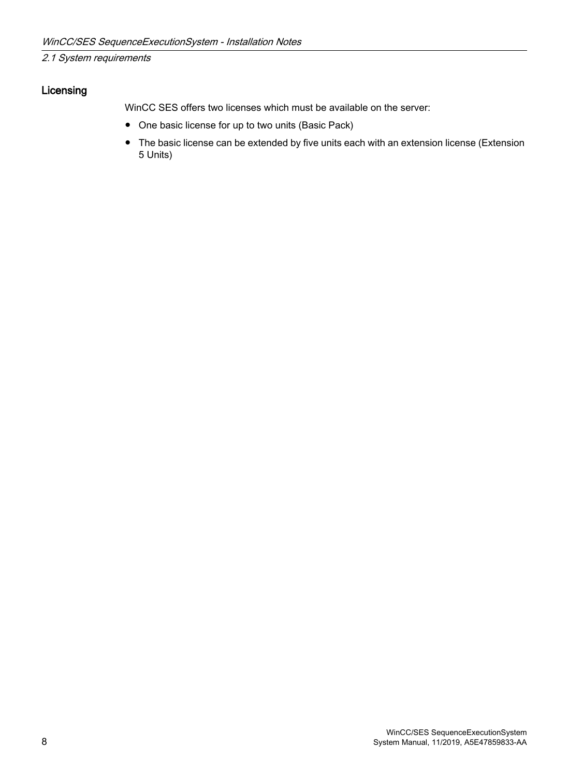2.1 System requirements

## Licensing

WinCC SES offers two licenses which must be available on the server:

- One basic license for up to two units (Basic Pack)
- The basic license can be extended by five units each with an extension license (Extension 5 Units)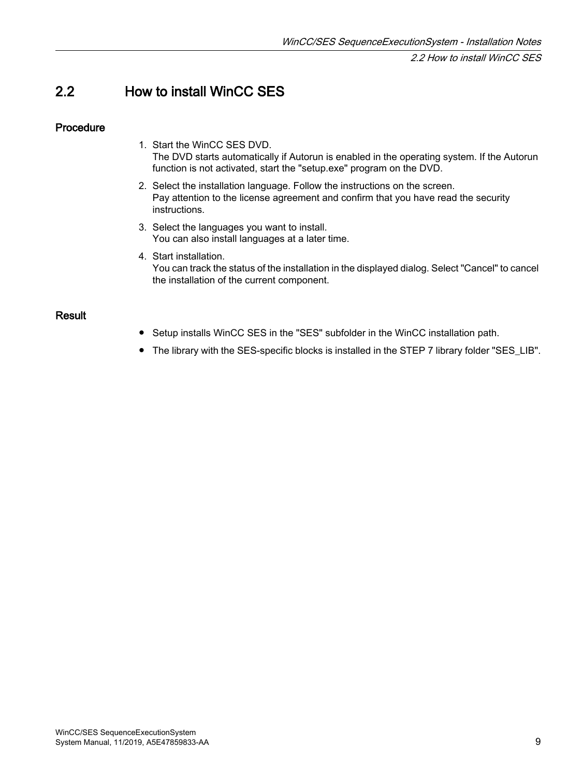2.2 How to install WinCC SES

## <span id="page-8-0"></span>2.2 How to install WinCC SES

#### Procedure

- 1. Start the WinCC SES DVD. The DVD starts automatically if Autorun is enabled in the operating system. If the Autorun function is not activated, start the "setup.exe" program on the DVD.
- 2. Select the installation language. Follow the instructions on the screen. Pay attention to the license agreement and confirm that you have read the security instructions.
- 3. Select the languages you want to install. You can also install languages at a later time.
- 4. Start installation. You can track the status of the installation in the displayed dialog. Select "Cancel" to cancel the installation of the current component.

#### **Result**

- Setup installs WinCC SES in the "SES" subfolder in the WinCC installation path.
- The library with the SES-specific blocks is installed in the STEP 7 library folder "SES\_LIB".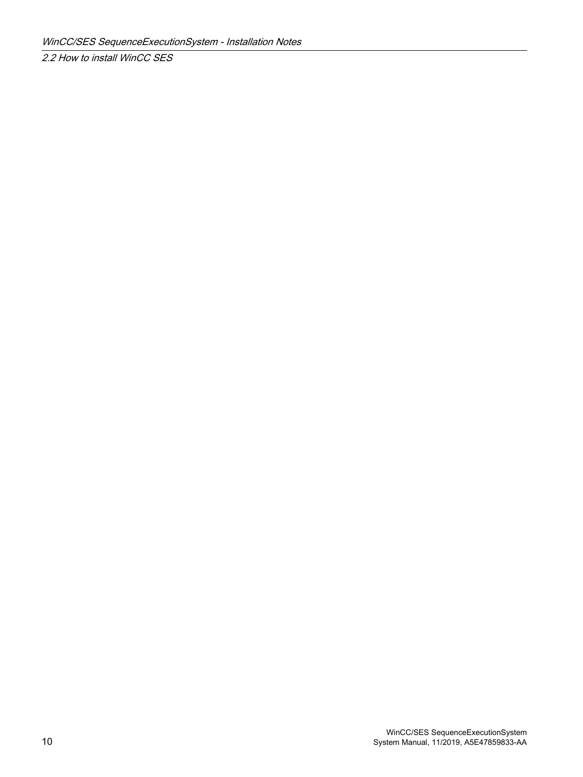2.2 How to install WinCC SES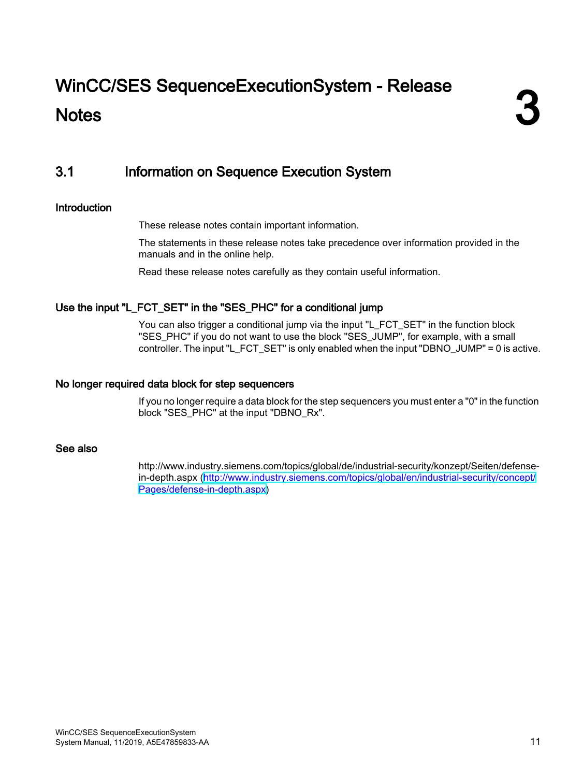## These release notes contain important information. The statements in these release notes take precedence over information provided in the manuals and in the online help. Read these release notes carefully as they contain useful information.

## Use the input "L\_FCT\_SET" in the "SES\_PHC" for a conditional jump

3.1 Information on Sequence Execution System

<span id="page-10-0"></span>WinCC/SES SequenceExecutionSystem - Release

Notes 3

You can also trigger a conditional jump via the input "L\_FCT\_SET" in the function block "SES\_PHC" if you do not want to use the block "SES\_JUMP", for example, with a small controller. The input "L\_FCT\_SET" is only enabled when the input "DBNO\_JUMP" = 0 is active.

## No longer required data block for step sequencers

If you no longer require a data block for the step sequencers you must enter a "0" in the function block "SES\_PHC" at the input "DBNO\_Rx".

## See also

Introduction

http://www.industry.siemens.com/topics/global/de/industrial-security/konzept/Seiten/defensein-depth.aspx ([http://www.industry.siemens.com/topics/global/en/industrial-security/concept/](http://www.industry.siemens.com/topics/global/en/industrial-security/concept/Pages/defense-in-depth.aspx) [Pages/defense-in-depth.aspx\)](http://www.industry.siemens.com/topics/global/en/industrial-security/concept/Pages/defense-in-depth.aspx)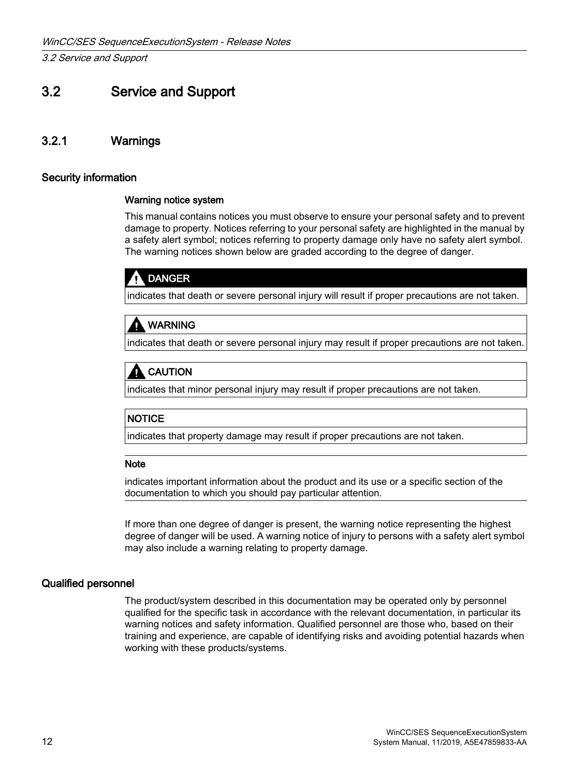## <span id="page-11-0"></span>3.2 Service and Support

#### 3.2.1 Warnings

#### Security information

#### Warning notice system

This manual contains notices you must observe to ensure your personal safety and to prevent damage to property. Notices referring to your personal safety are highlighted in the manual by a safety alert symbol; notices referring to property damage only have no safety alert symbol. The warning notices shown below are graded according to the degree of danger.

## DANGER

indicates that death or severe personal injury will result if proper precautions are not taken.

### WARNING

indicates that death or severe personal injury may result if proper precautions are not taken.

## **A** CAUTION

indicates that minor personal injury may result if proper precautions are not taken.

#### **NOTICE**

indicates that property damage may result if proper precautions are not taken.

#### Note

indicates important information about the product and its use or a specific section of the documentation to which you should pay particular attention.

If more than one degree of danger is present, the warning notice representing the highest degree of danger will be used. A warning notice of injury to persons with a safety alert symbol may also include a warning relating to property damage.

#### Qualified personnel

The product/system described in this documentation may be operated only by personnel qualified for the specific task in accordance with the relevant documentation, in particular its warning notices and safety information. Qualified personnel are those who, based on their training and experience, are capable of identifying risks and avoiding potential hazards when working with these products/systems.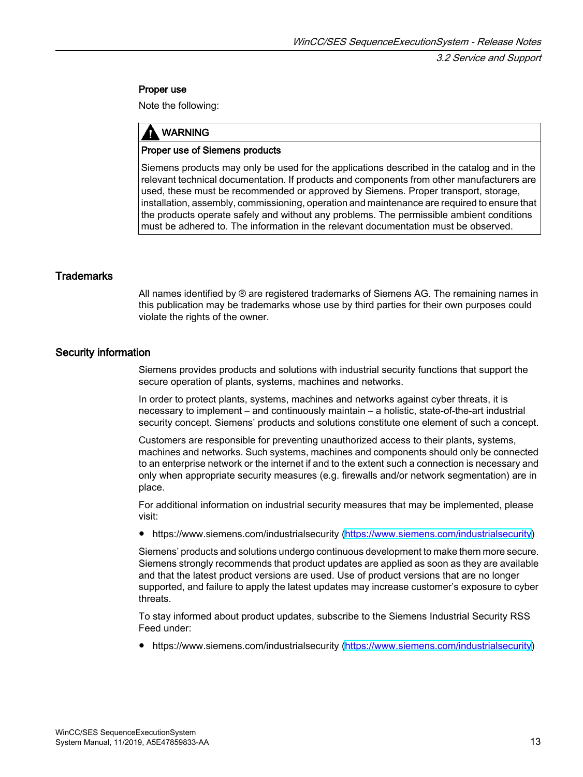#### Proper use

Note the following:

## WARNING

#### Proper use of Siemens products

Siemens products may only be used for the applications described in the catalog and in the relevant technical documentation. If products and components from other manufacturers are used, these must be recommended or approved by Siemens. Proper transport, storage, installation, assembly, commissioning, operation and maintenance are required to ensure that the products operate safely and without any problems. The permissible ambient conditions must be adhered to. The information in the relevant documentation must be observed.

#### **Trademarks**

All names identified by ® are registered trademarks of Siemens AG. The remaining names in this publication may be trademarks whose use by third parties for their own purposes could violate the rights of the owner.

#### Security information

Siemens provides products and solutions with industrial security functions that support the secure operation of plants, systems, machines and networks.

In order to protect plants, systems, machines and networks against cyber threats, it is necessary to implement – and continuously maintain – a holistic, state-of-the-art industrial security concept. Siemens' products and solutions constitute one element of such a concept.

Customers are responsible for preventing unauthorized access to their plants, systems, machines and networks. Such systems, machines and components should only be connected to an enterprise network or the internet if and to the extent such a connection is necessary and only when appropriate security measures (e.g. firewalls and/or network segmentation) are in place.

For additional information on industrial security measures that may be implemented, please visit:

● https://www.siemens.com/industrialsecurity (<https://www.siemens.com/industrialsecurity>)

Siemens' products and solutions undergo continuous development to make them more secure. Siemens strongly recommends that product updates are applied as soon as they are available and that the latest product versions are used. Use of product versions that are no longer supported, and failure to apply the latest updates may increase customer's exposure to cyber threats.

To stay informed about product updates, subscribe to the Siemens Industrial Security RSS Feed under:

● <https://www.siemens.com/industrialsecurity> (https://www.siemens.com/industrialsecurity)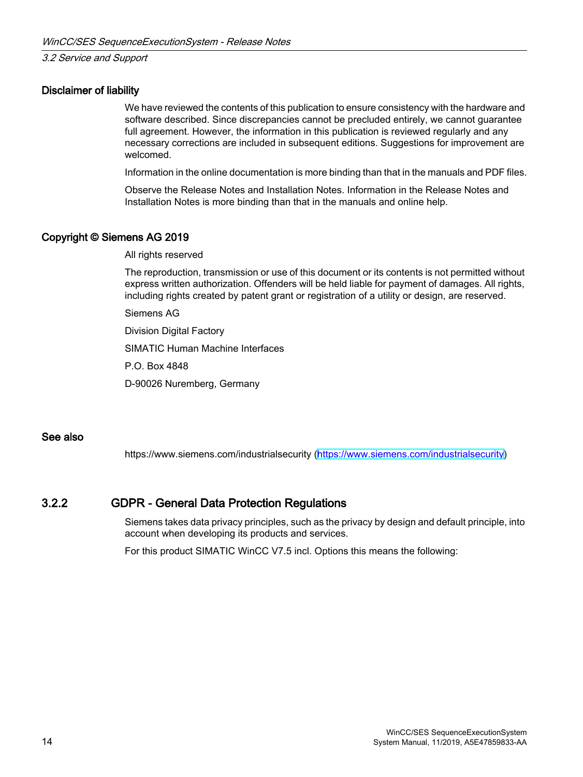#### <span id="page-13-0"></span>Disclaimer of liability

We have reviewed the contents of this publication to ensure consistency with the hardware and software described. Since discrepancies cannot be precluded entirely, we cannot guarantee full agreement. However, the information in this publication is reviewed regularly and any necessary corrections are included in subsequent editions. Suggestions for improvement are welcomed.

Information in the online documentation is more binding than that in the manuals and PDF files.

Observe the Release Notes and Installation Notes. Information in the Release Notes and Installation Notes is more binding than that in the manuals and online help.

#### Copyright © Siemens AG 2019

All rights reserved

The reproduction, transmission or use of this document or its contents is not permitted without express written authorization. Offenders will be held liable for payment of damages. All rights, including rights created by patent grant or registration of a utility or design, are reserved.

Siemens AG

Division Digital Factory

SIMATIC Human Machine Interfaces

P.O. Box 4848

D-90026 Nuremberg, Germany

#### See also

https://www.siemens.com/industrialsecurity [\(https://www.siemens.com/industrialsecurity\)](https://www.siemens.com/industrialsecurity)

## 3.2.2 GDPR - General Data Protection Regulations

Siemens takes data privacy principles, such as the privacy by design and default principle, into account when developing its products and services.

For this product SIMATIC WinCC V7.5 incl. Options this means the following: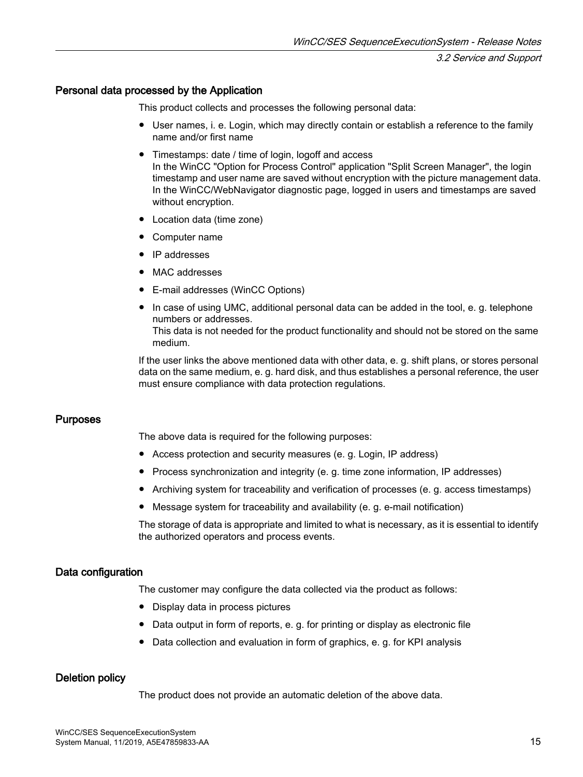#### Personal data processed by the Application

This product collects and processes the following personal data:

- User names, i. e. Login, which may directly contain or establish a reference to the family name and/or first name
- Timestamps: date / time of login, logoff and access In the WinCC "Option for Process Control" application "Split Screen Manager", the login timestamp and user name are saved without encryption with the picture management data. In the WinCC/WebNavigator diagnostic page, logged in users and timestamps are saved without encryption.
- Location data (time zone)
- Computer name
- IP addresses
- MAC addresses
- E-mail addresses (WinCC Options)
- In case of using UMC, additional personal data can be added in the tool, e. g. telephone numbers or addresses.

This data is not needed for the product functionality and should not be stored on the same medium.

If the user links the above mentioned data with other data, e. g. shift plans, or stores personal data on the same medium, e. g. hard disk, and thus establishes a personal reference, the user must ensure compliance with data protection regulations.

#### Purposes

The above data is required for the following purposes:

- Access protection and security measures (e. g. Login, IP address)
- Process synchronization and integrity (e. g. time zone information, IP addresses)
- Archiving system for traceability and verification of processes (e. g. access timestamps)
- Message system for traceability and availability (e. g. e-mail notification)

The storage of data is appropriate and limited to what is necessary, as it is essential to identify the authorized operators and process events.

#### Data configuration

The customer may configure the data collected via the product as follows:

- Display data in process pictures
- Data output in form of reports, e. g. for printing or display as electronic file
- Data collection and evaluation in form of graphics, e. g. for KPI analysis

#### Deletion policy

The product does not provide an automatic deletion of the above data.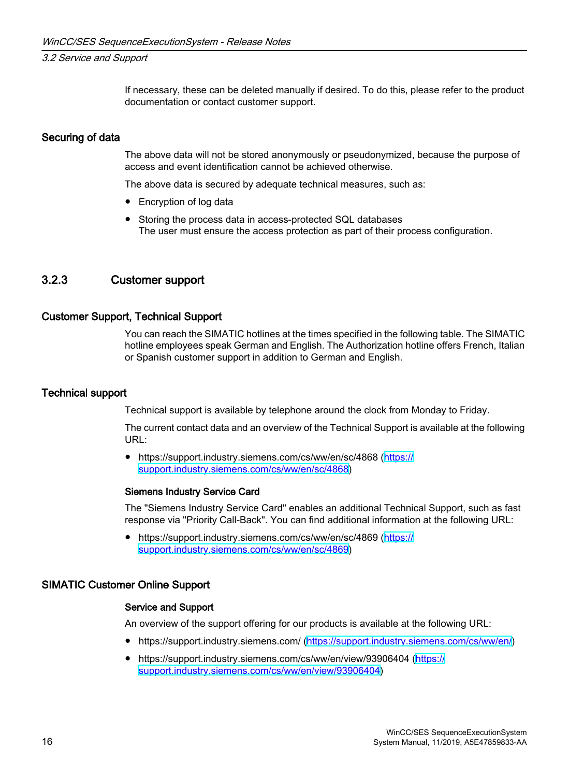If necessary, these can be deleted manually if desired. To do this, please refer to the product documentation or contact customer support.

#### <span id="page-15-0"></span>Securing of data

The above data will not be stored anonymously or pseudonymized, because the purpose of access and event identification cannot be achieved otherwise.

The above data is secured by adequate technical measures, such as:

- Encryption of log data
- Storing the process data in access-protected SQL databases The user must ensure the access protection as part of their process configuration.

#### 3.2.3 Customer support

#### Customer Support, Technical Support

You can reach the SIMATIC hotlines at the times specified in the following table. The SIMATIC hotline employees speak German and English. The Authorization hotline offers French, Italian or Spanish customer support in addition to German and English.

#### Technical support

Technical support is available by telephone around the clock from Monday to Friday.

The current contact data and an overview of the Technical Support is available at the following URL:

● https://support.industry.siemens.com/cs/ww/en/sc/4868 [\(https://](https://support.industry.siemens.com/cs/ww/en/sc/4868) [support.industry.siemens.com/cs/ww/en/sc/4868](https://support.industry.siemens.com/cs/ww/en/sc/4868))

#### Siemens Industry Service Card

The "Siemens Industry Service Card" enables an additional Technical Support, such as fast response via "Priority Call-Back". You can find additional information at the following URL:

● https://support.industry.siemens.com/cs/ww/en/sc/4869 [\(https://](https://support.industry.siemens.com/cs/ww/en/sc/4869) [support.industry.siemens.com/cs/ww/en/sc/4869](https://support.industry.siemens.com/cs/ww/en/sc/4869))

#### SIMATIC Customer Online Support

#### Service and Support

An overview of the support offering for our products is available at the following URL:

- https://support.industry.siemens.com/ [\(https://support.industry.siemens.com/cs/ww/en/\)](https://support.industry.siemens.com/cs/ww/en/)
- [https://](https://support.industry.siemens.com/cs/ww/en/view/93906404)support.industry.siemens.com/cs/ww/en/view/93906404 (https:// [support.industry.siemens.com/cs/ww/en/view/93906404\)](https://support.industry.siemens.com/cs/ww/en/view/93906404)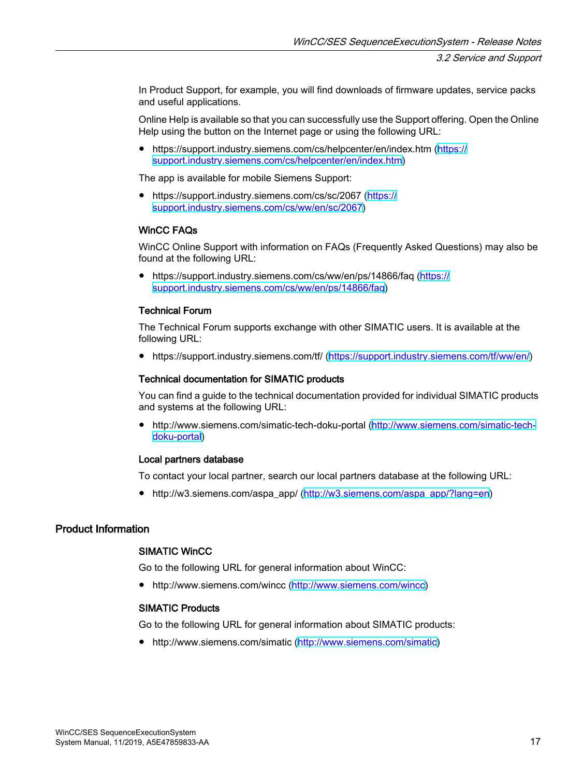In Product Support, for example, you will find downloads of firmware updates, service packs and useful applications.

Online Help is available so that you can successfully use the Support offering. Open the Online Help using the button on the Internet page or using the following URL:

● https://support.industry.siemens.com/cs/helpcenter/en/index.htm [\(https://](https://support.industry.siemens.com/cs/helpcenter/en/index.htm) [support.industry.siemens.com/cs/helpcenter/en/index.htm](https://support.industry.siemens.com/cs/helpcenter/en/index.htm))

The app is available for mobile Siemens Support:

● https://support.industry.siemens.com/cs/sc/2067 [\(https://](https://support.industry.siemens.com/cs/ww/en/sc/2067) [support.industry.siemens.com/cs/ww/en/sc/2067](https://support.industry.siemens.com/cs/ww/en/sc/2067))

#### WinCC FAQs

WinCC Online Support with information on FAQs (Frequently Asked Questions) may also be found at the following URL:

● https://support.industry.siemens.com/cs/ww/en/ps/14866/faq [\(https://](https://support.industry.siemens.com/cs/ww/en/ps/14866/faq) [support.industry.siemens.com/cs/ww/en/ps/14866/faq](https://support.industry.siemens.com/cs/ww/en/ps/14866/faq))

#### Technical Forum

The Technical Forum supports exchange with other SIMATIC users. It is available at the following URL:

● https://support.industry.siemens.com/tf/ (<https://support.industry.siemens.com/tf/ww/en/>)

#### Technical documentation for SIMATIC products

You can find a guide to the technical documentation provided for individual SIMATIC products and systems at the following URL:

● http://www.siemens.com/simatic-tech-doku-portal ([http://www.siemens.com/simatic-tech](http://www.siemens.com/simatic-tech-doku-portal)[doku-portal\)](http://www.siemens.com/simatic-tech-doku-portal)

#### Local partners database

To contact your local partner, search our local partners database at the following URL:

• http://w3.siemens.com/aspa\_app/ [\(http://w3.siemens.com/aspa\\_app/?lang=en](http://w3.siemens.com/aspa_app/?lang=en))

#### Product Information

#### SIMATIC WinCC

Go to the following URL for general information about WinCC:

● http://www.siemens.com/wincc [\(http://www.siemens.com/wincc](http://www.siemens.com/wincc))

#### SIMATIC Products

Go to the following URL for general information about SIMATIC products:

● http://www.siemens.com/simatic [\(http://www.siemens.com/simatic\)](http://www.siemens.com/simatic)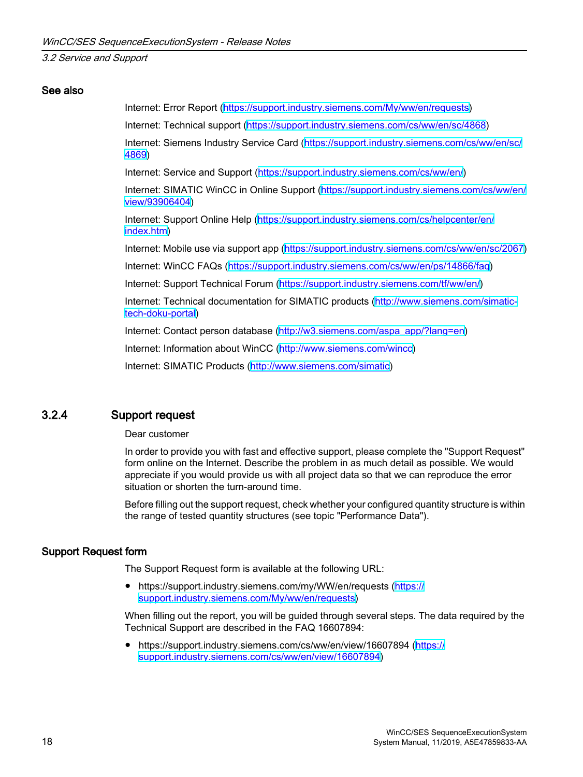#### <span id="page-17-0"></span>See also

Internet: Error Report [\(https://support.industry.siemens.com/My/ww/en/requests](https://support.industry.siemens.com/My/ww/en/requests))

Internet: Technical support [\(https://support.industry.siemens.com/cs/ww/en/sc/4868\)](https://support.industry.siemens.com/cs/ww/en/sc/4868)

Internet: Siemens Industry Service Card ([https://support.industry.siemens.com/cs/ww/en/sc/](https://support.industry.siemens.com/cs/ww/en/sc/4869) [4869\)](https://support.industry.siemens.com/cs/ww/en/sc/4869)

Internet: Service and Support (<https://support.industry.siemens.com/cs/ww/en/>)

Internet: SIMATIC WinCC in Online Support [\(https://support.industry.siemens.com/cs/ww/en/](https://support.industry.siemens.com/cs/ww/en/view/93906404) [view/93906404\)](https://support.industry.siemens.com/cs/ww/en/view/93906404)

Internet: Support Online Help [\(https://support.industry.siemens.com/cs/helpcenter/en/](https://support.industry.siemens.com/cs/helpcenter/en/index.htm) [index.htm\)](https://support.industry.siemens.com/cs/helpcenter/en/index.htm)

Internet: Mobile use via support app (<https://support.industry.siemens.com/cs/ww/en/sc/2067>)

Internet: WinCC FAQs [\(https://support.industry.siemens.com/cs/ww/en/ps/14866/faq](https://support.industry.siemens.com/cs/ww/en/ps/14866/faq))

Internet: Support Technical Forum [\(https://support.industry.siemens.com/tf/ww/en/](https://support.industry.siemens.com/tf/ww/en/))

Internet: Technical documentation for SIMATIC products [\(http://www.siemens.com/simatic](http://www.siemens.com/simatic-tech-doku-portal)[tech-doku-portal\)](http://www.siemens.com/simatic-tech-doku-portal)

Internet: Contact person database ([http://w3.siemens.com/aspa\\_app/?lang=en\)](http://w3.siemens.com/aspa_app/?lang=en)

Internet: Information about WinCC [\(http://www.siemens.com/wincc\)](http://www.siemens.com/wincc)

Internet: SIMATIC Products (<http://www.siemens.com/simatic>)

#### 3.2.4 Support request

Dear customer

In order to provide you with fast and effective support, please complete the "Support Request" form online on the Internet. Describe the problem in as much detail as possible. We would appreciate if you would provide us with all project data so that we can reproduce the error situation or shorten the turn-around time.

Before filling out the support request, check whether your configured quantity structure is within the range of tested quantity structures (see topic "Performance Data").

#### Support Request form

The Support Request form is available at the following URL:

● https://support.industry.siemens.com/my/WW/en/requests [\(https://](https://support.industry.siemens.com/My/ww/en/requests) [support.industry.siemens.com/My/ww/en/requests\)](https://support.industry.siemens.com/My/ww/en/requests)

When filling out the report, you will be guided through several steps. The data required by the Technical Support are described in the FAQ 16607894:

● [https://](https://support.industry.siemens.com/cs/ww/en/view/16607894)support.industry.siemens.com/cs/ww/en/view/16607894 (https:// [support.industry.siemens.com/cs/ww/en/view/16607894\)](https://support.industry.siemens.com/cs/ww/en/view/16607894)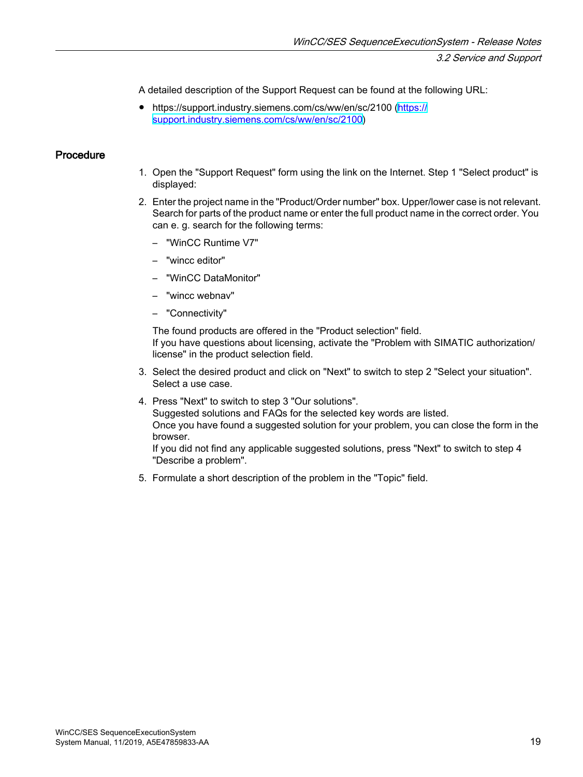A detailed description of the Support Request can be found at the following URL:

● [https://](https://support.industry.siemens.com/cs/ww/en/sc/2100)support.industry.siemens.com/cs/ww/en/sc/2100 (https:// [support.industry.siemens.com/cs/ww/en/sc/2100](https://support.industry.siemens.com/cs/ww/en/sc/2100))

#### Procedure

- 1. Open the "Support Request" form using the link on the Internet. Step 1 "Select product" is displayed:
- 2. Enter the project name in the "Product/Order number" box. Upper/lower case is not relevant. Search for parts of the product name or enter the full product name in the correct order. You can e. g. search for the following terms:
	- "WinCC Runtime V7"
	- "wincc editor"
	- "WinCC DataMonitor"
	- "wincc webnav"
	- "Connectivity"

The found products are offered in the "Product selection" field.

If you have questions about licensing, activate the "Problem with SIMATIC authorization/ license" in the product selection field.

- 3. Select the desired product and click on "Next" to switch to step 2 "Select your situation". Select a use case.
- 4. Press "Next" to switch to step 3 "Our solutions".

Suggested solutions and FAQs for the selected key words are listed. Once you have found a suggested solution for your problem, you can close the form in the browser.

If you did not find any applicable suggested solutions, press "Next" to switch to step 4 "Describe a problem".

5. Formulate a short description of the problem in the "Topic" field.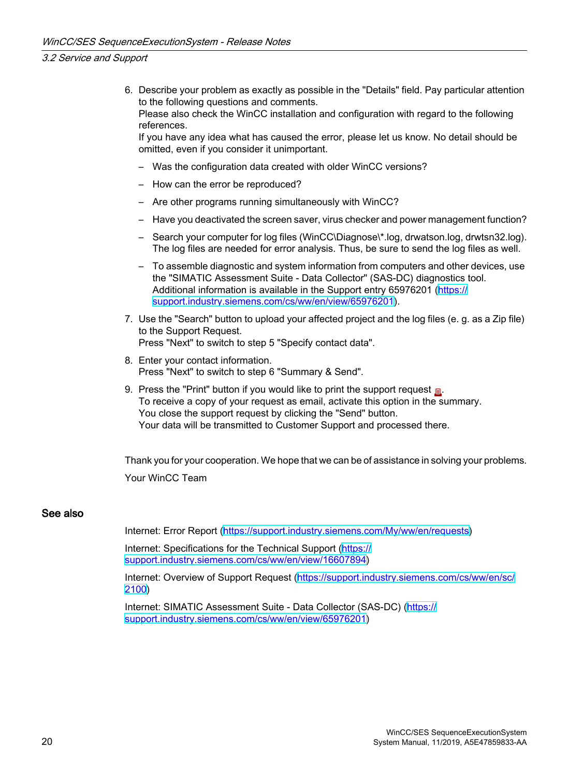- 6. Describe your problem as exactly as possible in the "Details" field. Pay particular attention to the following questions and comments. Please also check the WinCC installation and configuration with regard to the following references. If you have any idea what has caused the error, please let us know. No detail should be omitted, even if you consider it unimportant.
	- Was the configuration data created with older WinCC versions?
	- How can the error be reproduced?
	- Are other programs running simultaneously with WinCC?
	- Have you deactivated the screen saver, virus checker and power management function?
	- Search your computer for log files (WinCC\Diagnose\\*.log, drwatson.log, drwtsn32.log). The log files are needed for error analysis. Thus, be sure to send the log files as well.
	- To assemble diagnostic and system information from computers and other devices, use the "SIMATIC Assessment Suite - Data Collector" (SAS-DC) diagnostics tool. Additional information is available in the Support entry 65976201 ([https://](https://support.industry.siemens.com/cs/ww/en/view/65976201) [support.industry.siemens.com/cs/ww/en/view/65976201\)](https://support.industry.siemens.com/cs/ww/en/view/65976201).
- 7. Use the "Search" button to upload your affected project and the log files (e. g. as a Zip file) to the Support Request. Press "Next" to switch to step 5 "Specify contact data".
- 8. Enter your contact information. Press "Next" to switch to step 6 "Summary & Send".
- 9. Press the "Print" button if you would like to print the support request  $\mathbb{R}$ . To receive a copy of your request as email, activate this option in the summary. You close the support request by clicking the "Send" button. Your data will be transmitted to Customer Support and processed there.

Thank you for your cooperation. We hope that we can be of assistance in solving your problems. Your WinCC Team

#### See also

Internet: Error Report [\(https://support.industry.siemens.com/My/ww/en/requests](https://support.industry.siemens.com/My/ww/en/requests))

Internet: Specifications for the Technical Support [\(https://](https://support.industry.siemens.com/cs/ww/en/view/16607894) [support.industry.siemens.com/cs/ww/en/view/16607894](https://support.industry.siemens.com/cs/ww/en/view/16607894))

Internet: Overview of Support Request ([https://support.industry.siemens.com/cs/ww/en/sc/](https://support.industry.siemens.com/cs/ww/en/sc/2100) [2100\)](https://support.industry.siemens.com/cs/ww/en/sc/2100)

Internet: SIMATIC Assessment Suite - Data Collector (SAS-DC) ([https://](https://support.industry.siemens.com/cs/ww/en/view/65976201) [support.industry.siemens.com/cs/ww/en/view/65976201](https://support.industry.siemens.com/cs/ww/en/view/65976201))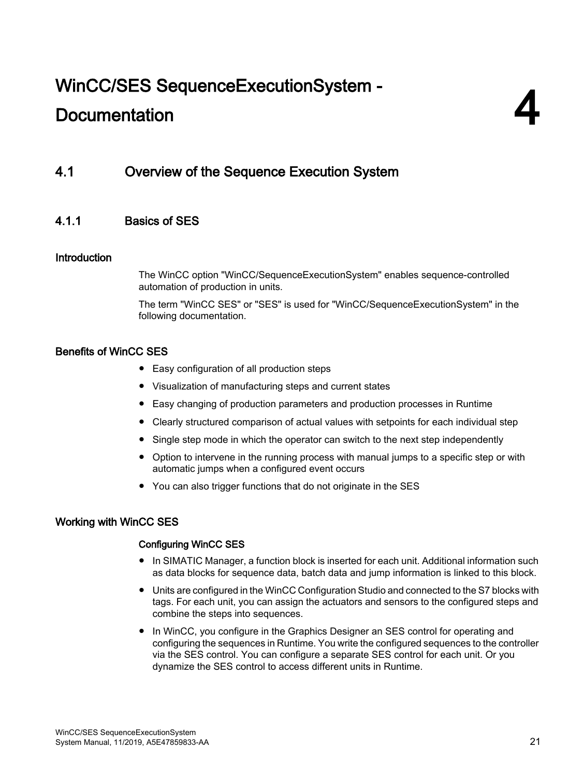# <span id="page-20-0"></span>WinCC/SES SequenceExecutionSystem - Procumentation

## 4.1 Overview of the Sequence Execution System

## 4.1.1 Basics of SES

#### Introduction

The WinCC option "WinCC/SequenceExecutionSystem" enables sequence-controlled automation of production in units.

The term "WinCC SES" or "SES" is used for "WinCC/SequenceExecutionSystem" in the following documentation.

#### Benefits of WinCC SES

- Easy configuration of all production steps
- Visualization of manufacturing steps and current states
- Easy changing of production parameters and production processes in Runtime
- Clearly structured comparison of actual values with setpoints for each individual step
- Single step mode in which the operator can switch to the next step independently
- Option to intervene in the running process with manual jumps to a specific step or with automatic jumps when a configured event occurs
- You can also trigger functions that do not originate in the SES

## Working with WinCC SES

#### Configuring WinCC SES

- In SIMATIC Manager, a function block is inserted for each unit. Additional information such as data blocks for sequence data, batch data and jump information is linked to this block.
- Units are configured in the WinCC Configuration Studio and connected to the S7 blocks with tags. For each unit, you can assign the actuators and sensors to the configured steps and combine the steps into sequences.
- In WinCC, you configure in the Graphics Designer an SES control for operating and configuring the sequences in Runtime. You write the configured sequences to the controller via the SES control. You can configure a separate SES control for each unit. Or you dynamize the SES control to access different units in Runtime.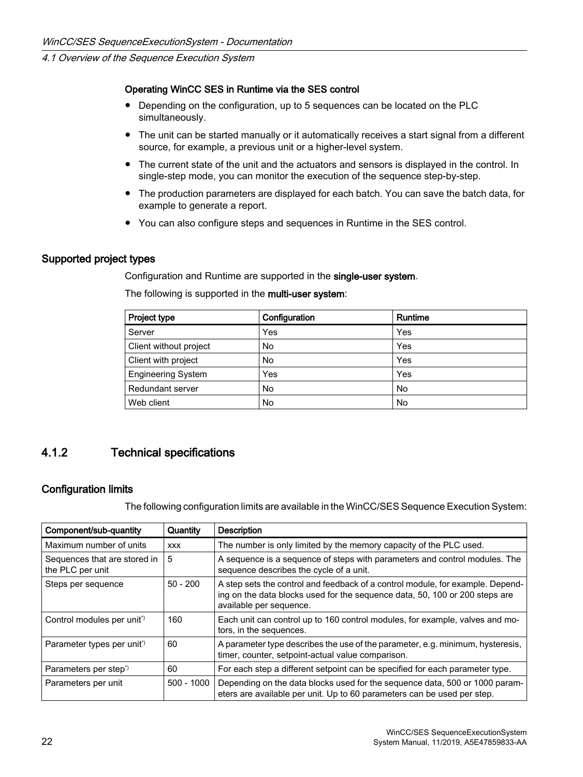#### <span id="page-21-0"></span>Operating WinCC SES in Runtime via the SES control

- Depending on the configuration, up to 5 sequences can be located on the PLC simultaneously.
- The unit can be started manually or it automatically receives a start signal from a different source, for example, a previous unit or a higher-level system.
- The current state of the unit and the actuators and sensors is displayed in the control. In single-step mode, you can monitor the execution of the sequence step-by-step.
- The production parameters are displayed for each batch. You can save the batch data, for example to generate a report.
- You can also configure steps and sequences in Runtime in the SES control.

#### Supported project types

Configuration and Runtime are supported in the single-user system.

The following is supported in the multi-user system:

| Project type              | Configuration | Runtime |
|---------------------------|---------------|---------|
| Server                    | Yes           | Yes     |
| Client without project    | No            | Yes     |
| Client with project       | No            | Yes     |
| <b>Engineering System</b> | Yes           | Yes     |
| Redundant server          | No            | No      |
| Web client                | No            | No      |

## 4.1.2 Technical specifications

#### Configuration limits

The following configuration limits are available in the WinCC/SES Sequence Execution System:

| Component/sub-quantity                           | Quantity     | <b>Description</b>                                                                                                                                                                       |
|--------------------------------------------------|--------------|------------------------------------------------------------------------------------------------------------------------------------------------------------------------------------------|
| Maximum number of units                          | <b>XXX</b>   | The number is only limited by the memory capacity of the PLC used.                                                                                                                       |
| Sequences that are stored in<br>the PLC per unit | 5            | A sequence is a sequence of steps with parameters and control modules. The<br>sequence describes the cycle of a unit.                                                                    |
| Steps per sequence                               | $50 - 200$   | A step sets the control and feedback of a control module, for example. Depend-<br>ing on the data blocks used for the sequence data, 50, 100 or 200 steps are<br>available per sequence. |
| Control modules per unit <sup>*</sup>            | 160          | Each unit can control up to 160 control modules, for example, valves and mo-<br>tors, in the sequences.                                                                                  |
| Parameter types per unit <sup>*</sup>            | 60           | A parameter type describes the use of the parameter, e.g. minimum, hysteresis,<br>timer, counter, setpoint-actual value comparison.                                                      |
| Parameters per step <sup>*</sup>                 | 60           | For each step a different setpoint can be specified for each parameter type.                                                                                                             |
| Parameters per unit                              | $500 - 1000$ | Depending on the data blocks used for the sequence data, 500 or 1000 param-<br>eters are available per unit. Up to 60 parameters can be used per step.                                   |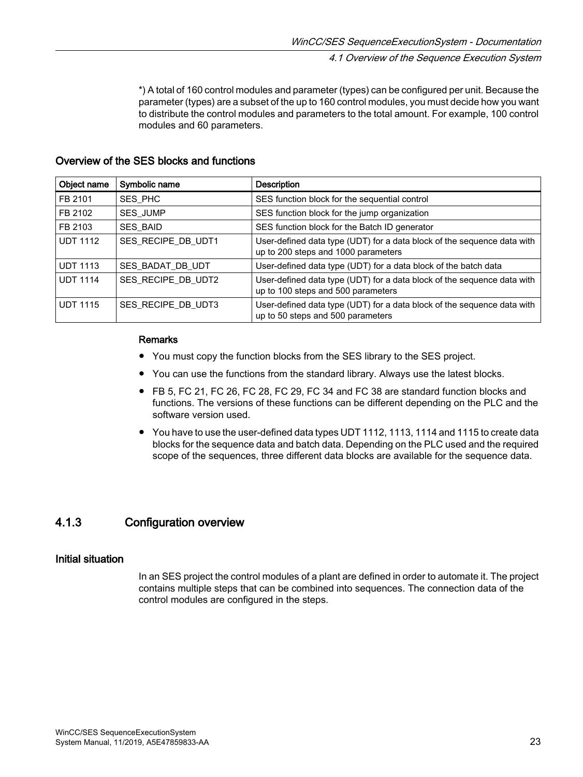<span id="page-22-0"></span>\*) A total of 160 control modules and parameter (types) can be configured per unit. Because the parameter (types) are a subset of the up to 160 control modules, you must decide how you want to distribute the control modules and parameters to the total amount. For example, 100 control modules and 60 parameters.

#### Overview of the SES blocks and functions

| Object name     | Symbolic name      | <b>Description</b>                                                                                             |
|-----------------|--------------------|----------------------------------------------------------------------------------------------------------------|
| FB 2101         | SES PHC            | SES function block for the sequential control                                                                  |
| FB 2102         | <b>SES JUMP</b>    | SES function block for the jump organization                                                                   |
| FB 2103         | <b>SES BAID</b>    | SES function block for the Batch ID generator                                                                  |
| <b>UDT 1112</b> | SES_RECIPE_DB_UDT1 | User-defined data type (UDT) for a data block of the sequence data with<br>up to 200 steps and 1000 parameters |
| <b>UDT 1113</b> | SES BADAT DB UDT   | User-defined data type (UDT) for a data block of the batch data                                                |
| <b>UDT 1114</b> | SES RECIPE DB UDT2 | User-defined data type (UDT) for a data block of the sequence data with<br>up to 100 steps and 500 parameters  |
| <b>UDT 1115</b> | SES_RECIPE_DB_UDT3 | User-defined data type (UDT) for a data block of the sequence data with<br>up to 50 steps and 500 parameters   |

#### Remarks

- You must copy the function blocks from the SES library to the SES project.
- You can use the functions from the standard library. Always use the latest blocks.
- FB 5, FC 21, FC 26, FC 28, FC 29, FC 34 and FC 38 are standard function blocks and functions. The versions of these functions can be different depending on the PLC and the software version used.
- You have to use the user-defined data types UDT 1112, 1113, 1114 and 1115 to create data blocks for the sequence data and batch data. Depending on the PLC used and the required scope of the sequences, three different data blocks are available for the sequence data.

## 4.1.3 Configuration overview

#### Initial situation

In an SES project the control modules of a plant are defined in order to automate it. The project contains multiple steps that can be combined into sequences. The connection data of the control modules are configured in the steps.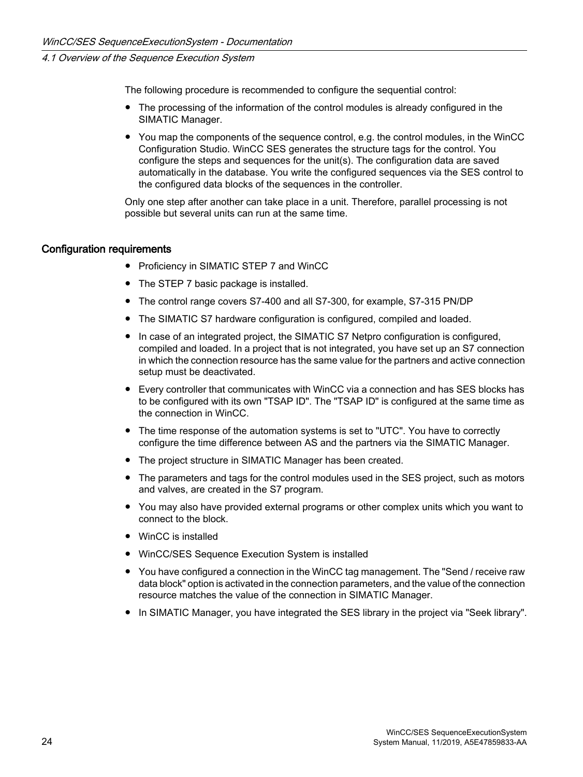The following procedure is recommended to configure the sequential control:

- The processing of the information of the control modules is already configured in the SIMATIC Manager.
- You map the components of the sequence control, e.g. the control modules, in the WinCC Configuration Studio. WinCC SES generates the structure tags for the control. You configure the steps and sequences for the unit(s). The configuration data are saved automatically in the database. You write the configured sequences via the SES control to the configured data blocks of the sequences in the controller.

Only one step after another can take place in a unit. Therefore, parallel processing is not possible but several units can run at the same time.

#### Configuration requirements

- Proficiency in SIMATIC STEP 7 and WinCC
- The STEP 7 basic package is installed.
- The control range covers S7-400 and all S7-300, for example, S7-315 PN/DP
- The SIMATIC S7 hardware configuration is configured, compiled and loaded.
- In case of an integrated project, the SIMATIC S7 Netpro configuration is configured, compiled and loaded. In a project that is not integrated, you have set up an S7 connection in which the connection resource has the same value for the partners and active connection setup must be deactivated.
- Every controller that communicates with WinCC via a connection and has SES blocks has to be configured with its own "TSAP ID". The "TSAP ID" is configured at the same time as the connection in WinCC.
- The time response of the automation systems is set to "UTC". You have to correctly configure the time difference between AS and the partners via the SIMATIC Manager.
- The project structure in SIMATIC Manager has been created.
- The parameters and tags for the control modules used in the SES project, such as motors and valves, are created in the S7 program.
- You may also have provided external programs or other complex units which you want to connect to the block.
- WinCC is installed
- WinCC/SES Sequence Execution System is installed
- You have configured a connection in the WinCC tag management. The "Send / receive raw data block" option is activated in the connection parameters, and the value of the connection resource matches the value of the connection in SIMATIC Manager.
- In SIMATIC Manager, you have integrated the SES library in the project via "Seek library".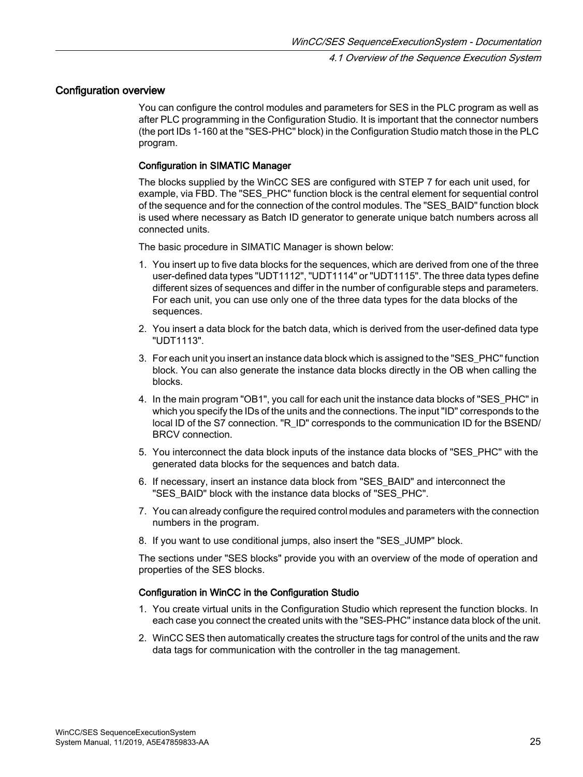#### Configuration overview

You can configure the control modules and parameters for SES in the PLC program as well as after PLC programming in the Configuration Studio. It is important that the connector numbers (the port IDs 1-160 at the "SES-PHC" block) in the Configuration Studio match those in the PLC program.

#### Configuration in SIMATIC Manager

The blocks supplied by the WinCC SES are configured with STEP 7 for each unit used, for example, via FBD. The "SES\_PHC" function block is the central element for sequential control of the sequence and for the connection of the control modules. The "SES\_BAID" function block is used where necessary as Batch ID generator to generate unique batch numbers across all connected units.

The basic procedure in SIMATIC Manager is shown below:

- 1. You insert up to five data blocks for the sequences, which are derived from one of the three user-defined data types "UDT1112", "UDT1114" or "UDT1115". The three data types define different sizes of sequences and differ in the number of configurable steps and parameters. For each unit, you can use only one of the three data types for the data blocks of the sequences.
- 2. You insert a data block for the batch data, which is derived from the user-defined data type "UDT1113".
- 3. For each unit you insert an instance data block which is assigned to the "SES\_PHC" function block. You can also generate the instance data blocks directly in the OB when calling the blocks.
- 4. In the main program "OB1", you call for each unit the instance data blocks of "SES\_PHC" in which you specify the IDs of the units and the connections. The input "ID" corresponds to the local ID of the S7 connection. "R\_ID" corresponds to the communication ID for the BSEND/ BRCV connection.
- 5. You interconnect the data block inputs of the instance data blocks of "SES\_PHC" with the generated data blocks for the sequences and batch data.
- 6. If necessary, insert an instance data block from "SES\_BAID" and interconnect the "SES\_BAID" block with the instance data blocks of "SES\_PHC".
- 7. You can already configure the required control modules and parameters with the connection numbers in the program.
- 8. If you want to use conditional jumps, also insert the "SES\_JUMP" block.

The sections under "SES blocks" provide you with an overview of the mode of operation and properties of the SES blocks.

#### Configuration in WinCC in the Configuration Studio

- 1. You create virtual units in the Configuration Studio which represent the function blocks. In each case you connect the created units with the "SES-PHC" instance data block of the unit.
- 2. WinCC SES then automatically creates the structure tags for control of the units and the raw data tags for communication with the controller in the tag management.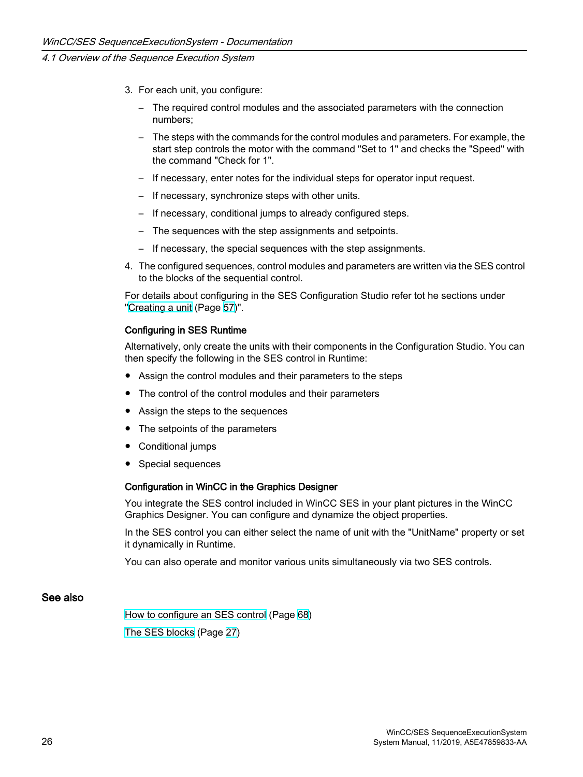- 3. For each unit, you configure:
	- The required control modules and the associated parameters with the connection numbers;
	- The steps with the commands for the control modules and parameters. For example, the start step controls the motor with the command "Set to 1" and checks the "Speed" with the command "Check for 1".
	- If necessary, enter notes for the individual steps for operator input request.
	- If necessary, synchronize steps with other units.
	- If necessary, conditional jumps to already configured steps.
	- The sequences with the step assignments and setpoints.
	- If necessary, the special sequences with the step assignments.
- 4. The configured sequences, control modules and parameters are written via the SES control to the blocks of the sequential control.

For details about configuring in the SES Configuration Studio refer tot he sections under ["Creating a unit](#page-56-0) (Page [57\)](#page-56-0)".

#### Configuring in SES Runtime

Alternatively, only create the units with their components in the Configuration Studio. You can then specify the following in the SES control in Runtime:

- Assign the control modules and their parameters to the steps
- The control of the control modules and their parameters
- Assign the steps to the sequences
- The setpoints of the parameters
- Conditional jumps
- Special sequences

#### Configuration in WinCC in the Graphics Designer

You integrate the SES control included in WinCC SES in your plant pictures in the WinCC Graphics Designer. You can configure and dynamize the object properties.

In the SES control you can either select the name of unit with the "UnitName" property or set it dynamically in Runtime.

You can also operate and monitor various units simultaneously via two SES controls.

#### See also

[How to configure an SES control](#page-67-0) (Page [68](#page-67-0)) [The SES blocks](#page-26-0) (Page [27](#page-26-0))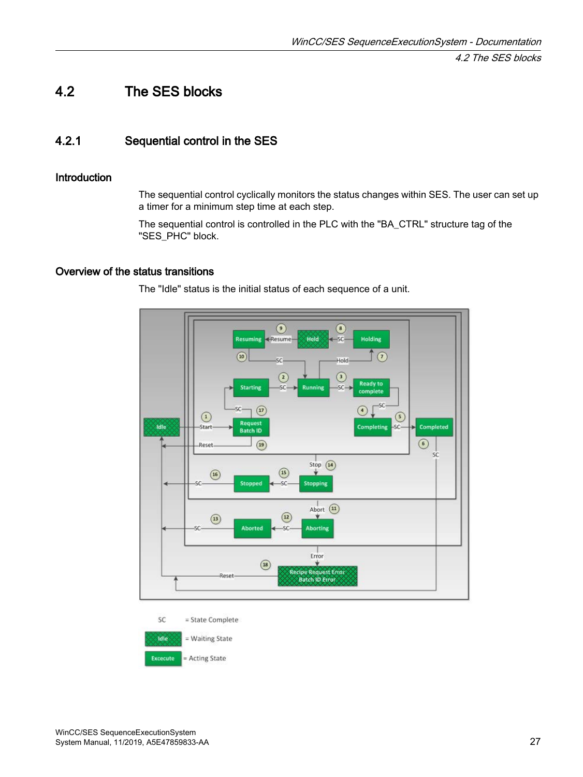## <span id="page-26-0"></span>4.2 The SES blocks

## 4.2.1 Sequential control in the SES

#### Introduction

The sequential control cyclically monitors the status changes within SES. The user can set up a timer for a minimum step time at each step.

The sequential control is controlled in the PLC with the "BA\_CTRL" structure tag of the "SES\_PHC" block.

#### Overview of the status transitions

The "Idle" status is the initial status of each sequence of a unit.





**Excecute** 

= Acting State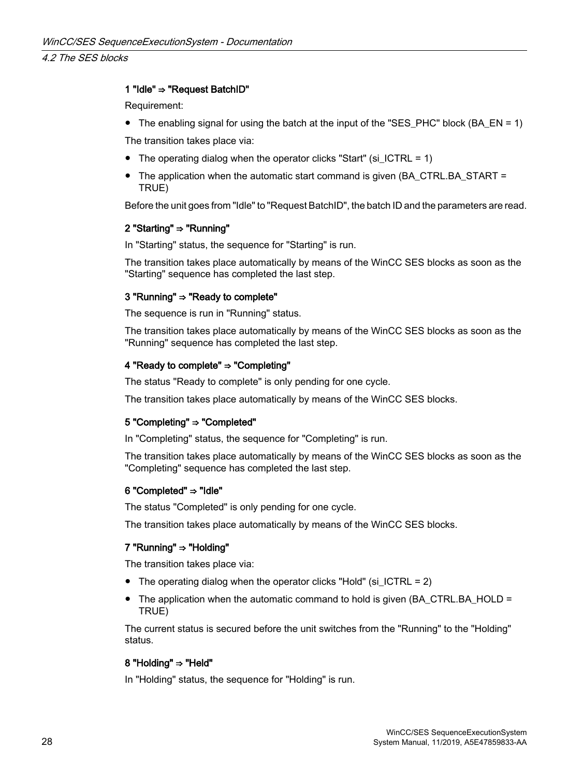#### 1 "Idle" ⇒ "Request BatchID"

Requirement:

• The enabling signal for using the batch at the input of the "SES PHC" block (BA\_EN = 1)

The transition takes place via:

- The operating dialog when the operator clicks "Start" (si\_ICTRL = 1)
- The application when the automatic start command is given (BA\_CTRL.BA\_START = TRUE)

Before the unit goes from "Idle" to "Request BatchID", the batch ID and the parameters are read.

#### 2 "Starting" ⇒ "Running"

In "Starting" status, the sequence for "Starting" is run.

The transition takes place automatically by means of the WinCC SES blocks as soon as the "Starting" sequence has completed the last step.

#### 3 "Running" ⇒ "Ready to complete"

The sequence is run in "Running" status.

The transition takes place automatically by means of the WinCC SES blocks as soon as the "Running" sequence has completed the last step.

#### 4 "Ready to complete" ⇒ "Completing"

The status "Ready to complete" is only pending for one cycle.

The transition takes place automatically by means of the WinCC SES blocks.

#### 5 "Completing" ⇒ "Completed"

In "Completing" status, the sequence for "Completing" is run.

The transition takes place automatically by means of the WinCC SES blocks as soon as the "Completing" sequence has completed the last step.

#### 6 "Completed" ⇒ "Idle"

The status "Completed" is only pending for one cycle.

The transition takes place automatically by means of the WinCC SES blocks.

#### 7 "Running" ⇒ "Holding"

The transition takes place via:

- $\bullet$  The operating dialog when the operator clicks "Hold" (si\_ICTRL = 2)
- The application when the automatic command to hold is given (BA\_CTRL.BA\_HOLD = TRUE)

The current status is secured before the unit switches from the "Running" to the "Holding" status.

#### 8 "Holding" ⇒ "Held"

In "Holding" status, the sequence for "Holding" is run.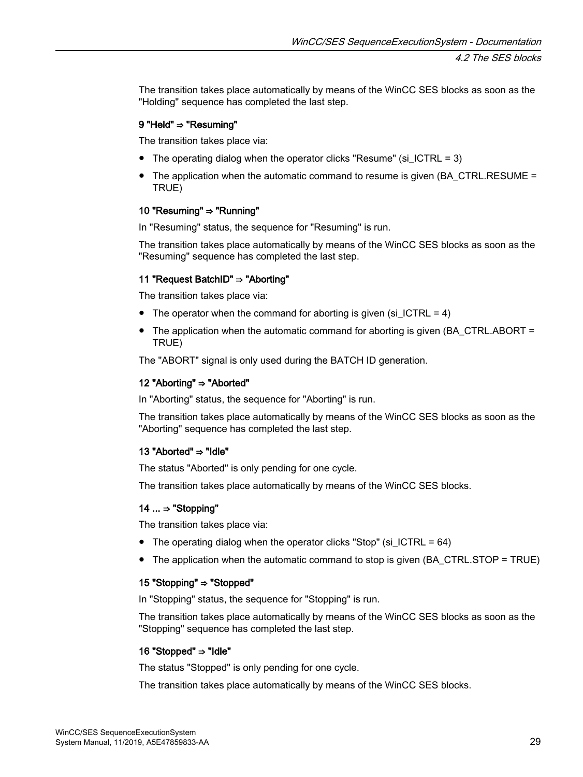The transition takes place automatically by means of the WinCC SES blocks as soon as the "Holding" sequence has completed the last step.

## 9 "Held" ⇒ "Resuming"

The transition takes place via:

- The operating dialog when the operator clicks "Resume" (si\_ICTRL = 3)
- The application when the automatic command to resume is given (BA\_CTRL.RESUME = TRUE)

## 10 "Resuming" ⇒ "Running"

In "Resuming" status, the sequence for "Resuming" is run.

The transition takes place automatically by means of the WinCC SES blocks as soon as the "Resuming" sequence has completed the last step.

## 11 "Request BatchID" ⇒ "Aborting"

The transition takes place via:

- The operator when the command for aborting is given  $(s_i_l)$ CTRL = 4)
- The application when the automatic command for aborting is given (BA\_CTRL.ABORT = TRUE)

The "ABORT" signal is only used during the BATCH ID generation.

## 12 "Aborting" ⇒ "Aborted"

In "Aborting" status, the sequence for "Aborting" is run.

The transition takes place automatically by means of the WinCC SES blocks as soon as the "Aborting" sequence has completed the last step.

## 13 "Aborted" ⇒ "Idle"

The status "Aborted" is only pending for one cycle.

The transition takes place automatically by means of the WinCC SES blocks.

## 14 ... ⇒ "Stopping"

The transition takes place via:

- The operating dialog when the operator clicks "Stop" (si ICTRL =  $64$ )
- The application when the automatic command to stop is given (BA\_CTRL.STOP = TRUE)

## 15 "Stopping" ⇒ "Stopped"

In "Stopping" status, the sequence for "Stopping" is run.

The transition takes place automatically by means of the WinCC SES blocks as soon as the "Stopping" sequence has completed the last step.

## 16 "Stopped" ⇒ "Idle"

The status "Stopped" is only pending for one cycle.

The transition takes place automatically by means of the WinCC SES blocks.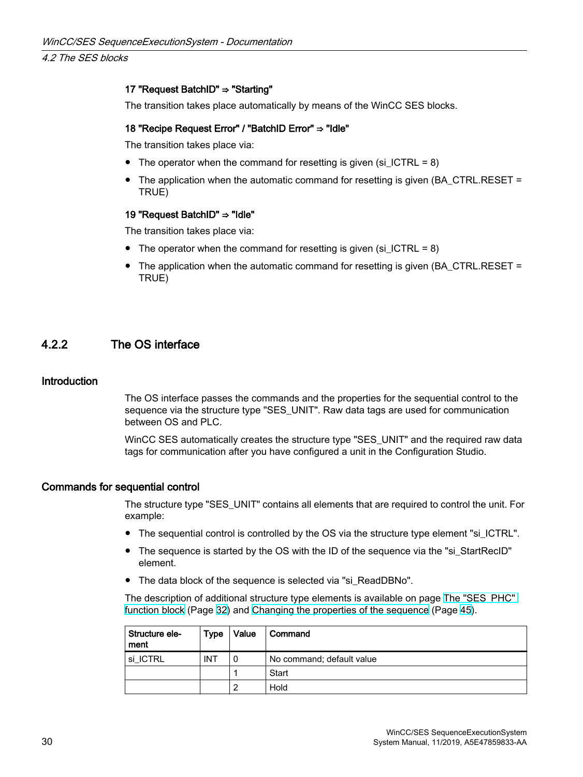#### <span id="page-29-0"></span>17 "Request BatchID" ⇒ "Starting"

The transition takes place automatically by means of the WinCC SES blocks.

#### 18 "Recipe Request Error" / "BatchID Error" ⇒ "Idle"

The transition takes place via:

- The operator when the command for resetting is given (si ICTRL =  $8$ )
- The application when the automatic command for resetting is given (BA\_CTRL.RESET = TRUE)

#### 19 "Request BatchID" ⇒ "Idle"

The transition takes place via:

- The operator when the command for resetting is given (si ICTRL =  $8$ )
- The application when the automatic command for resetting is given (BA\_CTRL.RESET = TRUE)

## 4.2.2 The OS interface

#### Introduction

The OS interface passes the commands and the properties for the sequential control to the sequence via the structure type "SES\_UNIT". Raw data tags are used for communication between OS and PLC.

WinCC SES automatically creates the structure type "SES\_UNIT" and the required raw data tags for communication after you have configured a unit in the Configuration Studio.

#### Commands for sequential control

The structure type "SES\_UNIT" contains all elements that are required to control the unit. For example:

- The sequential control is controlled by the OS via the structure type element "si\_ICTRL".
- The sequence is started by the OS with the ID of the sequence via the "si\_StartRecID" element.
- The data block of the sequence is selected via "si\_ReadDBNo".

The description of additional structure type elements is available on page [The "SES\\_PHC"](#page-31-0)  [function block](#page-31-0) (Page [32](#page-31-0)) and [Changing the properties of the sequence](#page-44-0) (Page [45\)](#page-44-0).

| Structure ele-<br>ment | <b>Type</b> | Value | l Command                 |  |
|------------------------|-------------|-------|---------------------------|--|
| si ICTRL               | <b>INT</b>  |       | No command; default value |  |
|                        |             |       | Start                     |  |
|                        |             | 2     | Hold                      |  |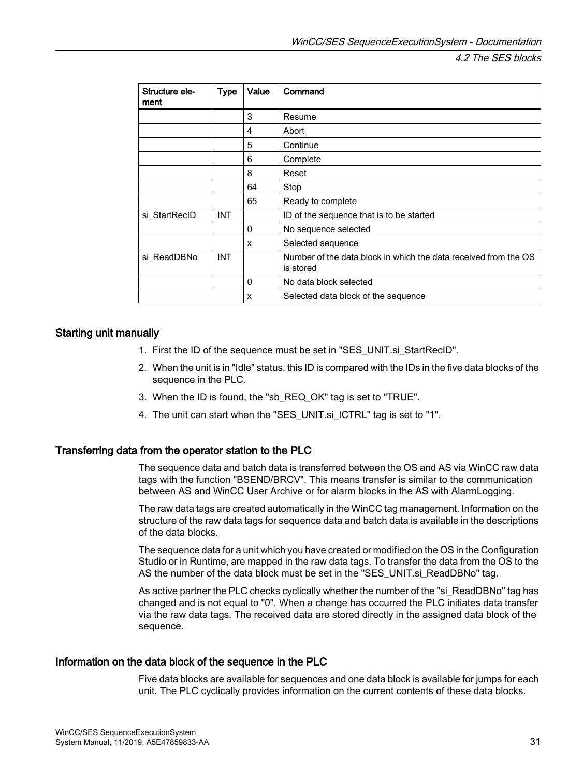| Structure ele-<br>ment | <b>Type</b> | Value        | Command                                                                      |
|------------------------|-------------|--------------|------------------------------------------------------------------------------|
|                        |             | 3            | Resume                                                                       |
|                        |             | 4            | Abort                                                                        |
|                        |             | 5            | Continue                                                                     |
|                        |             | 6            | Complete                                                                     |
|                        |             | 8            | Reset                                                                        |
|                        |             | 64           | Stop                                                                         |
|                        |             | 65           | Ready to complete                                                            |
| si_StartRecID          | <b>INT</b>  |              | ID of the sequence that is to be started                                     |
|                        |             | 0            | No sequence selected                                                         |
|                        |             | x            | Selected sequence                                                            |
| si ReadDBNo            | <b>INT</b>  |              | Number of the data block in which the data received from the OS<br>is stored |
|                        |             | $\mathbf{0}$ | No data block selected                                                       |
|                        |             | x            | Selected data block of the sequence                                          |

#### Starting unit manually

- 1. First the ID of the sequence must be set in "SES\_UNIT.si\_StartRecID".
- 2. When the unit is in "Idle" status, this ID is compared with the IDs in the five data blocks of the sequence in the PLC.
- 3. When the ID is found, the "sb\_REQ\_OK" tag is set to "TRUE".
- 4. The unit can start when the "SES\_UNIT.si\_ICTRL" tag is set to "1".

#### Transferring data from the operator station to the PLC

The sequence data and batch data is transferred between the OS and AS via WinCC raw data tags with the function "BSEND/BRCV". This means transfer is similar to the communication between AS and WinCC User Archive or for alarm blocks in the AS with AlarmLogging.

The raw data tags are created automatically in the WinCC tag management. Information on the structure of the raw data tags for sequence data and batch data is available in the descriptions of the data blocks.

The sequence data for a unit which you have created or modified on the OS in the Configuration Studio or in Runtime, are mapped in the raw data tags. To transfer the data from the OS to the AS the number of the data block must be set in the "SES\_UNIT.si\_ReadDBNo" tag.

As active partner the PLC checks cyclically whether the number of the "si\_ReadDBNo" tag has changed and is not equal to "0". When a change has occurred the PLC initiates data transfer via the raw data tags. The received data are stored directly in the assigned data block of the sequence.

#### Information on the data block of the sequence in the PLC

Five data blocks are available for sequences and one data block is available for jumps for each unit. The PLC cyclically provides information on the current contents of these data blocks.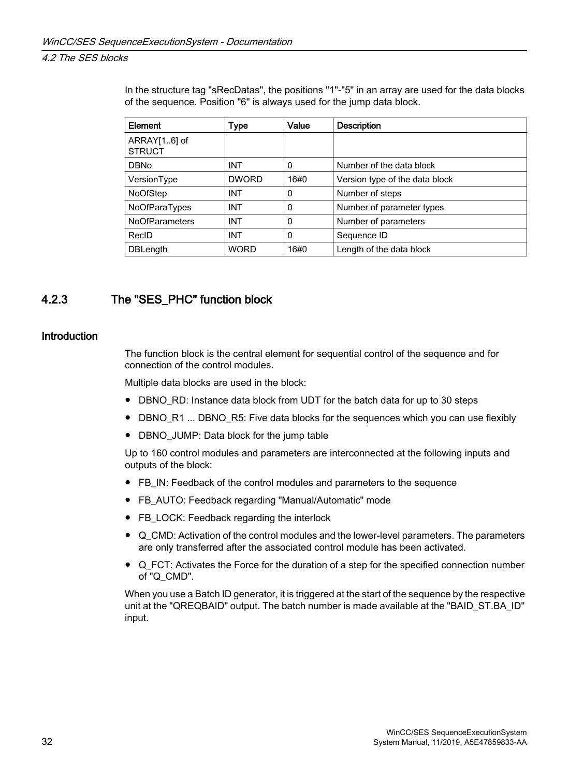<span id="page-31-0"></span>In the structure tag "sRecDatas", the positions "1"-"5" in an array are used for the data blocks of the sequence. Position "6" is always used for the jump data block.

| Element                         | <b>Type</b>  | Value    | <b>Description</b>             |
|---------------------------------|--------------|----------|--------------------------------|
| $ARRAY[16]$ of<br><b>STRUCT</b> |              |          |                                |
| <b>DBNo</b>                     | <b>INT</b>   | 0        | Number of the data block       |
| VersionType                     | <b>DWORD</b> | 16#0     | Version type of the data block |
| <b>NoOfStep</b>                 | <b>INT</b>   | 0        | Number of steps                |
| NoOfParaTypes                   | <b>INT</b>   | 0        | Number of parameter types      |
| <b>NoOfParameters</b>           | <b>INT</b>   | $\Omega$ | Number of parameters           |
| RecID                           | <b>INT</b>   | 0        | Sequence ID                    |
| <b>DBLength</b>                 | <b>WORD</b>  | 16#0     | Length of the data block       |

## 4.2.3 The "SES\_PHC" function block

#### Introduction

The function block is the central element for sequential control of the sequence and for connection of the control modules.

Multiple data blocks are used in the block:

- DBNO\_RD: Instance data block from UDT for the batch data for up to 30 steps
- DBNO\_R1 ... DBNO\_R5: Five data blocks for the sequences which you can use flexibly
- DBNO JUMP: Data block for the jump table

Up to 160 control modules and parameters are interconnected at the following inputs and outputs of the block:

- FB\_IN: Feedback of the control modules and parameters to the sequence
- FB\_AUTO: Feedback regarding "Manual/Automatic" mode
- FB\_LOCK: Feedback regarding the interlock
- Q CMD: Activation of the control modules and the lower-level parameters. The parameters are only transferred after the associated control module has been activated.
- Q\_FCT: Activates the Force for the duration of a step for the specified connection number of "Q\_CMD".

When you use a Batch ID generator, it is triggered at the start of the sequence by the respective unit at the "QREQBAID" output. The batch number is made available at the "BAID\_ST.BA\_ID" input.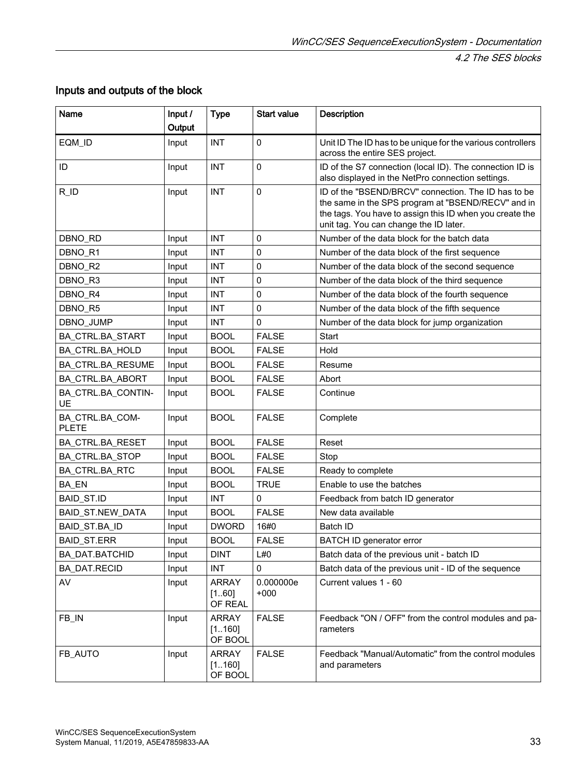## Inputs and outputs of the block

| Name                            | Input /<br>Output | <b>Type</b>                       | <b>Start value</b>  | <b>Description</b>                                                                                                                                                                                              |
|---------------------------------|-------------------|-----------------------------------|---------------------|-----------------------------------------------------------------------------------------------------------------------------------------------------------------------------------------------------------------|
| EQM_ID                          | Input             | <b>INT</b>                        | 0                   | Unit ID The ID has to be unique for the various controllers<br>across the entire SES project.                                                                                                                   |
| ID                              | Input             | <b>INT</b>                        | 0                   | ID of the S7 connection (local ID). The connection ID is<br>also displayed in the NetPro connection settings.                                                                                                   |
| $R$ <sub>ID</sub>               | Input             | <b>INT</b>                        | 0                   | ID of the "BSEND/BRCV" connection. The ID has to be<br>the same in the SPS program at "BSEND/RECV" and in<br>the tags. You have to assign this ID when you create the<br>unit tag. You can change the ID later. |
| DBNO_RD                         | Input             | <b>INT</b>                        | 0                   | Number of the data block for the batch data                                                                                                                                                                     |
| DBNO_R1                         | Input             | <b>INT</b>                        | 0                   | Number of the data block of the first sequence                                                                                                                                                                  |
| DBNO_R2                         | Input             | <b>INT</b>                        | 0                   | Number of the data block of the second sequence                                                                                                                                                                 |
| DBNO_R3                         | Input             | <b>INT</b>                        | 0                   | Number of the data block of the third sequence                                                                                                                                                                  |
| DBNO_R4                         | Input             | <b>INT</b>                        | 0                   | Number of the data block of the fourth sequence                                                                                                                                                                 |
| DBNO_R5                         | Input             | <b>INT</b>                        | 0                   | Number of the data block of the fifth sequence                                                                                                                                                                  |
| DBNO_JUMP                       | Input             | <b>INT</b>                        | 0                   | Number of the data block for jump organization                                                                                                                                                                  |
| <b>BA CTRL.BA START</b>         | Input             | <b>BOOL</b>                       | <b>FALSE</b>        | Start                                                                                                                                                                                                           |
| <b>BA CTRL.BA HOLD</b>          | Input             | <b>BOOL</b>                       | <b>FALSE</b>        | Hold                                                                                                                                                                                                            |
| BA_CTRL.BA_RESUME               | Input             | <b>BOOL</b>                       | <b>FALSE</b>        | Resume                                                                                                                                                                                                          |
| BA_CTRL.BA_ABORT                | Input             | <b>BOOL</b>                       | <b>FALSE</b>        | Abort                                                                                                                                                                                                           |
| BA_CTRL.BA_CONTIN-<br>UE        | Input             | <b>BOOL</b>                       | <b>FALSE</b>        | Continue                                                                                                                                                                                                        |
| BA_CTRL.BA_COM-<br><b>PLETE</b> | Input             | <b>BOOL</b>                       | <b>FALSE</b>        | Complete                                                                                                                                                                                                        |
| BA_CTRL.BA_RESET                | Input             | <b>BOOL</b>                       | <b>FALSE</b>        | Reset                                                                                                                                                                                                           |
| BA_CTRL.BA_STOP                 | Input             | <b>BOOL</b>                       | <b>FALSE</b>        | Stop                                                                                                                                                                                                            |
| BA_CTRL.BA_RTC                  | Input             | <b>BOOL</b>                       | <b>FALSE</b>        | Ready to complete                                                                                                                                                                                               |
| <b>BA_EN</b>                    | Input             | <b>BOOL</b>                       | <b>TRUE</b>         | Enable to use the batches                                                                                                                                                                                       |
| <b>BAID_ST.ID</b>               | Input             | <b>INT</b>                        | 0                   | Feedback from batch ID generator                                                                                                                                                                                |
| BAID_ST.NEW_DATA                | Input             | <b>BOOL</b>                       | <b>FALSE</b>        | New data available                                                                                                                                                                                              |
| BAID_ST.BA_ID                   | Input             | <b>DWORD</b>                      | 16#0                | Batch ID                                                                                                                                                                                                        |
| <b>BAID_ST.ERR</b>              | Input             | <b>BOOL</b>                       | <b>FALSE</b>        | BATCH ID generator error                                                                                                                                                                                        |
| <b>BA_DAT.BATCHID</b>           | Input             | <b>DINT</b>                       | L#0                 | Batch data of the previous unit - batch ID                                                                                                                                                                      |
| BA_DAT.RECID                    | Input             | <b>INT</b>                        | 0                   | Batch data of the previous unit - ID of the sequence                                                                                                                                                            |
| AV                              | Input             | <b>ARRAY</b><br>[160]<br>OF REAL  | 0.000000e<br>$+000$ | Current values 1 - 60                                                                                                                                                                                           |
| FB_IN                           | Input             | <b>ARRAY</b><br>[1160]<br>OF BOOL | <b>FALSE</b>        | Feedback "ON / OFF" from the control modules and pa-<br>rameters                                                                                                                                                |
| FB_AUTO                         | Input             | <b>ARRAY</b><br>[1160]<br>OF BOOL | <b>FALSE</b>        | Feedback "Manual/Automatic" from the control modules<br>and parameters                                                                                                                                          |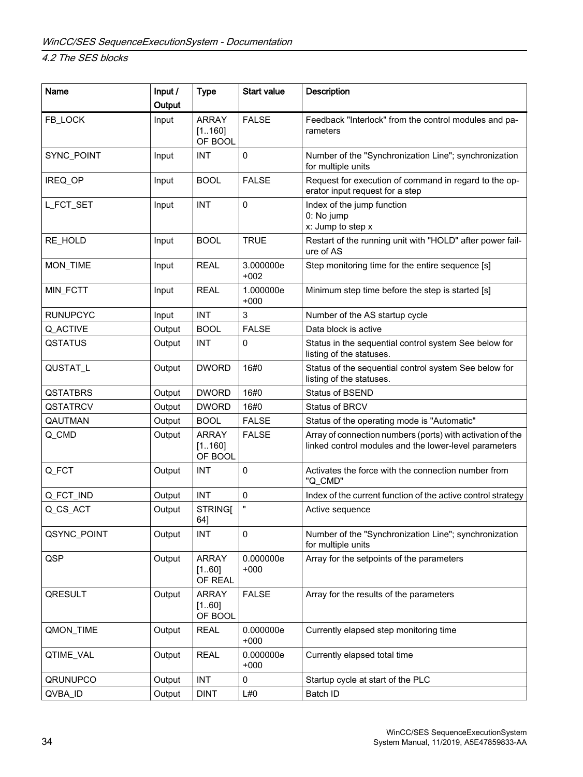| Name            | Input /<br>Output | <b>Type</b>                       | <b>Start value</b>  | <b>Description</b>                                                                                                  |
|-----------------|-------------------|-----------------------------------|---------------------|---------------------------------------------------------------------------------------------------------------------|
| FB_LOCK         | Input             | <b>ARRAY</b><br>[1160]<br>OF BOOL | <b>FALSE</b>        | Feedback "Interlock" from the control modules and pa-<br>rameters                                                   |
| SYNC_POINT      | Input             | <b>INT</b>                        | 0                   | Number of the "Synchronization Line"; synchronization<br>for multiple units                                         |
| IREQ_OP         | Input             | <b>BOOL</b>                       | <b>FALSE</b>        | Request for execution of command in regard to the op-<br>erator input request for a step                            |
| L_FCT_SET       | Input             | <b>INT</b>                        | 0                   | Index of the jump function<br>0: No jump<br>x: Jump to step x                                                       |
| RE_HOLD         | Input             | <b>BOOL</b>                       | <b>TRUE</b>         | Restart of the running unit with "HOLD" after power fail-<br>ure of AS                                              |
| MON_TIME        | Input             | <b>REAL</b>                       | 3.000000e<br>$+002$ | Step monitoring time for the entire sequence [s]                                                                    |
| MIN_FCTT        | Input             | <b>REAL</b>                       | 1.000000e<br>$+000$ | Minimum step time before the step is started [s]                                                                    |
| <b>RUNUPCYC</b> | Input             | <b>INT</b>                        | 3                   | Number of the AS startup cycle                                                                                      |
| Q_ACTIVE        | Output            | <b>BOOL</b>                       | <b>FALSE</b>        | Data block is active                                                                                                |
| QSTATUS         | Output            | <b>INT</b>                        | 0                   | Status in the sequential control system See below for<br>listing of the statuses.                                   |
| QUSTAT_L        | Output            | <b>DWORD</b>                      | 16#0                | Status of the sequential control system See below for<br>listing of the statuses.                                   |
| <b>QSTATBRS</b> | Output            | <b>DWORD</b>                      | 16#0                | <b>Status of BSEND</b>                                                                                              |
| <b>QSTATRCV</b> | Output            | <b>DWORD</b>                      | 16#0                | <b>Status of BRCV</b>                                                                                               |
| QAUTMAN         | Output            | <b>BOOL</b>                       | <b>FALSE</b>        | Status of the operating mode is "Automatic"                                                                         |
| Q_CMD           | Output            | <b>ARRAY</b><br>[1160]<br>OF BOOL | <b>FALSE</b>        | Array of connection numbers (ports) with activation of the<br>linked control modules and the lower-level parameters |
| Q FCT           | Output            | <b>INT</b>                        | 0                   | Activates the force with the connection number from<br>"Q_CMD"                                                      |
| Q_FCT_IND       | Output            | <b>INT</b>                        | 0                   | Index of the current function of the active control strategy                                                        |
| Q_CS_ACT        | Output            | <b>STRING[</b><br>64]             | $\mathbf{u}$        | Active sequence                                                                                                     |
| QSYNC_POINT     | Output            | <b>INT</b>                        | 0                   | Number of the "Synchronization Line"; synchronization<br>for multiple units                                         |
| QSP             | Output            | <b>ARRAY</b><br>[160]<br>OF REAL  | 0.000000e<br>$+000$ | Array for the setpoints of the parameters                                                                           |
| QRESULT         | Output            | <b>ARRAY</b><br>[160]<br>OF BOOL  | <b>FALSE</b>        | Array for the results of the parameters                                                                             |
| QMON_TIME       | Output            | <b>REAL</b>                       | 0.000000e<br>$+000$ | Currently elapsed step monitoring time                                                                              |
| QTIME_VAL       | Output            | <b>REAL</b>                       | 0.000000e<br>$+000$ | Currently elapsed total time                                                                                        |
| QRUNUPCO        | Output            | <b>INT</b>                        | 0                   | Startup cycle at start of the PLC                                                                                   |
| QVBA_ID         | Output            | <b>DINT</b>                       | L#0                 | Batch ID                                                                                                            |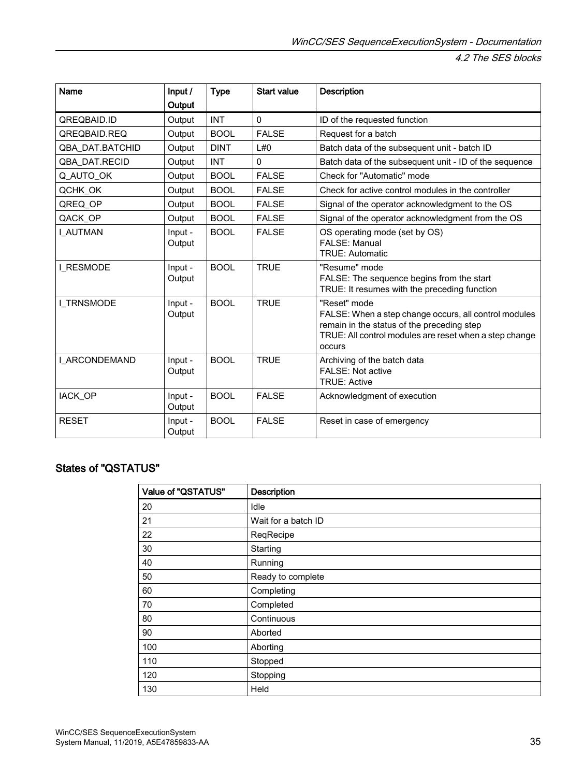| Name                 | Input /           | <b>Type</b> | <b>Start value</b> | <b>Description</b>                                                                                                                                                                             |
|----------------------|-------------------|-------------|--------------------|------------------------------------------------------------------------------------------------------------------------------------------------------------------------------------------------|
|                      | Output            |             |                    |                                                                                                                                                                                                |
| QREQBAID.ID          | Output            | <b>INT</b>  | 0                  | ID of the requested function                                                                                                                                                                   |
| QREQBAID.REQ         | Output            | <b>BOOL</b> | <b>FALSE</b>       | Request for a batch                                                                                                                                                                            |
| QBA DAT.BATCHID      | Output            | <b>DINT</b> | L#0                | Batch data of the subsequent unit - batch ID                                                                                                                                                   |
| <b>QBA DAT.RECID</b> | Output            | <b>INT</b>  | $\Omega$           | Batch data of the subsequent unit - ID of the sequence                                                                                                                                         |
| Q AUTO OK            | Output            | <b>BOOL</b> | <b>FALSE</b>       | Check for "Automatic" mode                                                                                                                                                                     |
| QCHK OK              | Output            | <b>BOOL</b> | <b>FALSE</b>       | Check for active control modules in the controller                                                                                                                                             |
| QREQ OP              | Output            | <b>BOOL</b> | <b>FALSE</b>       | Signal of the operator acknowledgment to the OS                                                                                                                                                |
| QACK_OP              | Output            | <b>BOOL</b> | <b>FALSE</b>       | Signal of the operator acknowledgment from the OS                                                                                                                                              |
| <b>I AUTMAN</b>      | Input -<br>Output | <b>BOOL</b> | <b>FALSE</b>       | OS operating mode (set by OS)<br>FALSE: Manual<br><b>TRUE: Automatic</b>                                                                                                                       |
| I_RESMODE            | Input -<br>Output | <b>BOOL</b> | <b>TRUE</b>        | "Resume" mode<br>FALSE: The sequence begins from the start<br>TRUE: It resumes with the preceding function                                                                                     |
| <b>I_TRNSMODE</b>    | Input -<br>Output | <b>BOOL</b> | <b>TRUE</b>        | "Reset" mode<br>FALSE: When a step change occurs, all control modules<br>remain in the status of the preceding step<br>TRUE: All control modules are reset when a step change<br><b>OCCULS</b> |
| <b>I ARCONDEMAND</b> | Input -<br>Output | <b>BOOL</b> | <b>TRUE</b>        | Archiving of the batch data<br><b>FALSE: Not active</b><br><b>TRUE: Active</b>                                                                                                                 |
| IACK_OP              | Input -<br>Output | <b>BOOL</b> | <b>FALSE</b>       | Acknowledgment of execution                                                                                                                                                                    |
| <b>RESET</b>         | Input -<br>Output | <b>BOOL</b> | <b>FALSE</b>       | Reset in case of emergency                                                                                                                                                                     |

## States of "QSTATUS"

| Value of "QSTATUS" | <b>Description</b>  |  |
|--------------------|---------------------|--|
| 20                 | Idle                |  |
| 21                 | Wait for a batch ID |  |
| 22                 | ReqRecipe           |  |
| 30                 | Starting            |  |
| 40                 | Running             |  |
| 50                 | Ready to complete   |  |
| 60                 | Completing          |  |
| 70                 | Completed           |  |
| 80                 | Continuous          |  |
| 90                 | Aborted             |  |
| 100                | Aborting            |  |
| 110                | Stopped             |  |
| 120                | Stopping            |  |
| 130                | Held                |  |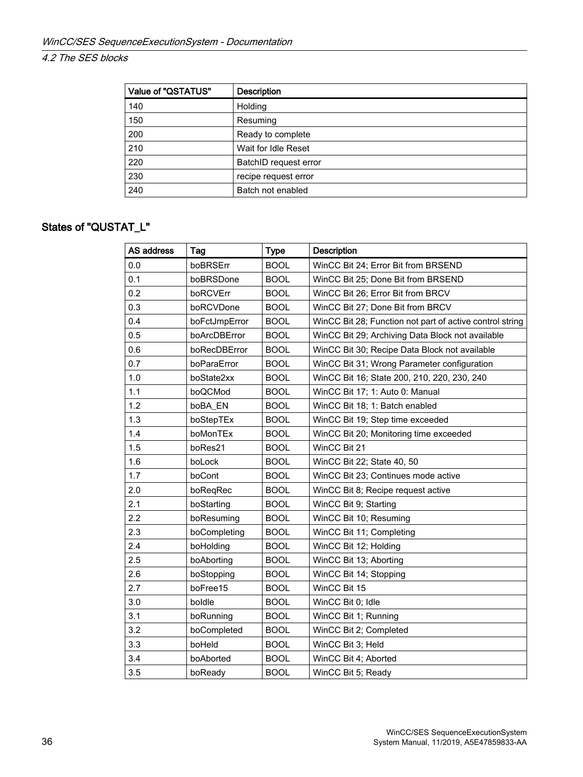| Value of "QSTATUS" | <b>Description</b>    |  |
|--------------------|-----------------------|--|
| 140                | Holding               |  |
| 150                | Resuming              |  |
| 200                | Ready to complete     |  |
| 210                | Wait for Idle Reset   |  |
| 220                | BatchID request error |  |
| 230                | recipe request error  |  |
| 240                | Batch not enabled     |  |

## States of "QUSTAT\_L"

| <b>AS address</b> | Tag           | <b>Type</b> | <b>Description</b>                                       |
|-------------------|---------------|-------------|----------------------------------------------------------|
| 0.0               | boBRSErr      | <b>BOOL</b> | WinCC Bit 24; Error Bit from BRSEND                      |
| 0.1               | boBRSDone     | <b>BOOL</b> | WinCC Bit 25; Done Bit from BRSEND                       |
| 0.2               | boRCVErr      | <b>BOOL</b> | WinCC Bit 26; Error Bit from BRCV                        |
| 0.3               | boRCVDone     | <b>BOOL</b> | WinCC Bit 27; Done Bit from BRCV                         |
| 0.4               | boFctJmpError | <b>BOOL</b> | WinCC Bit 28; Function not part of active control string |
| 0.5               | boArcDBError  | <b>BOOL</b> | WinCC Bit 29; Archiving Data Block not available         |
| 0.6               | boRecDBError  | <b>BOOL</b> | WinCC Bit 30; Recipe Data Block not available            |
| 0.7               | boParaError   | <b>BOOL</b> | WinCC Bit 31; Wrong Parameter configuration              |
| 1.0               | boState2xx    | <b>BOOL</b> | WinCC Bit 16; State 200, 210, 220, 230, 240              |
| 1.1               | boQCMod       | <b>BOOL</b> | WinCC Bit 17; 1: Auto 0: Manual                          |
| 1.2               | boBA_EN       | <b>BOOL</b> | WinCC Bit 18; 1: Batch enabled                           |
| 1.3               | boStepTEx     | <b>BOOL</b> | WinCC Bit 19; Step time exceeded                         |
| 1.4               | boMonTEx      | <b>BOOL</b> | WinCC Bit 20; Monitoring time exceeded                   |
| 1.5               | boRes21       | <b>BOOL</b> | WinCC Bit 21                                             |
| 1.6               | boLock        | <b>BOOL</b> | WinCC Bit 22; State 40, 50                               |
| 1.7               | boCont        | <b>BOOL</b> | WinCC Bit 23; Continues mode active                      |
| 2.0               | boReqRec      | <b>BOOL</b> | WinCC Bit 8; Recipe request active                       |
| 2.1               | boStarting    | <b>BOOL</b> | WinCC Bit 9; Starting                                    |
| 2.2               | boResuming    | <b>BOOL</b> | WinCC Bit 10; Resuming                                   |
| 2.3               | boCompleting  | <b>BOOL</b> | WinCC Bit 11; Completing                                 |
| 2.4               | boHolding     | <b>BOOL</b> | WinCC Bit 12; Holding                                    |
| 2.5               | boAborting    | <b>BOOL</b> | WinCC Bit 13; Aborting                                   |
| 2.6               | boStopping    | <b>BOOL</b> | WinCC Bit 14; Stopping                                   |
| 2.7               | boFree15      | <b>BOOL</b> | WinCC Bit 15                                             |
| 3.0               | boldle        | <b>BOOL</b> | WinCC Bit 0; Idle                                        |
| 3.1               | boRunning     | <b>BOOL</b> | WinCC Bit 1; Running                                     |
| 3.2               | boCompleted   | <b>BOOL</b> | WinCC Bit 2; Completed                                   |
| 3.3               | boHeld        | <b>BOOL</b> | WinCC Bit 3; Held                                        |
| 3.4               | boAborted     | <b>BOOL</b> | WinCC Bit 4; Aborted                                     |
| 3.5               | boReady       | <b>BOOL</b> | WinCC Bit 5; Ready                                       |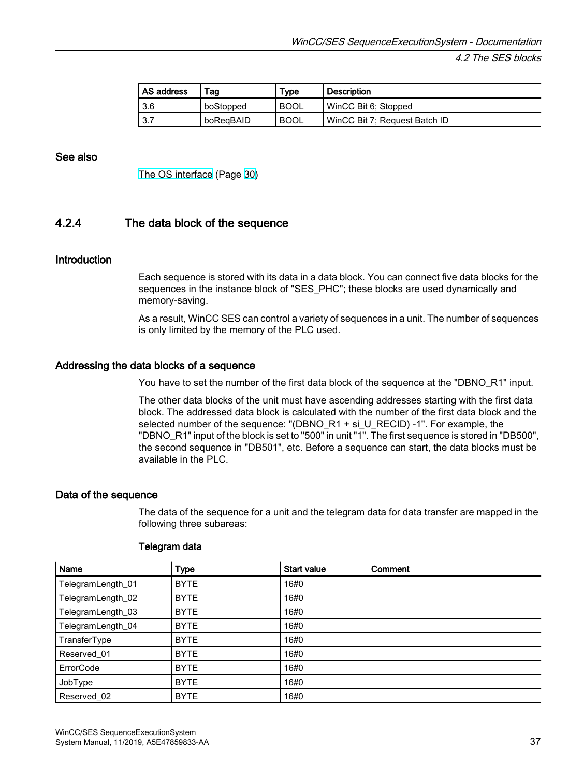| AS address | Tag       | Type        | Description                   |
|------------|-----------|-------------|-------------------------------|
| 3.6        | boStopped | <b>BOOL</b> | WinCC Bit 6; Stopped          |
| 3.7        | boReaBAID | <b>BOOL</b> | WinCC Bit 7: Request Batch ID |

#### See also

[The OS interface](#page-29-0) (Page [30\)](#page-29-0)

# 4.2.4 The data block of the sequence

#### Introduction

Each sequence is stored with its data in a data block. You can connect five data blocks for the sequences in the instance block of "SES\_PHC"; these blocks are used dynamically and memory-saving.

As a result, WinCC SES can control a variety of sequences in a unit. The number of sequences is only limited by the memory of the PLC used.

#### Addressing the data blocks of a sequence

You have to set the number of the first data block of the sequence at the "DBNO\_R1" input.

The other data blocks of the unit must have ascending addresses starting with the first data block. The addressed data block is calculated with the number of the first data block and the selected number of the sequence: "(DBNO\_R1 + si\_U\_RECID) -1". For example, the "DBNO\_R1" input of the block is set to "500" in unit "1". The first sequence is stored in "DB500", the second sequence in "DB501", etc. Before a sequence can start, the data blocks must be available in the PLC.

#### Data of the sequence

The data of the sequence for a unit and the telegram data for data transfer are mapped in the following three subareas:

| <b>Name</b>       | <b>Type</b> | <b>Start value</b> | Comment |
|-------------------|-------------|--------------------|---------|
| TelegramLength_01 | <b>BYTE</b> | 16#0               |         |
| TelegramLength_02 | <b>BYTE</b> | 16#0               |         |
| TelegramLength_03 | <b>BYTE</b> | 16#0               |         |
| TelegramLength_04 | <b>BYTE</b> | 16#0               |         |
| TransferType      | <b>BYTE</b> | 16#0               |         |
| Reserved 01       | <b>BYTE</b> | 16#0               |         |
| ErrorCode         | <b>BYTE</b> | 16#0               |         |
| JobType           | <b>BYTE</b> | 16#0               |         |
| Reserved 02       | <b>BYTE</b> | 16#0               |         |

#### Telegram data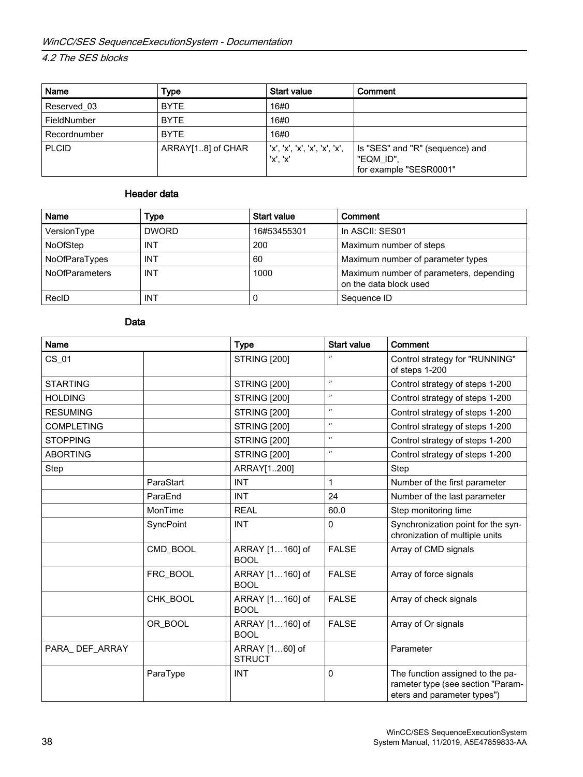| Name         | Type              | <b>Start value</b>                        | Comment                                                                |
|--------------|-------------------|-------------------------------------------|------------------------------------------------------------------------|
| Reserved 03  | <b>BYTE</b>       | 16#0                                      |                                                                        |
| FieldNumber  | <b>BYTE</b>       | 16#0                                      |                                                                        |
| Recordnumber | <b>BYTE</b>       | 16#0                                      |                                                                        |
| <b>PLCID</b> | ARRAY[18] of CHAR | 'x', 'x', 'x', 'x', 'x', 'x',<br>'x', 'x' | Is "SES" and "R" (sequence) and<br>"EQM ID",<br>for example "SESR0001" |

# Header data

| Name                  | Type         | <b>Start value</b> | Comment                                                           |
|-----------------------|--------------|--------------------|-------------------------------------------------------------------|
| VersionType           | <b>DWORD</b> | 16#53455301        | In ASCII: SES01                                                   |
| <b>NoOfStep</b>       | <b>INT</b>   | 200                | Maximum number of steps                                           |
| NoOfParaTypes         | INT          | 60                 | Maximum number of parameter types                                 |
| <b>NoOfParameters</b> | <b>INT</b>   | 1000               | Maximum number of parameters, depending<br>on the data block used |
| RecID                 | INT          |                    | Sequence ID                                                       |

## Data

| Name              |           | <b>Type</b>                     | <b>Start value</b> | Comment                                                                                              |
|-------------------|-----------|---------------------------------|--------------------|------------------------------------------------------------------------------------------------------|
| CS_01             |           | <b>STRING [200]</b>             | $\epsilon$         | Control strategy for "RUNNING"<br>of steps 1-200                                                     |
| <b>STARTING</b>   |           | <b>STRING [200]</b>             | $\epsilon$         | Control strategy of steps 1-200                                                                      |
| <b>HOLDING</b>    |           | <b>STRING [200]</b>             | $\epsilon$         | Control strategy of steps 1-200                                                                      |
| <b>RESUMING</b>   |           | <b>STRING [200]</b>             | $\pmb{\cdots}$     | Control strategy of steps 1-200                                                                      |
| <b>COMPLETING</b> |           | <b>STRING [200]</b>             | $\epsilon$         | Control strategy of steps 1-200                                                                      |
| <b>STOPPING</b>   |           | <b>STRING [200]</b>             | $\epsilon$         | Control strategy of steps 1-200                                                                      |
| <b>ABORTING</b>   |           | <b>STRING [200]</b>             | $\epsilon$         | Control strategy of steps 1-200                                                                      |
| Step              |           | ARRAY[1200]                     |                    | Step                                                                                                 |
|                   | ParaStart | <b>INT</b>                      | 1                  | Number of the first parameter                                                                        |
|                   | ParaEnd   | <b>INT</b>                      | 24                 | Number of the last parameter                                                                         |
|                   | MonTime   | <b>REAL</b>                     | 60.0               | Step monitoring time                                                                                 |
|                   | SyncPoint | <b>INT</b>                      | 0                  | Synchronization point for the syn-<br>chronization of multiple units                                 |
|                   | CMD BOOL  | ARRAY [1160] of<br><b>BOOL</b>  | <b>FALSE</b>       | Array of CMD signals                                                                                 |
|                   | FRC BOOL  | ARRAY [1160] of<br><b>BOOL</b>  | <b>FALSE</b>       | Array of force signals                                                                               |
|                   | CHK_BOOL  | ARRAY [1160] of<br><b>BOOL</b>  | <b>FALSE</b>       | Array of check signals                                                                               |
|                   | OR BOOL   | ARRAY [1160] of<br><b>BOOL</b>  | <b>FALSE</b>       | Array of Or signals                                                                                  |
| PARA_DEF_ARRAY    |           | ARRAY [160] of<br><b>STRUCT</b> |                    | Parameter                                                                                            |
|                   | ParaType  | <b>INT</b>                      | 0                  | The function assigned to the pa-<br>rameter type (see section "Param-<br>eters and parameter types") |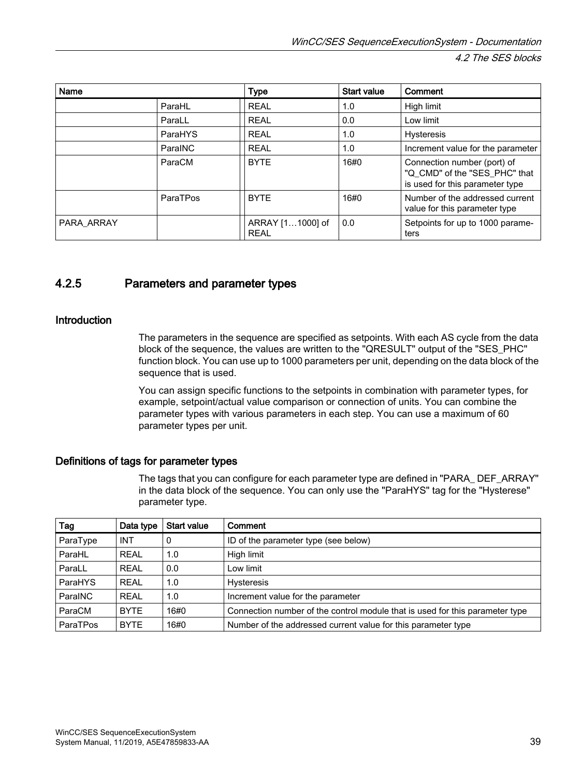<span id="page-38-0"></span>

| Name       |          | <b>Type</b>                     | <b>Start value</b> | Comment                                                                                         |
|------------|----------|---------------------------------|--------------------|-------------------------------------------------------------------------------------------------|
|            | ParaHL   | <b>REAL</b>                     | 1.0                | High limit                                                                                      |
|            | ParaLL   | <b>REAL</b>                     | 0.0                | Low limit                                                                                       |
|            | ParaHYS  | <b>REAL</b>                     | 1.0                | <b>Hysteresis</b>                                                                               |
|            | ParaINC  | <b>REAL</b>                     | 1.0                | Increment value for the parameter                                                               |
|            | ParaCM   | <b>BYTE</b>                     | 16#0               | Connection number (port) of<br>"Q_CMD" of the "SES_PHC" that<br>is used for this parameter type |
|            | ParaTPos | <b>BYTE</b>                     | 16#0               | Number of the addressed current<br>value for this parameter type                                |
| PARA ARRAY |          | ARRAY [11000] of<br><b>REAL</b> | 0.0                | Setpoints for up to 1000 parame-<br>ters                                                        |

# 4.2.5 Parameters and parameter types

### Introduction

The parameters in the sequence are specified as setpoints. With each AS cycle from the data block of the sequence, the values are written to the "QRESULT" output of the "SES\_PHC" function block. You can use up to 1000 parameters per unit, depending on the data block of the sequence that is used.

You can assign specific functions to the setpoints in combination with parameter types, for example, setpoint/actual value comparison or connection of units. You can combine the parameter types with various parameters in each step. You can use a maximum of 60 parameter types per unit.

## Definitions of tags for parameter types

The tags that you can configure for each parameter type are defined in "PARA\_ DEF\_ARRAY" in the data block of the sequence. You can only use the "ParaHYS" tag for the "Hysterese" parameter type.

| Tag      | Data type   | <b>Start value</b> | Comment                                                                      |
|----------|-------------|--------------------|------------------------------------------------------------------------------|
| ParaType | INT         | 0                  | ID of the parameter type (see below)                                         |
| ParaHL   | <b>REAL</b> | 1.0                | High limit                                                                   |
| ParaLL   | <b>REAL</b> | 0.0                | Low limit                                                                    |
| ParaHYS  | <b>REAL</b> | 1.0                | <b>Hysteresis</b>                                                            |
| ParaINC  | <b>REAL</b> | 1.0                | Increment value for the parameter                                            |
| ParaCM   | <b>BYTE</b> | 16#0               | Connection number of the control module that is used for this parameter type |
| ParaTPos | <b>BYTE</b> | 16#0               | Number of the addressed current value for this parameter type                |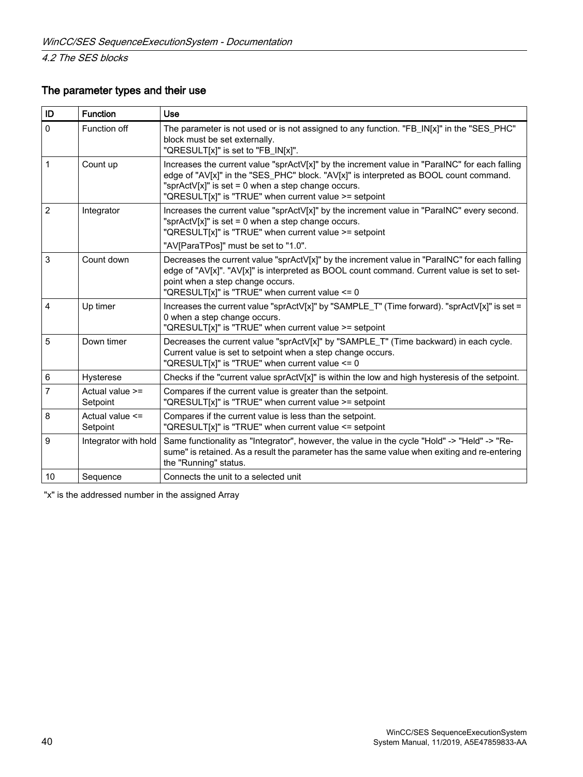# The parameter types and their use

| ID             | <b>Function</b>             | <b>Use</b>                                                                                                                                                                                                                                                                                                |
|----------------|-----------------------------|-----------------------------------------------------------------------------------------------------------------------------------------------------------------------------------------------------------------------------------------------------------------------------------------------------------|
| $\Omega$       | Function off                | The parameter is not used or is not assigned to any function. "FB_IN[x]" in the "SES_PHC"<br>block must be set externally.<br>"QRESULT[x]" is set to "FB_IN[x]".                                                                                                                                          |
| 1              | Count up                    | Increases the current value "sprActV[x]" by the increment value in "ParalNC" for each falling<br>edge of "AV[x]" in the "SES_PHC" block. "AV[x]" is interpreted as BOOL count command.<br>"spr $ActV[x]$ " is set = 0 when a step change occurs.<br>"QRESULT[x]" is "TRUE" when current value >= setpoint |
| $\overline{2}$ | Integrator                  | Increases the current value "sprActV[x]" by the increment value in "ParalNC" every second.<br>"spr $ActV[x]$ " is set = 0 when a step change occurs.<br>"QRESULT[x]" is "TRUE" when current value >= setpoint<br>"AV[ParaTPos]" must be set to "1.0".                                                     |
| 3              | Count down                  | Decreases the current value "sprActV[x]" by the increment value in "ParaINC" for each falling<br>edge of "AV[x]". "AV[x]" is interpreted as BOOL count command. Current value is set to set-<br>point when a step change occurs.<br>"QRESULT[x]" is "TRUE" when current value <= 0                        |
| 4              | Up timer                    | Increases the current value "sprActV[x]" by "SAMPLE_T" (Time forward). "sprActV[x]" is set =<br>0 when a step change occurs.<br>"QRESULT[x]" is "TRUE" when current value >= setpoint                                                                                                                     |
| 5              | Down timer                  | Decreases the current value "sprActV[x]" by "SAMPLE_T" (Time backward) in each cycle.<br>Current value is set to setpoint when a step change occurs.<br>"QRESULT[x]" is "TRUE" when current value <= 0                                                                                                    |
| 6              | Hysterese                   | Checks if the "current value sprActV[x]" is within the low and high hysteresis of the setpoint.                                                                                                                                                                                                           |
| $\overline{7}$ | Actual value >=<br>Setpoint | Compares if the current value is greater than the setpoint.<br>"QRESULT[x]" is "TRUE" when current value >= setpoint                                                                                                                                                                                      |
| 8              | Actual value <=<br>Setpoint | Compares if the current value is less than the setpoint.<br>"QRESULT[x]" is "TRUE" when current value <= setpoint                                                                                                                                                                                         |
| 9              | Integrator with hold        | Same functionality as "Integrator", however, the value in the cycle "Hold" -> "Held" -> "Re-<br>sume" is retained. As a result the parameter has the same value when exiting and re-entering<br>the "Running" status.                                                                                     |
| 10             | Sequence                    | Connects the unit to a selected unit                                                                                                                                                                                                                                                                      |

"x" is the addressed number in the assigned Array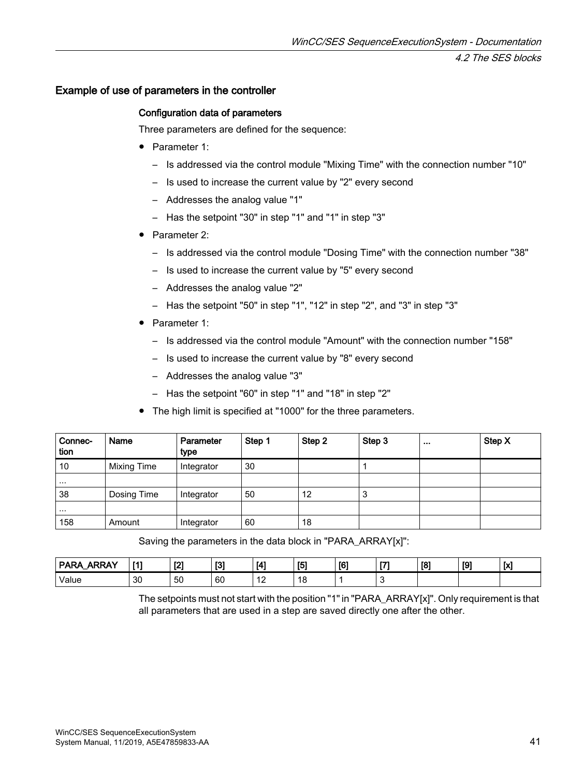# Example of use of parameters in the controller

#### Configuration data of parameters

Three parameters are defined for the sequence:

- Parameter 1:
	- Is addressed via the control module "Mixing Time" with the connection number "10"
	- Is used to increase the current value by "2" every second
	- Addresses the analog value "1"
	- Has the setpoint "30" in step "1" and "1" in step "3"
- Parameter 2:
	- Is addressed via the control module "Dosing Time" with the connection number "38"
	- Is used to increase the current value by "5" every second
	- Addresses the analog value "2"
	- Has the setpoint "50" in step "1", "12" in step "2", and "3" in step "3"
- Parameter 1:
	- Is addressed via the control module "Amount" with the connection number "158"
	- Is used to increase the current value by "8" every second
	- Addresses the analog value "3"
	- Has the setpoint "60" in step "1" and "18" in step "2"
- The high limit is specified at "1000" for the three parameters.

| Connec-<br>tion | Name               | Parameter<br>type | Step 1 | Step 2 | Step 3 | $\cdots$ | Step X |
|-----------------|--------------------|-------------------|--------|--------|--------|----------|--------|
| 10              | <b>Mixing Time</b> | Integrator        | 30     |        |        |          |        |
| $\cdots$        |                    |                   |        |        |        |          |        |
| 38              | Dosing Time        | Integrator        | 50     | 12     | 3      |          |        |
| $\cdots$        |                    |                   |        |        |        |          |        |
| 158             | Amount             | Integrator        | 60     | 18     |        |          |        |

Saving the parameters in the data block in "PARA\_ARRAY[x]":

| <b>ARRAY</b><br><b>PARA</b><br>− | <b>F41</b> | <b>DO</b><br>14                | ro:<br>ю | $\mathsf{I}4$                              | [5] | 6 | [8] | [9] | X |
|----------------------------------|------------|--------------------------------|----------|--------------------------------------------|-----|---|-----|-----|---|
| Value                            | 30         | $\overline{\phantom{0}}$<br>ວເ | 60       | $\overline{ }$<br>$\overline{\phantom{a}}$ | 10. |   |     |     |   |

The setpoints must not start with the position "1" in "PARA\_ARRAY[x]". Only requirement is that all parameters that are used in a step are saved directly one after the other.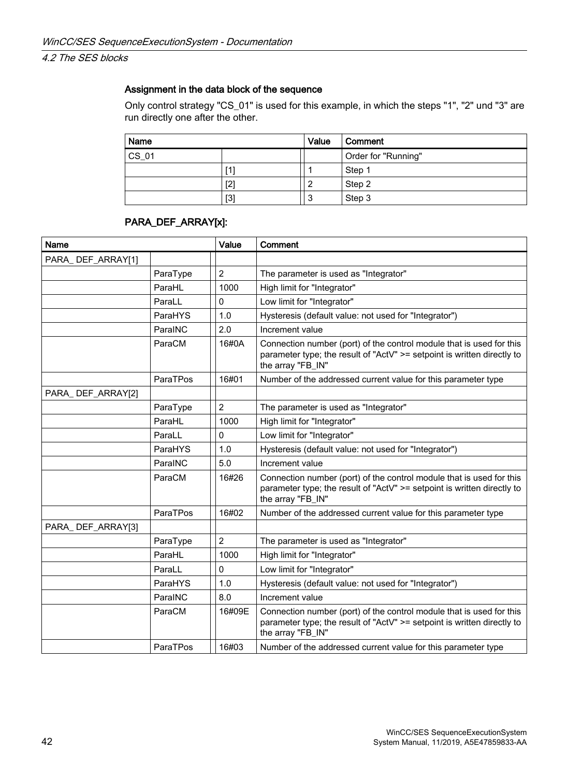## Assignment in the data block of the sequence

Only control strategy "CS\_01" is used for this example, in which the steps "1", "2" und "3" are run directly one after the other.

| Name  |       | Value | Comment             |
|-------|-------|-------|---------------------|
| CS_01 |       |       | Order for "Running" |
|       |       |       | Step 1              |
|       | [2]   | 2     | Step 2              |
|       | $[3]$ | 3     | Step 3              |

# PARA\_DEF\_ARRAY[x]:

| Name              |          | Value          | Comment                                                                                                                                                              |  |  |
|-------------------|----------|----------------|----------------------------------------------------------------------------------------------------------------------------------------------------------------------|--|--|
| PARA_DEF_ARRAY[1] |          |                |                                                                                                                                                                      |  |  |
|                   | ParaType | $\overline{2}$ | The parameter is used as "Integrator"                                                                                                                                |  |  |
|                   | ParaHL   | 1000           | High limit for "Integrator"                                                                                                                                          |  |  |
|                   | ParaLL   | 0              | Low limit for "Integrator"                                                                                                                                           |  |  |
|                   | ParaHYS  | 1.0            | Hysteresis (default value: not used for "Integrator")                                                                                                                |  |  |
|                   | ParaINC  | 2.0            | Increment value                                                                                                                                                      |  |  |
|                   | ParaCM   | 16#0A          | Connection number (port) of the control module that is used for this<br>parameter type; the result of "ActV" >= setpoint is written directly to<br>the array "FB_IN" |  |  |
|                   | ParaTPos | 16#01          | Number of the addressed current value for this parameter type                                                                                                        |  |  |
| PARA_DEF_ARRAY[2] |          |                |                                                                                                                                                                      |  |  |
|                   | ParaType | $\overline{c}$ | The parameter is used as "Integrator"                                                                                                                                |  |  |
|                   | ParaHL   | 1000           | High limit for "Integrator"                                                                                                                                          |  |  |
|                   | ParaLL   | 0              | Low limit for "Integrator"                                                                                                                                           |  |  |
|                   | ParaHYS  | 1.0            | Hysteresis (default value: not used for "Integrator")                                                                                                                |  |  |
|                   | ParaINC  | 5.0            | Increment value                                                                                                                                                      |  |  |
|                   | ParaCM   | 16#26          | Connection number (port) of the control module that is used for this<br>parameter type; the result of "ActV" >= setpoint is written directly to<br>the array "FB_IN" |  |  |
|                   | ParaTPos | 16#02          | Number of the addressed current value for this parameter type                                                                                                        |  |  |
| PARA_DEF_ARRAY[3] |          |                |                                                                                                                                                                      |  |  |
|                   | ParaType | $\overline{2}$ | The parameter is used as "Integrator"                                                                                                                                |  |  |
|                   | ParaHL   | 1000           | High limit for "Integrator"                                                                                                                                          |  |  |
|                   | ParaLL   | 0              | Low limit for "Integrator"                                                                                                                                           |  |  |
|                   | ParaHYS  | 1.0            | Hysteresis (default value: not used for "Integrator")                                                                                                                |  |  |
|                   | ParaINC  | 8.0            | Increment value                                                                                                                                                      |  |  |
|                   | ParaCM   | 16#09E         | Connection number (port) of the control module that is used for this<br>parameter type; the result of "ActV" >= setpoint is written directly to<br>the array "FB_IN" |  |  |
|                   | ParaTPos | 16#03          | Number of the addressed current value for this parameter type                                                                                                        |  |  |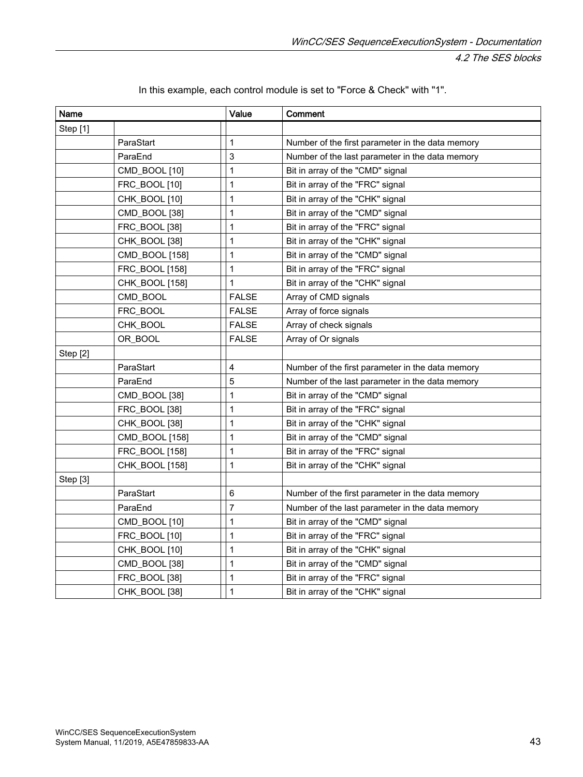| Name                |                      | Value          | Comment                                          |
|---------------------|----------------------|----------------|--------------------------------------------------|
| Step [1]            |                      |                |                                                  |
|                     | ParaStart            | $\mathbf 1$    | Number of the first parameter in the data memory |
|                     | ParaEnd              | 3              | Number of the last parameter in the data memory  |
|                     | CMD_BOOL [10]        | $\mathbf 1$    | Bit in array of the "CMD" signal                 |
|                     | FRC_BOOL [10]        | $\mathbf{1}$   | Bit in array of the "FRC" signal                 |
|                     | CHK_BOOL [10]        | $\mathbf{1}$   | Bit in array of the "CHK" signal                 |
|                     | CMD_BOOL [38]        | $\mathbf{1}$   | Bit in array of the "CMD" signal                 |
|                     | <b>FRC_BOOL</b> [38] | $\mathbf{1}$   | Bit in array of the "FRC" signal                 |
|                     | CHK_BOOL [38]        | $\mathbf 1$    | Bit in array of the "CHK" signal                 |
|                     | CMD_BOOL [158]       | $\mathbf{1}$   | Bit in array of the "CMD" signal                 |
|                     | FRC_BOOL [158]       | $\mathbf{1}$   | Bit in array of the "FRC" signal                 |
|                     | CHK_BOOL [158]       | $\mathbf{1}$   | Bit in array of the "CHK" signal                 |
|                     | CMD_BOOL             | <b>FALSE</b>   | Array of CMD signals                             |
|                     | FRC_BOOL             | <b>FALSE</b>   | Array of force signals                           |
|                     | CHK_BOOL             | <b>FALSE</b>   | Array of check signals                           |
|                     | OR_BOOL              | <b>FALSE</b>   | Array of Or signals                              |
| Step <sup>[2]</sup> |                      |                |                                                  |
|                     | ParaStart            | 4              | Number of the first parameter in the data memory |
|                     | ParaEnd              | 5              | Number of the last parameter in the data memory  |
|                     | CMD_BOOL [38]        | $\mathbf{1}$   | Bit in array of the "CMD" signal                 |
|                     | FRC_BOOL [38]        | $\mathbf{1}$   | Bit in array of the "FRC" signal                 |
|                     | CHK_BOOL [38]        | $\mathbf{1}$   | Bit in array of the "CHK" signal                 |
|                     | CMD_BOOL [158]       | $\mathbf{1}$   | Bit in array of the "CMD" signal                 |
|                     | FRC_BOOL [158]       | 1              | Bit in array of the "FRC" signal                 |
|                     | CHK_BOOL [158]       | $\mathbf{1}$   | Bit in array of the "CHK" signal                 |
| Step <sup>[3]</sup> |                      |                |                                                  |
|                     | ParaStart            | 6              | Number of the first parameter in the data memory |
|                     | ParaEnd              | $\overline{7}$ | Number of the last parameter in the data memory  |
|                     | CMD_BOOL [10]        | $\mathbf{1}$   | Bit in array of the "CMD" signal                 |
|                     | FRC_BOOL [10]        | $\mathbf 1$    | Bit in array of the "FRC" signal                 |
|                     | CHK_BOOL [10]        | $\mathbf{1}$   | Bit in array of the "CHK" signal                 |
|                     | CMD_BOOL [38]        | $\mathbf 1$    | Bit in array of the "CMD" signal                 |
|                     | FRC_BOOL [38]        | $\mathbf 1$    | Bit in array of the "FRC" signal                 |
|                     | CHK_BOOL [38]        | $\mathbf 1$    | Bit in array of the "CHK" signal                 |

In this example, each control module is set to "Force & Check" with "1".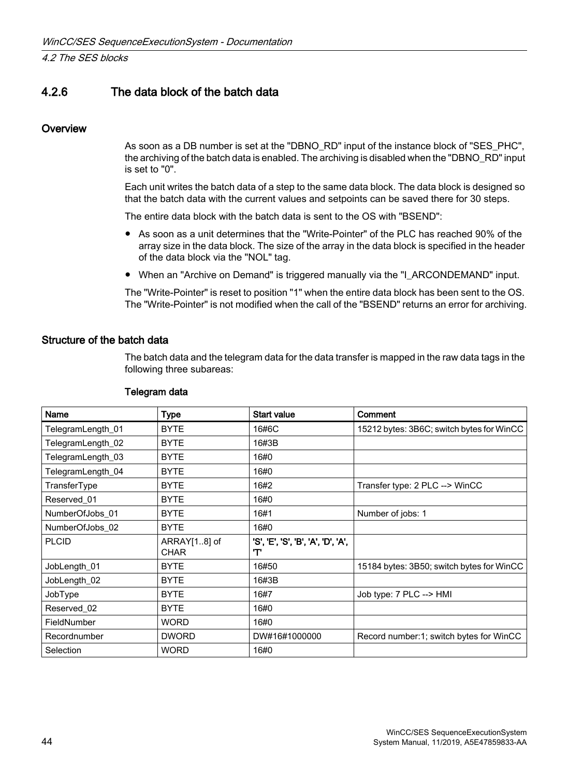# 4.2.6 The data block of the batch data

## **Overview**

As soon as a DB number is set at the "DBNO\_RD" input of the instance block of "SES\_PHC", the archiving of the batch data is enabled. The archiving is disabled when the "DBNO\_RD" input is set to "0".

Each unit writes the batch data of a step to the same data block. The data block is designed so that the batch data with the current values and setpoints can be saved there for 30 steps.

The entire data block with the batch data is sent to the OS with "BSEND":

- As soon as a unit determines that the "Write-Pointer" of the PLC has reached 90% of the array size in the data block. The size of the array in the data block is specified in the header of the data block via the "NOL" tag.
- When an "Archive on Demand" is triggered manually via the "I\_ARCONDEMAND" input.

The "Write-Pointer" is reset to position "1" when the entire data block has been sent to the OS. The "Write-Pointer" is not modified when the call of the "BSEND" returns an error for archiving.

## Structure of the batch data

The batch data and the telegram data for the data transfer is mapped in the raw data tags in the following three subareas:

| Name              | <b>Type</b>                 | <b>Start value</b>                        | Comment                                   |
|-------------------|-----------------------------|-------------------------------------------|-------------------------------------------|
| TelegramLength_01 | <b>BYTE</b>                 | 16#6C                                     | 15212 bytes: 3B6C; switch bytes for WinCC |
| TelegramLength 02 | <b>BYTE</b>                 | 16#3B                                     |                                           |
| TelegramLength_03 | <b>BYTE</b>                 | 16#0                                      |                                           |
| TelegramLength_04 | <b>BYTE</b>                 | 16#0                                      |                                           |
| TransferType      | <b>BYTE</b>                 | 16#2                                      | Transfer type: 2 PLC --> WinCC            |
| Reserved 01       | <b>BYTE</b>                 | 16#0                                      |                                           |
| NumberOfJobs_01   | <b>BYTE</b>                 | 16#1                                      | Number of jobs: 1                         |
| NumberOfJobs 02   | <b>BYTE</b>                 | 16#0                                      |                                           |
| <b>PLCID</b>      | ARRAY[18] of<br><b>CHAR</b> | 'S', 'E', 'S', 'B', 'A', 'D', 'A',<br>ידי |                                           |
| JobLength_01      | <b>BYTE</b>                 | 16#50                                     | 15184 bytes: 3B50; switch bytes for WinCC |
| JobLength_02      | <b>BYTE</b>                 | 16#3B                                     |                                           |
| JobType           | <b>BYTE</b>                 | 16#7                                      | Job type: 7 PLC --> HMI                   |
| Reserved 02       | <b>BYTE</b>                 | 16#0                                      |                                           |
| FieldNumber       | <b>WORD</b>                 | 16#0                                      |                                           |
| Recordnumber      | <b>DWORD</b>                | DW#16#1000000                             | Record number:1; switch bytes for WinCC   |
| Selection         | <b>WORD</b>                 | 16#0                                      |                                           |

#### Telegram data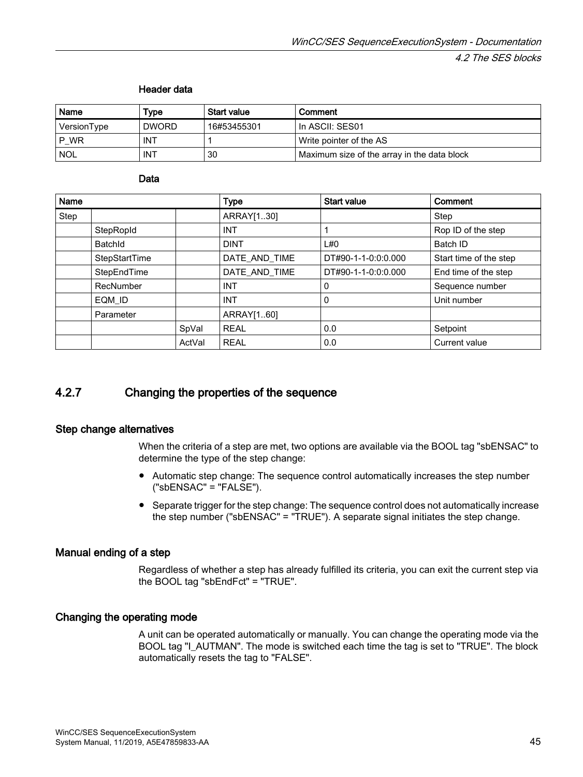| Name        | Type         | <b>Start value</b> | Comment                                     |
|-------------|--------------|--------------------|---------------------------------------------|
| VersionType | <b>DWORD</b> | 16#53455301        | ' In ASCII: SES01                           |
| P WR        | INT          |                    | Write pointer of the AS                     |
| <b>NOL</b>  | INT          | 30                 | Maximum size of the array in the data block |

# Header data

#### Data

| <b>Name</b> |               |        | <b>Type</b>   | <b>Start value</b>  | Comment                |
|-------------|---------------|--------|---------------|---------------------|------------------------|
| Step        |               |        | ARRAY[130]    |                     | Step                   |
|             | StepRopId     |        | <b>INT</b>    |                     | Rop ID of the step     |
|             | Batchld       |        | <b>DINT</b>   | L#0                 | Batch ID               |
|             | StepStartTime |        | DATE AND TIME | DT#90-1-1-0:0:0.000 | Start time of the step |
|             | StepEndTime   |        | DATE AND TIME | DT#90-1-1-0:0:0.000 | End time of the step   |
|             | RecNumber     |        | <b>INT</b>    | 0                   | Sequence number        |
|             | EQM ID        |        | <b>INT</b>    | 0                   | Unit number            |
|             | Parameter     |        | ARRAY[160]    |                     |                        |
|             |               | SpVal  | <b>REAL</b>   | 0.0                 | Setpoint               |
|             |               | ActVal | <b>REAL</b>   | 0.0                 | Current value          |

# 4.2.7 Changing the properties of the sequence

## Step change alternatives

When the criteria of a step are met, two options are available via the BOOL tag "sbENSAC" to determine the type of the step change:

- Automatic step change: The sequence control automatically increases the step number ("sbENSAC" = "FALSE").
- Separate trigger for the step change: The sequence control does not automatically increase the step number ("sbENSAC" = "TRUE"). A separate signal initiates the step change.

## Manual ending of a step

Regardless of whether a step has already fulfilled its criteria, you can exit the current step via the BOOL tag "sbEndFct" = "TRUE".

# Changing the operating mode

A unit can be operated automatically or manually. You can change the operating mode via the BOOL tag "I\_AUTMAN". The mode is switched each time the tag is set to "TRUE". The block automatically resets the tag to "FALSE".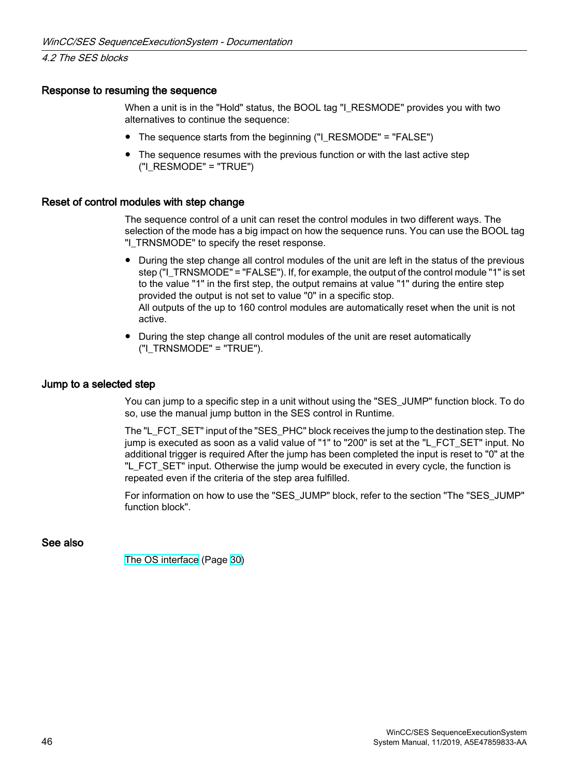# Response to resuming the sequence

When a unit is in the "Hold" status, the BOOL tag "I\_RESMODE" provides you with two alternatives to continue the sequence:

- The sequence starts from the beginning ("I\_RESMODE" = "FALSE")
- The sequence resumes with the previous function or with the last active step ("I\_RESMODE" = "TRUE")

# Reset of control modules with step change

The sequence control of a unit can reset the control modules in two different ways. The selection of the mode has a big impact on how the sequence runs. You can use the BOOL tag "I\_TRNSMODE" to specify the reset response.

- During the step change all control modules of the unit are left in the status of the previous step ("I\_TRNSMODE" = "FALSE"). If, for example, the output of the control module "1" is set to the value "1" in the first step, the output remains at value "1" during the entire step provided the output is not set to value "0" in a specific stop. All outputs of the up to 160 control modules are automatically reset when the unit is not active.
- During the step change all control modules of the unit are reset automatically ("I\_TRNSMODE" = "TRUE").

## Jump to a selected step

You can jump to a specific step in a unit without using the "SES\_JUMP" function block. To do so, use the manual jump button in the SES control in Runtime.

The "L\_FCT\_SET" input of the "SES\_PHC" block receives the jump to the destination step. The jump is executed as soon as a valid value of "1" to "200" is set at the "L\_FCT\_SET" input. No additional trigger is required After the jump has been completed the input is reset to "0" at the "L\_FCT\_SET" input. Otherwise the jump would be executed in every cycle, the function is repeated even if the criteria of the step area fulfilled.

For information on how to use the "SES\_JUMP" block, refer to the section "The "SES\_JUMP" function block".

## See also

[The OS interface](#page-29-0) (Page [30\)](#page-29-0)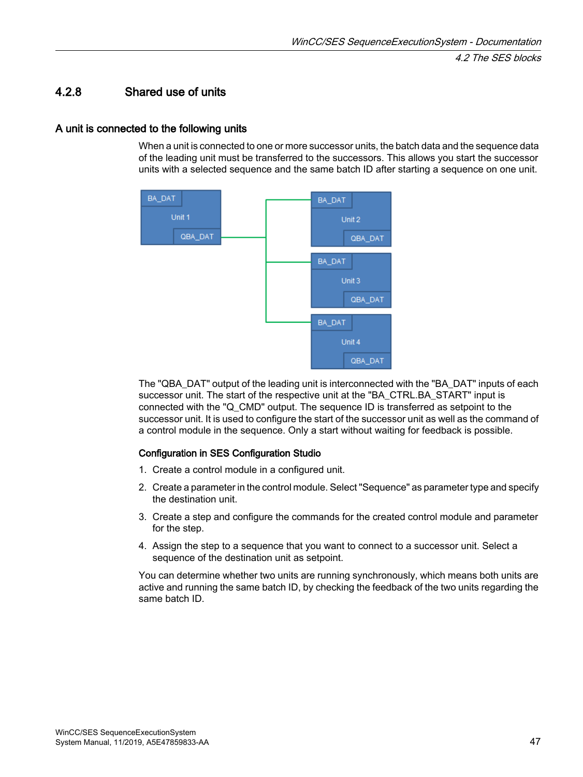# <span id="page-46-0"></span>4.2.8 Shared use of units

# A unit is connected to the following units

When a unit is connected to one or more successor units, the batch data and the sequence data of the leading unit must be transferred to the successors. This allows you start the successor units with a selected sequence and the same batch ID after starting a sequence on one unit.



The "QBA\_DAT" output of the leading unit is interconnected with the "BA\_DAT" inputs of each successor unit. The start of the respective unit at the "BA\_CTRL.BA\_START" input is connected with the "Q\_CMD" output. The sequence ID is transferred as setpoint to the successor unit. It is used to configure the start of the successor unit as well as the command of a control module in the sequence. Only a start without waiting for feedback is possible.

## Configuration in SES Configuration Studio

- 1. Create a control module in a configured unit.
- 2. Create a parameter in the control module. Select "Sequence" as parameter type and specify the destination unit.
- 3. Create a step and configure the commands for the created control module and parameter for the step.
- 4. Assign the step to a sequence that you want to connect to a successor unit. Select a sequence of the destination unit as setpoint.

You can determine whether two units are running synchronously, which means both units are active and running the same batch ID, by checking the feedback of the two units regarding the same batch ID.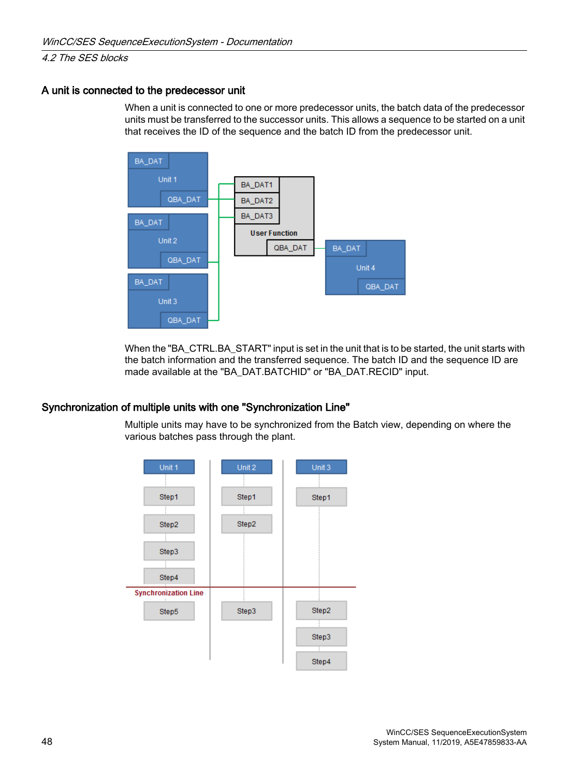# A unit is connected to the predecessor unit

When a unit is connected to one or more predecessor units, the batch data of the predecessor units must be transferred to the successor units. This allows a sequence to be started on a unit that receives the ID of the sequence and the batch ID from the predecessor unit.



When the "BA\_CTRL.BA\_START" input is set in the unit that is to be started, the unit starts with the batch information and the transferred sequence. The batch ID and the sequence ID are made available at the "BA\_DAT.BATCHID" or "BA\_DAT.RECID" input.

## Synchronization of multiple units with one "Synchronization Line"

Multiple units may have to be synchronized from the Batch view, depending on where the various batches pass through the plant.

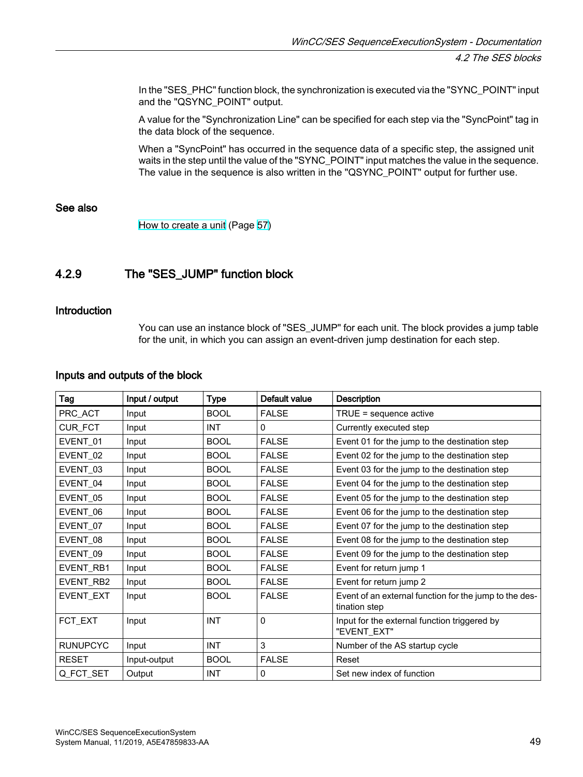In the "SES\_PHC" function block, the synchronization is executed via the "SYNC\_POINT" input and the "QSYNC\_POINT" output.

A value for the "Synchronization Line" can be specified for each step via the "SyncPoint" tag in the data block of the sequence.

When a "SyncPoint" has occurred in the sequence data of a specific step, the assigned unit waits in the step until the value of the "SYNC\_POINT" input matches the value in the sequence. The value in the sequence is also written in the "QSYNC\_POINT" output for further use.

## See also

[How to create a unit](#page-56-0) (Page [57](#page-56-0))

# 4.2.9 The "SES\_JUMP" function block

## Introduction

You can use an instance block of "SES\_JUMP" for each unit. The block provides a jump table for the unit, in which you can assign an event-driven jump destination for each step.

## Inputs and outputs of the block

| Tag             | Input / output | <b>Type</b> | Default value | <b>Description</b>                                                      |
|-----------------|----------------|-------------|---------------|-------------------------------------------------------------------------|
| PRC_ACT         | Input          | <b>BOOL</b> | <b>FALSE</b>  | TRUE = sequence active                                                  |
| <b>CUR FCT</b>  | Input          | <b>INT</b>  | 0             | Currently executed step                                                 |
| EVENT_01        | Input          | <b>BOOL</b> | <b>FALSE</b>  | Event 01 for the jump to the destination step                           |
| EVENT 02        | Input          | <b>BOOL</b> | <b>FALSE</b>  | Event 02 for the jump to the destination step                           |
| EVENT_03        | Input          | <b>BOOL</b> | <b>FALSE</b>  | Event 03 for the jump to the destination step                           |
| EVENT 04        | Input          | <b>BOOL</b> | <b>FALSE</b>  | Event 04 for the jump to the destination step                           |
| EVENT 05        | Input          | <b>BOOL</b> | <b>FALSE</b>  | Event 05 for the jump to the destination step                           |
| EVENT 06        | Input          | <b>BOOL</b> | <b>FALSE</b>  | Event 06 for the jump to the destination step                           |
| EVENT_07        | Input          | <b>BOOL</b> | <b>FALSE</b>  | Event 07 for the jump to the destination step                           |
| EVENT 08        | Input          | <b>BOOL</b> | <b>FALSE</b>  | Event 08 for the jump to the destination step                           |
| EVENT_09        | Input          | <b>BOOL</b> | <b>FALSE</b>  | Event 09 for the jump to the destination step                           |
| EVENT_RB1       | Input          | <b>BOOL</b> | <b>FALSE</b>  | Event for return jump 1                                                 |
| EVENT_RB2       | Input          | <b>BOOL</b> | <b>FALSE</b>  | Event for return jump 2                                                 |
| EVENT_EXT       | Input          | <b>BOOL</b> | <b>FALSE</b>  | Event of an external function for the jump to the des-<br>tination step |
| FCT_EXT         | Input          | <b>INT</b>  | 0             | Input for the external function triggered by<br>"EVENT_EXT"             |
| <b>RUNUPCYC</b> | Input          | <b>INT</b>  | 3             | Number of the AS startup cycle                                          |
| <b>RESET</b>    | Input-output   | <b>BOOL</b> | <b>FALSE</b>  | Reset                                                                   |
| Q_FCT_SET       | Output         | <b>INT</b>  | 0             | Set new index of function                                               |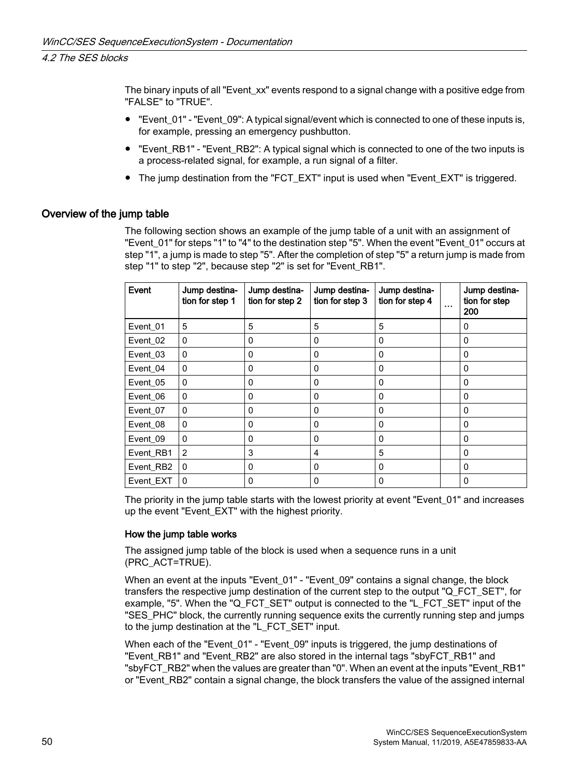The binary inputs of all "Event xx" events respond to a signal change with a positive edge from "FALSE" to "TRUE".

- "Event 01" "Event 09": A typical signal/event which is connected to one of these inputs is, for example, pressing an emergency pushbutton.
- "Event\_RB1" "Event\_RB2": A typical signal which is connected to one of the two inputs is a process-related signal, for example, a run signal of a filter.
- The jump destination from the "FCT\_EXT" input is used when "Event\_EXT" is triggered.

# Overview of the jump table

The following section shows an example of the jump table of a unit with an assignment of "Event\_01" for steps "1" to "4" to the destination step "5". When the event "Event\_01" occurs at step "1", a jump is made to step "5". After the completion of step "5" a return jump is made from step "1" to step "2", because step "2" is set for "Event\_RB1".

| Event                | Jump destina-<br>tion for step 1 | Jump destina-<br>tion for step 2 | Jump destina-<br>tion for step 3 | Jump destina-<br>tion for step 4 | $\cdots$ | Jump destina-<br>tion for step<br>200 |
|----------------------|----------------------------------|----------------------------------|----------------------------------|----------------------------------|----------|---------------------------------------|
| Event_01             | 5                                | 5                                | 5                                | 5                                |          | 0                                     |
| Event <sub>_02</sub> | 0                                | 0                                | 0                                | $\mathbf 0$                      |          | $\Omega$                              |
| Event_03             | 0                                | 0                                | 0                                | $\mathbf 0$                      |          | $\mathbf{0}$                          |
| Event_04             | 0                                | 0                                | 0                                | 0                                |          | 0                                     |
| Event_05             | 0                                | 0                                | 0                                | $\mathbf 0$                      |          | $\Omega$                              |
| Event_06             | 0                                | 0                                | 0                                | $\mathbf 0$                      |          | 0                                     |
| Event_07             | 0                                | 0                                | 0                                | $\Omega$                         |          | $\Omega$                              |
| Event 08             | 0                                | 0                                | 0                                | 0                                |          | $\mathbf{0}$                          |
| Event 09             | 0                                | 0                                | 0                                | $\mathbf 0$                      |          | $\mathbf{0}$                          |
| Event_RB1            | 2                                | 3                                | 4                                | 5                                |          | $\mathbf{0}$                          |
| Event_RB2            | 0                                | 0                                | 0                                | $\mathbf 0$                      |          | $\Omega$                              |
| Event_EXT            | 0                                | 0                                | 0                                | 0                                |          | $\Omega$                              |

The priority in the jump table starts with the lowest priority at event "Event\_01" and increases up the event "Event\_EXT" with the highest priority.

## How the jump table works

The assigned jump table of the block is used when a sequence runs in a unit (PRC\_ACT=TRUE).

When an event at the inputs "Event\_01" - "Event\_09" contains a signal change, the block transfers the respective jump destination of the current step to the output "Q\_FCT\_SET", for example, "5". When the "Q\_FCT\_SET" output is connected to the "L\_FCT\_SET" input of the "SES\_PHC" block, the currently running sequence exits the currently running step and jumps to the jump destination at the "L\_FCT\_SET" input.

When each of the "Event 01" - "Event 09" inputs is triggered, the jump destinations of "Event\_RB1" and "Event\_RB2" are also stored in the internal tags "sbyFCT\_RB1" and "sbyFCT\_RB2" when the values are greater than "0". When an event at the inputs "Event\_RB1" or "Event RB2" contain a signal change, the block transfers the value of the assigned internal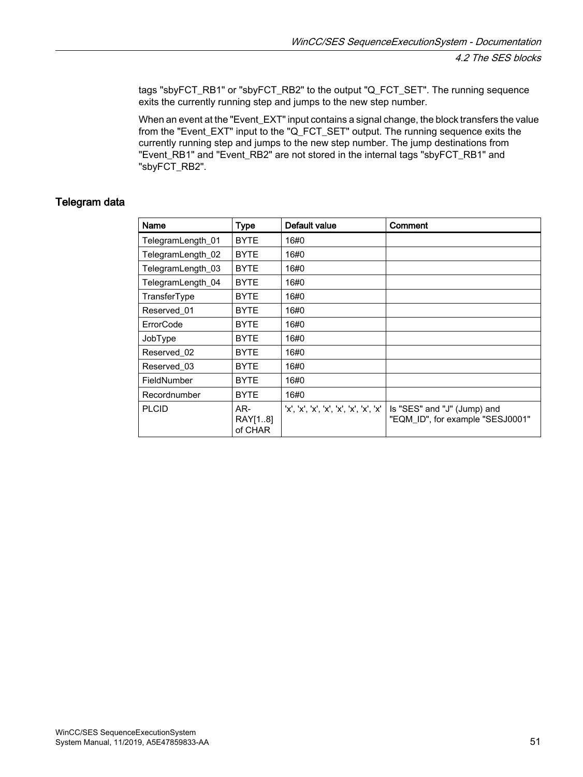tags "sbyFCT\_RB1" or "sbyFCT\_RB2" to the output "Q\_FCT\_SET". The running sequence exits the currently running step and jumps to the new step number.

When an event at the "Event\_EXT" input contains a signal change, the block transfers the value from the "Event\_EXT" input to the "Q\_FCT\_SET" output. The running sequence exits the currently running step and jumps to the new step number. The jump destinations from "Event\_RB1" and "Event\_RB2" are not stored in the internal tags "sbyFCT\_RB1" and "sbyFCT\_RB2".

# Telegram data

| Name              | <b>Type</b>               | Default value                          | Comment                                                         |
|-------------------|---------------------------|----------------------------------------|-----------------------------------------------------------------|
| TelegramLength_01 | <b>BYTE</b>               | 16#0                                   |                                                                 |
| TelegramLength_02 | <b>BYTE</b>               | 16#0                                   |                                                                 |
| TelegramLength_03 | <b>BYTE</b>               | 16#0                                   |                                                                 |
| TelegramLength 04 | <b>BYTE</b>               | 16#0                                   |                                                                 |
| TransferType      | <b>BYTE</b>               | 16#0                                   |                                                                 |
| Reserved 01       | <b>BYTE</b>               | 16#0                                   |                                                                 |
| ErrorCode         | <b>BYTE</b>               | 16#0                                   |                                                                 |
| JobType           | <b>BYTE</b>               | 16#0                                   |                                                                 |
| Reserved 02       | <b>BYTE</b>               | 16#0                                   |                                                                 |
| Reserved 03       | <b>BYTE</b>               | 16#0                                   |                                                                 |
| FieldNumber       | <b>BYTE</b>               | 16#0                                   |                                                                 |
| Recordnumber      | <b>BYTE</b>               | 16#0                                   |                                                                 |
| <b>PLCID</b>      | AR-<br>RAY[18]<br>of CHAR | 'x', 'x', 'x', 'x', 'x', 'x', 'x', 'x' | Is "SES" and "J" (Jump) and<br>"EQM_ID", for example "SESJ0001" |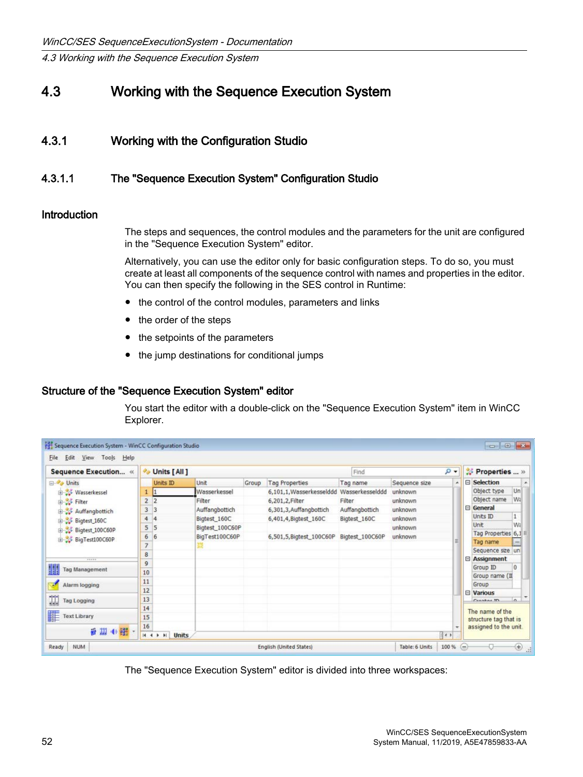# 4.3 Working with the Sequence Execution System

# 4.3.1 Working with the Configuration Studio

# 4.3.1.1 The "Sequence Execution System" Configuration Studio

## Introduction

The steps and sequences, the control modules and the parameters for the unit are configured in the "Sequence Execution System" editor.

Alternatively, you can use the editor only for basic configuration steps. To do so, you must create at least all components of the sequence control with names and properties in the editor. You can then specify the following in the SES control in Runtime:

- the control of the control modules, parameters and links
- the order of the steps
- the setpoints of the parameters
- the jump destinations for conditional jumps

## Structure of the "Sequence Execution System" editor

You start the editor with a double-click on the "Sequence Execution System" item in WinCC Explorer.

| Sequence Execution «       |                | Units [All]    |                 |       |                          | Find            |               | $\Omega$ + | Properties  »                                  |              |
|----------------------------|----------------|----------------|-----------------|-------|--------------------------|-----------------|---------------|------------|------------------------------------------------|--------------|
| a-Pa Units                 |                | Units ID       | Unit            | Group | <b>Tag Properties</b>    | Tag name        | Sequence size | ۸          | □ Selection                                    |              |
| Wasserkessel               |                |                | Wasserkessel    |       | 6,101,1, Wasserkesselddd | Wasserkesselddd | unknown       |            | Object type                                    | Un           |
| El Filter                  | $\overline{2}$ | 2              | Filter          |       | 6,201,2,Filter           | Filter          | unknown       |            | Object name                                    | Wa           |
| Auffangbottich             | 3              | $\overline{3}$ | Auffangbottich  |       | 6,301,3,Auffangbottich   | Auffangbottich  | unknown       |            | General                                        |              |
| Bigtest 160C               | 4              | 4              | Bigtest 160C    |       | 6,401,4,Bigtest 160C     | Bigtest 160C    | unknown       |            | Units ID                                       | $\mathbf{1}$ |
| Bigtest_100C60P            | 5              | 5              | Bigtest_100C60P |       |                          |                 | unknown       |            | Unit                                           | Wal          |
| BigTest100C60P             | 6              | 6              | BigTest100C60P  |       | 6,501,5,Bigtest_100C60P  | Bigtest_100C60P | unknown       |            | Tag Properties 6,1                             |              |
|                            | 7              |                | 踩               |       |                          |                 |               | 目          | Tag name                                       |              |
|                            | 8              |                |                 |       |                          |                 |               |            | Sequence size un                               |              |
| 11111                      | $\overline{9}$ |                |                 |       |                          |                 |               |            | □ Assignment                                   |              |
| 躙<br><b>Tag Management</b> | 10             |                |                 |       |                          |                 |               |            | Group ID                                       | $\mathbf{0}$ |
|                            | 11             |                |                 |       |                          |                 |               |            | Group name (II<br>Group                        |              |
| Alarm logging              | 12             |                |                 |       |                          |                 |               |            | <b>El Various</b>                              |              |
| T,<br><b>Tag Logging</b>   | 13             |                |                 |       |                          |                 |               |            | Creater ID                                     | $\sim$       |
|                            |                |                |                 |       |                          |                 |               |            |                                                |              |
| 睚<br><b>Text Library</b>   | 14<br>15       |                |                 |       |                          |                 |               |            | The name of the                                |              |
|                            | 16             |                |                 |       |                          |                 |               |            | structure tag that is<br>assigned to the unit. |              |

The "Sequence Execution System" editor is divided into three workspaces: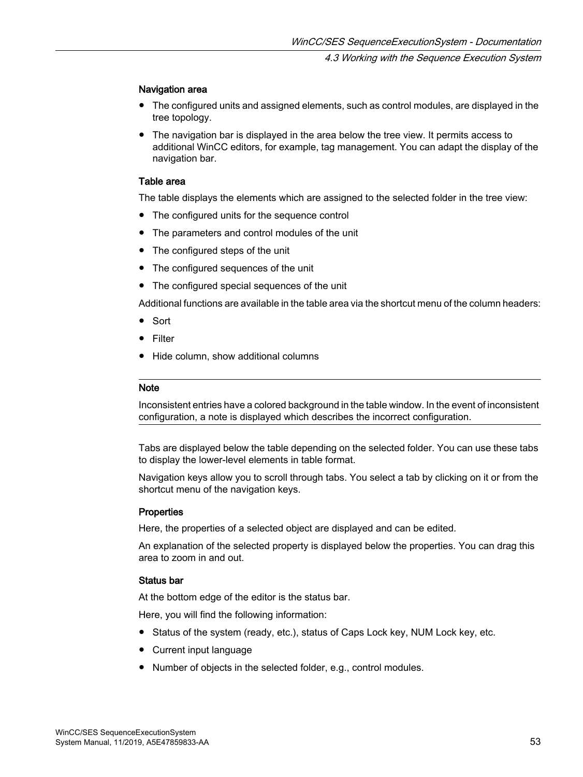#### Navigation area

- The configured units and assigned elements, such as control modules, are displayed in the tree topology.
- The navigation bar is displayed in the area below the tree view. It permits access to additional WinCC editors, for example, tag management. You can adapt the display of the navigation bar.

#### Table area

The table displays the elements which are assigned to the selected folder in the tree view:

- The configured units for the sequence control
- The parameters and control modules of the unit
- The configured steps of the unit
- The configured sequences of the unit
- The configured special sequences of the unit

Additional functions are available in the table area via the shortcut menu of the column headers:

- Sort
- Filter
- Hide column, show additional columns

#### **Note**

Inconsistent entries have a colored background in the table window. In the event of inconsistent configuration, a note is displayed which describes the incorrect configuration.

Tabs are displayed below the table depending on the selected folder. You can use these tabs to display the lower-level elements in table format.

Navigation keys allow you to scroll through tabs. You select a tab by clicking on it or from the shortcut menu of the navigation keys.

#### **Properties**

Here, the properties of a selected object are displayed and can be edited.

An explanation of the selected property is displayed below the properties. You can drag this area to zoom in and out.

#### Status bar

At the bottom edge of the editor is the status bar.

Here, you will find the following information:

- Status of the system (ready, etc.), status of Caps Lock key, NUM Lock key, etc.
- Current input language
- Number of objects in the selected folder, e.g., control modules.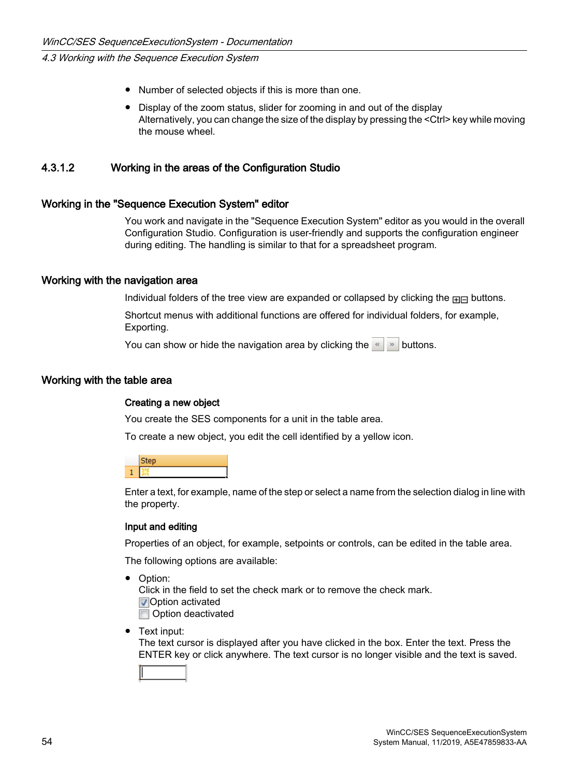- Number of selected objects if this is more than one.
- Display of the zoom status, slider for zooming in and out of the display Alternatively, you can change the size of the display by pressing the <Ctrl> key while moving the mouse wheel.

# 4.3.1.2 Working in the areas of the Configuration Studio

#### Working in the "Sequence Execution System" editor

You work and navigate in the "Sequence Execution System" editor as you would in the overall Configuration Studio. Configuration is user-friendly and supports the configuration engineer during editing. The handling is similar to that for a spreadsheet program.

#### Working with the navigation area

Individual folders of the tree view are expanded or collapsed by clicking the  $\frac{1}{H}$  buttons.

Shortcut menus with additional functions are offered for individual folders, for example, Exporting.

You can show or hide the navigation area by clicking the  $\left\| \cdot \right\|$  buttons.

#### Working with the table area

#### Creating a new object

You create the SES components for a unit in the table area.

To create a new object, you edit the cell identified by a yellow icon.

Step  $\mathbf{1}$ 

Enter a text, for example, name of the step or select a name from the selection dialog in line with the property.

#### Input and editing

Properties of an object, for example, setpoints or controls, can be edited in the table area.

The following options are available:

● Option:

Click in the field to set the check mark or to remove the check mark. **Option activated** Option deactivated

● Text input:

The text cursor is displayed after you have clicked in the box. Enter the text. Press the ENTER key or click anywhere. The text cursor is no longer visible and the text is saved.

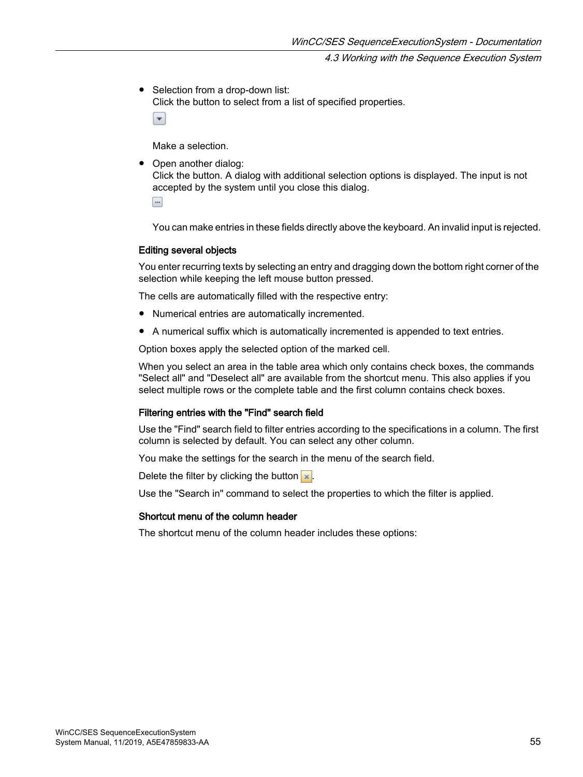Selection from a drop-down list: Click the button to select from a list of specified properties.

×

Make a selection.

Open another dialog:

Click the button. A dialog with additional selection options is displayed. The input is not accepted by the system until you close this dialog.

 $\overline{\phantom{a}}$ 

You can make entries in these fields directly above the keyboard. An invalid input is rejected.

#### Editing several objects

You enter recurring texts by selecting an entry and dragging down the bottom right corner of the selection while keeping the left mouse button pressed.

The cells are automatically filled with the respective entry:

- Numerical entries are automatically incremented.
- A numerical suffix which is automatically incremented is appended to text entries.

Option boxes apply the selected option of the marked cell.

When you select an area in the table area which only contains check boxes, the commands "Select all" and "Deselect all" are available from the shortcut menu. This also applies if you select multiple rows or the complete table and the first column contains check boxes.

## Filtering entries with the "Find" search field

Use the "Find" search field to filter entries according to the specifications in a column. The first column is selected by default. You can select any other column.

You make the settings for the search in the menu of the search field.

Delete the filter by clicking the button  $\mathbf{x}$ .

Use the "Search in" command to select the properties to which the filter is applied.

#### Shortcut menu of the column header

The shortcut menu of the column header includes these options: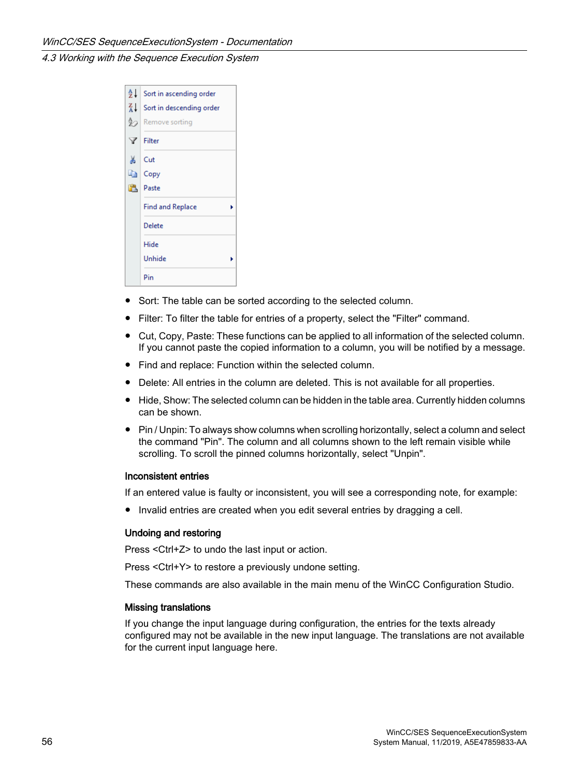| $rac{A}{Z}$   | Sort in ascending order                        |
|---------------|------------------------------------------------|
| $\frac{Z}{A}$ | Sort in descending order                       |
|               | $\frac{\mathbf{A}}{\mathbf{Z}}$ Remove sorting |
| $\vee$        | Filter                                         |
| ¥             | Cut                                            |
|               | <b>Lial</b> Copy                               |
|               | <b>Laste</b>                                   |
|               | Find and Replace                               |
|               | Delete                                         |
|               | Hide                                           |
|               | Unhide                                         |
|               | Pin                                            |

- Sort: The table can be sorted according to the selected column.
- Filter: To filter the table for entries of a property, select the "Filter" command.
- Cut, Copy, Paste: These functions can be applied to all information of the selected column. If you cannot paste the copied information to a column, you will be notified by a message.
- Find and replace: Function within the selected column.
- Delete: All entries in the column are deleted. This is not available for all properties.
- Hide, Show: The selected column can be hidden in the table area. Currently hidden columns can be shown.
- Pin / Unpin: To always show columns when scrolling horizontally, select a column and select the command "Pin". The column and all columns shown to the left remain visible while scrolling. To scroll the pinned columns horizontally, select "Unpin".

#### Inconsistent entries

If an entered value is faulty or inconsistent, you will see a corresponding note, for example:

● Invalid entries are created when you edit several entries by dragging a cell.

#### Undoing and restoring

Press <Ctrl+Z> to undo the last input or action.

Press <Ctrl+Y> to restore a previously undone setting.

These commands are also available in the main menu of the WinCC Configuration Studio.

#### Missing translations

If you change the input language during configuration, the entries for the texts already configured may not be available in the new input language. The translations are not available for the current input language here.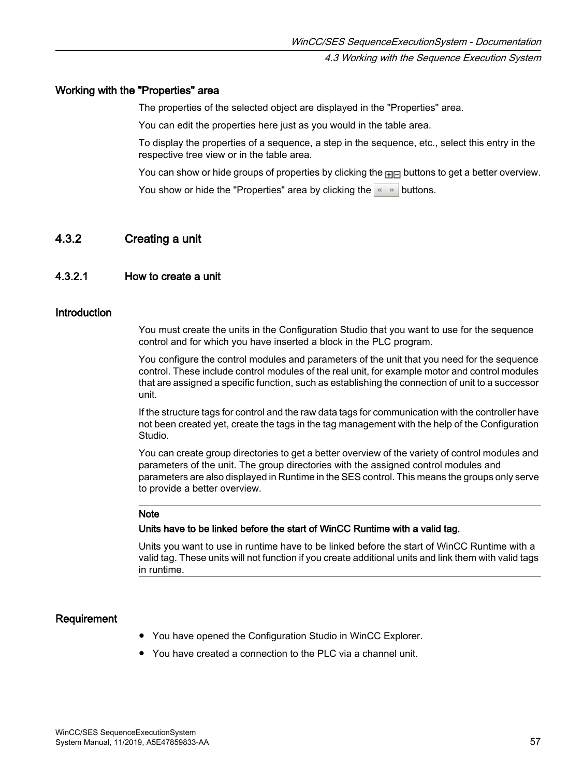## <span id="page-56-0"></span>Working with the "Properties" area

The properties of the selected object are displayed in the "Properties" area.

You can edit the properties here just as you would in the table area.

To display the properties of a sequence, a step in the sequence, etc., select this entry in the respective tree view or in the table area.

You can show or hide groups of properties by clicking the  $\pi$  buttons to get a better overview.

You show or hide the "Properties" area by clicking the  $\leq$   $\cdot$  buttons.

# 4.3.2 Creating a unit

## 4.3.2.1 How to create a unit

#### Introduction

You must create the units in the Configuration Studio that you want to use for the sequence control and for which you have inserted a block in the PLC program.

You configure the control modules and parameters of the unit that you need for the sequence control. These include control modules of the real unit, for example motor and control modules that are assigned a specific function, such as establishing the connection of unit to a successor unit.

If the structure tags for control and the raw data tags for communication with the controller have not been created yet, create the tags in the tag management with the help of the Configuration Studio.

You can create group directories to get a better overview of the variety of control modules and parameters of the unit. The group directories with the assigned control modules and parameters are also displayed in Runtime in the SES control. This means the groups only serve to provide a better overview.

#### **Note**

#### Units have to be linked before the start of WinCC Runtime with a valid tag.

Units you want to use in runtime have to be linked before the start of WinCC Runtime with a valid tag. These units will not function if you create additional units and link them with valid tags in runtime.

## Requirement

- You have opened the Configuration Studio in WinCC Explorer.
- You have created a connection to the PLC via a channel unit.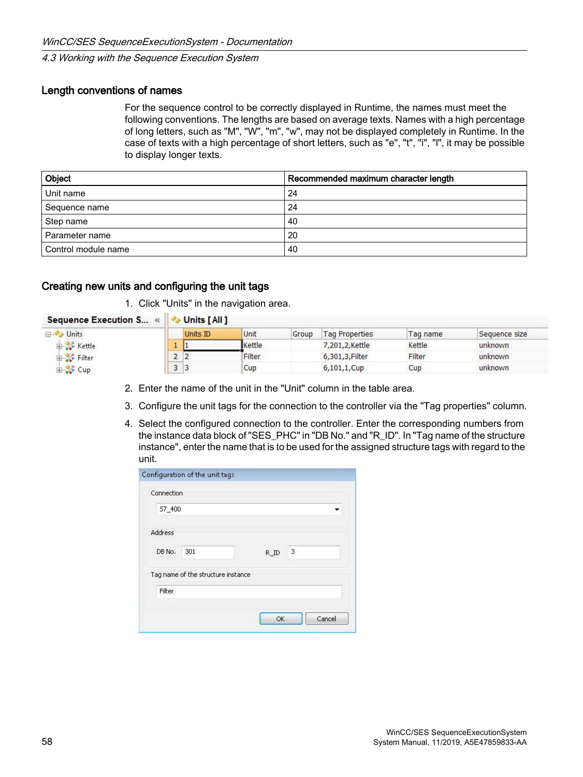# Length conventions of names

For the sequence control to be correctly displayed in Runtime, the names must meet the following conventions. The lengths are based on average texts. Names with a high percentage of long letters, such as "M", "W", "m", "w", may not be displayed completely in Runtime. In the case of texts with a high percentage of short letters, such as "e", "t", "i", "l", it may be possible to display longer texts.

| Object              | Recommended maximum character length |
|---------------------|--------------------------------------|
| Unit name           | 24                                   |
| Sequence name       | 24                                   |
| Step name           | 40                                   |
| Parameter name      | 20                                   |
| Control module name | 40                                   |

# Creating new units and configuring the unit tags

1. Click "Units" in the navigation area.

| Sequence Execution S « │ ♦ Units [ All ] |  |
|------------------------------------------|--|
|                                          |  |

| Units             |              | Units ID | Unit   | Group | <b>Tag Properties</b> | Tag name | Sequence size |
|-------------------|--------------|----------|--------|-------|-----------------------|----------|---------------|
| <b>E</b> X Kettle |              |          | Kettle |       | 7,201,2,Kettle        | Kettle   | unknown       |
| 中 % Filter        |              |          | Filter |       | 6,301,3, Filter       | Filter   | unknown       |
| 由 % Cup           | $\mathbf{a}$ |          | Cup    |       | 6,101,1,Cup           | Cup      | unknown       |
|                   |              |          |        |       |                       |          |               |

- 2. Enter the name of the unit in the "Unit" column in the table area.
- 3. Configure the unit tags for the connection to the controller via the "Tag properties" column.
- 4. Select the configured connection to the controller. Enter the corresponding numbers from the instance data block of "SES\_PHC" in "DB No." and "R\_ID". In "Tag name of the structure instance", enter the name that is to be used for the assigned structure tags with regard to the unit.

| 57_400                             |      |   |
|------------------------------------|------|---|
| Address                            |      |   |
| DB No.<br>301                      | R_ID | 3 |
| Tag name of the structure instance |      |   |
| Filter                             |      |   |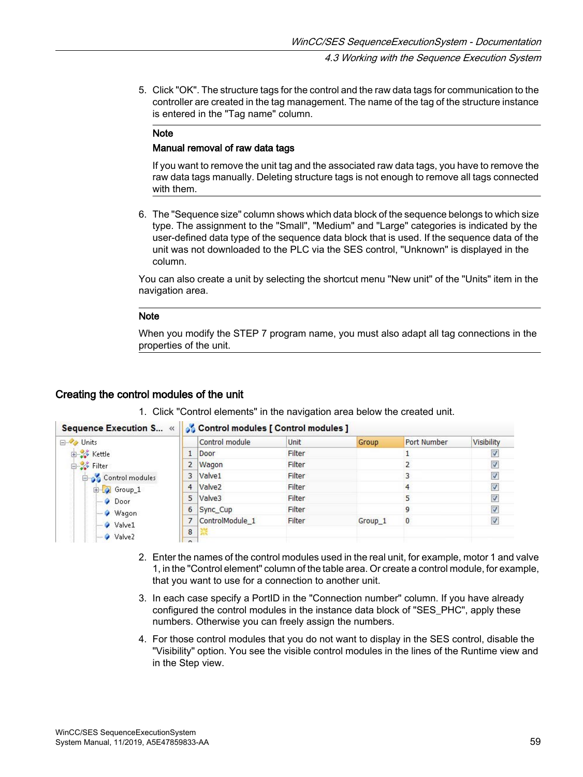5. Click "OK". The structure tags for the control and the raw data tags for communication to the controller are created in the tag management. The name of the tag of the structure instance is entered in the "Tag name" column.

#### **Note**

#### Manual removal of raw data tags

If you want to remove the unit tag and the associated raw data tags, you have to remove the raw data tags manually. Deleting structure tags is not enough to remove all tags connected with them.

6. The "Sequence size" column shows which data block of the sequence belongs to which size type. The assignment to the "Small", "Medium" and "Large" categories is indicated by the user-defined data type of the sequence data block that is used. If the sequence data of the unit was not downloaded to the PLC via the SES control, "Unknown" is displayed in the column.

You can also create a unit by selecting the shortcut menu "New unit" of the "Units" item in the navigation area.

#### **Note**

When you modify the STEP 7 program name, you must also adapt all tag connections in the properties of the unit.

# Creating the control modules of the unit

1. Click "Control elements" in the navigation area below the created unit.

| Sequence Execution S «          | Control modules [ Control modules ] |                         |        |                    |             |                            |  |  |
|---------------------------------|-------------------------------------|-------------------------|--------|--------------------|-------------|----------------------------|--|--|
| ⊟ <i>A</i> Units                |                                     | Control module          | Unit   | Group              | Port Number | Visibility                 |  |  |
| E & Kettle<br><b>B S</b> Filter |                                     | Door                    | Filter |                    |             | $\boldsymbol{\mathcal{J}}$ |  |  |
|                                 |                                     | Wagon<br>$\overline{2}$ | Filter |                    |             | $\overline{\mathsf{v}}$    |  |  |
| Control modules                 | 3                                   | Valve1                  | Filter |                    |             | $\overline{\mathbf{v}}$    |  |  |
| Group_1                         | $\overline{4}$                      | Valve <sub>2</sub>      | Filter |                    |             | Ø                          |  |  |
| $\rightarrow$ Door              |                                     | 5 Valve3                | Filter |                    |             | Ø                          |  |  |
| $\rightarrow$ Wagon             |                                     | 6 Sync Cup              | Filter |                    | 9           | $\mathcal{J}$              |  |  |
| $\bullet$ Valve1                |                                     | ControlModule 1         | Filter | Group <sub>1</sub> | $\bf{0}$    | $\sqrt{2}$                 |  |  |
| $\bullet$ Valve2                | 8                                   | 璖                       |        |                    |             |                            |  |  |
|                                 | $\sim$                              |                         |        |                    |             |                            |  |  |

- 2. Enter the names of the control modules used in the real unit, for example, motor 1 and valve 1, in the "Control element" column of the table area. Or create a control module, for example, that you want to use for a connection to another unit.
- 3. In each case specify a PortID in the "Connection number" column. If you have already configured the control modules in the instance data block of "SES\_PHC", apply these numbers. Otherwise you can freely assign the numbers.
- 4. For those control modules that you do not want to display in the SES control, disable the "Visibility" option. You see the visible control modules in the lines of the Runtime view and in the Step view.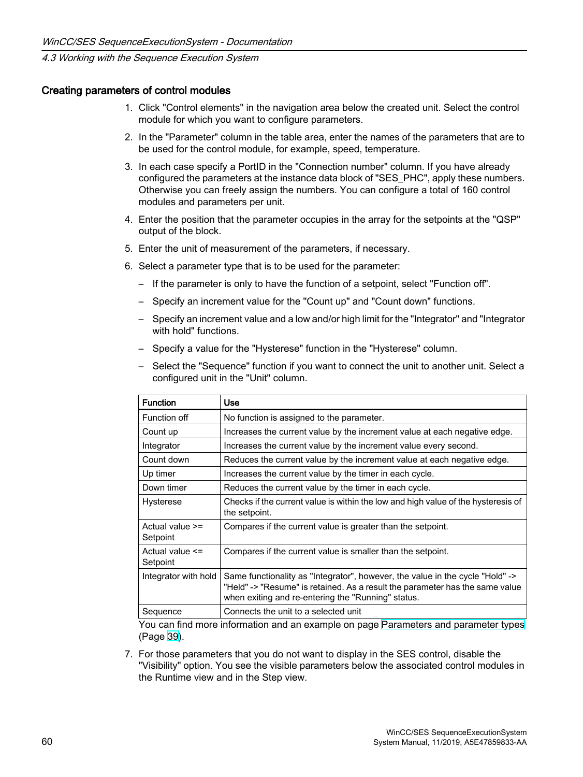# Creating parameters of control modules

- 1. Click "Control elements" in the navigation area below the created unit. Select the control module for which you want to configure parameters.
- 2. In the "Parameter" column in the table area, enter the names of the parameters that are to be used for the control module, for example, speed, temperature.
- 3. In each case specify a PortID in the "Connection number" column. If you have already configured the parameters at the instance data block of "SES\_PHC", apply these numbers. Otherwise you can freely assign the numbers. You can configure a total of 160 control modules and parameters per unit.
- 4. Enter the position that the parameter occupies in the array for the setpoints at the "QSP" output of the block.
- 5. Enter the unit of measurement of the parameters, if necessary.
- 6. Select a parameter type that is to be used for the parameter:
	- If the parameter is only to have the function of a setpoint, select "Function off".
	- Specify an increment value for the "Count up" and "Count down" functions.
	- Specify an increment value and a low and/or high limit for the "Integrator" and "Integrator with hold" functions.
	- Specify a value for the "Hysterese" function in the "Hysterese" column.
	- Select the "Sequence" function if you want to connect the unit to another unit. Select a configured unit in the "Unit" column.

| <b>Function</b>                 | Use                                                                                                                                                                                                                 |
|---------------------------------|---------------------------------------------------------------------------------------------------------------------------------------------------------------------------------------------------------------------|
| Function off                    | No function is assigned to the parameter.                                                                                                                                                                           |
| Count up                        | Increases the current value by the increment value at each negative edge.                                                                                                                                           |
| Integrator                      | Increases the current value by the increment value every second.                                                                                                                                                    |
| Count down                      | Reduces the current value by the increment value at each negative edge.                                                                                                                                             |
| Up timer                        | Increases the current value by the timer in each cycle.                                                                                                                                                             |
| Down timer                      | Reduces the current value by the timer in each cycle.                                                                                                                                                               |
| <b>Hysterese</b>                | Checks if the current value is within the low and high value of the hysteresis of<br>the setpoint.                                                                                                                  |
| Actual value $>=$<br>Setpoint   | Compares if the current value is greater than the setpoint.                                                                                                                                                         |
| Actual value $\leq$<br>Setpoint | Compares if the current value is smaller than the setpoint.                                                                                                                                                         |
| Integrator with hold            | Same functionality as "Integrator", however, the value in the cycle "Hold" -><br>"Held" -> "Resume" is retained. As a result the parameter has the same value<br>when exiting and re-entering the "Running" status. |
| Sequence                        | Connects the unit to a selected unit                                                                                                                                                                                |

You can find more information and an example on page [Parameters and parameter types](#page-38-0) (Page [39](#page-38-0)).

7. For those parameters that you do not want to display in the SES control, disable the "Visibility" option. You see the visible parameters below the associated control modules in the Runtime view and in the Step view.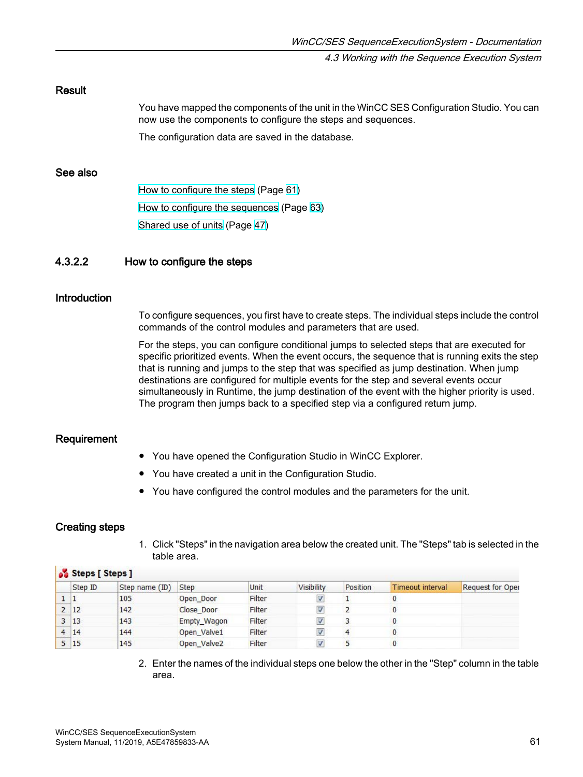## <span id="page-60-0"></span>Result

You have mapped the components of the unit in the WinCC SES Configuration Studio. You can now use the components to configure the steps and sequences.

The configuration data are saved in the database.

## See also

How to configure the steps (Page 61) [How to configure the sequences](#page-62-0) (Page [63\)](#page-62-0) [Shared use of units](#page-46-0) (Page [47](#page-46-0))

# 4.3.2.2 How to configure the steps

## Introduction

To configure sequences, you first have to create steps. The individual steps include the control commands of the control modules and parameters that are used.

For the steps, you can configure conditional jumps to selected steps that are executed for specific prioritized events. When the event occurs, the sequence that is running exits the step that is running and jumps to the step that was specified as jump destination. When jump destinations are configured for multiple events for the step and several events occur simultaneously in Runtime, the jump destination of the event with the higher priority is used. The program then jumps back to a specified step via a configured return jump.

## Requirement

- You have opened the Configuration Studio in WinCC Explorer.
- You have created a unit in the Configuration Studio.
- You have configured the control modules and the parameters for the unit.

## Creating steps

 $\theta$  Channel Channel

1. Click "Steps" in the navigation area below the created unit. The "Steps" tab is selected in the table area.

|                | Step ID        | Step name (ID) | Step        | Unit   | Visibility | Position | Timeout interval | <b>Request for Oper</b> |
|----------------|----------------|----------------|-------------|--------|------------|----------|------------------|-------------------------|
|                |                | 105            | Open Door   | Filter | V          |          |                  |                         |
| $\overline{2}$ | 12             | 142            | Close Door  | Filter | V          |          |                  |                         |
|                | $3 \mid 13$    | 143            | Empty_Wagon | Filter | Ø          |          |                  |                         |
|                | 4 14           | 144            | Open Valve1 | Filter | ₩          |          |                  |                         |
|                | $5 \;   \; 15$ | 145            | Open Valve2 | Filter | V          |          |                  |                         |

2. Enter the names of the individual steps one below the other in the "Step" column in the table area.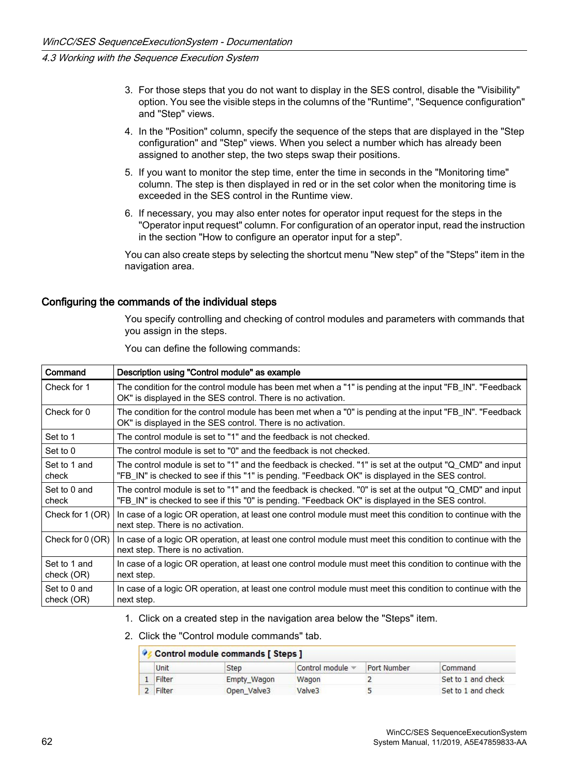- 3. For those steps that you do not want to display in the SES control, disable the "Visibility" option. You see the visible steps in the columns of the "Runtime", "Sequence configuration" and "Step" views.
- 4. In the "Position" column, specify the sequence of the steps that are displayed in the "Step configuration" and "Step" views. When you select a number which has already been assigned to another step, the two steps swap their positions.
- 5. If you want to monitor the step time, enter the time in seconds in the "Monitoring time" column. The step is then displayed in red or in the set color when the monitoring time is exceeded in the SES control in the Runtime view.
- 6. If necessary, you may also enter notes for operator input request for the steps in the "Operator input request" column. For configuration of an operator input, read the instruction in the section "How to configure an operator input for a step".

You can also create steps by selecting the shortcut menu "New step" of the "Steps" item in the navigation area.

# Configuring the commands of the individual steps

You specify controlling and checking of control modules and parameters with commands that you assign in the steps.

| Command                    | Description using "Control module" as example                                                                                                                                                                |
|----------------------------|--------------------------------------------------------------------------------------------------------------------------------------------------------------------------------------------------------------|
| Check for 1                | The condition for the control module has been met when a "1" is pending at the input "FB_IN". "Feedback<br>OK" is displayed in the SES control. There is no activation.                                      |
| Check for 0                | The condition for the control module has been met when a "0" is pending at the input "FB_IN". "Feedback<br>OK" is displayed in the SES control. There is no activation.                                      |
| Set to 1                   | The control module is set to "1" and the feedback is not checked.                                                                                                                                            |
| Set to 0                   | The control module is set to "0" and the feedback is not checked.                                                                                                                                            |
| Set to 1 and<br>check      | The control module is set to "1" and the feedback is checked. "1" is set at the output "Q_CMD" and input<br>"FB_IN" is checked to see if this "1" is pending. "Feedback OK" is displayed in the SES control. |
| Set to 0 and<br>check      | The control module is set to "1" and the feedback is checked. "0" is set at the output "Q CMD" and input<br>"FB_IN" is checked to see if this "0" is pending. "Feedback OK" is displayed in the SES control. |
| Check for 1 (OR)           | In case of a logic OR operation, at least one control module must meet this condition to continue with the<br>next step. There is no activation.                                                             |
| Check for 0 (OR)           | In case of a logic OR operation, at least one control module must meet this condition to continue with the<br>next step. There is no activation.                                                             |
| Set to 1 and<br>check (OR) | In case of a logic OR operation, at least one control module must meet this condition to continue with the<br>next step.                                                                                     |
| Set to 0 and<br>check (OR) | In case of a logic OR operation, at least one control module must meet this condition to continue with the<br>next step.                                                                                     |

You can define the following commands:

- 1. Click on a created step in the navigation area below the "Steps" item.
- 2. Click the "Control module commands" tab.

#### **22 Control module commands [ Steps ]**

| Unit     | <b>Step</b> | Control module $\equiv$ | <b>Port Number</b> | Command            |
|----------|-------------|-------------------------|--------------------|--------------------|
| Filter   | Empty_Wagon | Wagon                   |                    | Set to 1 and check |
| 2 Filter | Open Valve3 | Valve3                  |                    | Set to 1 and check |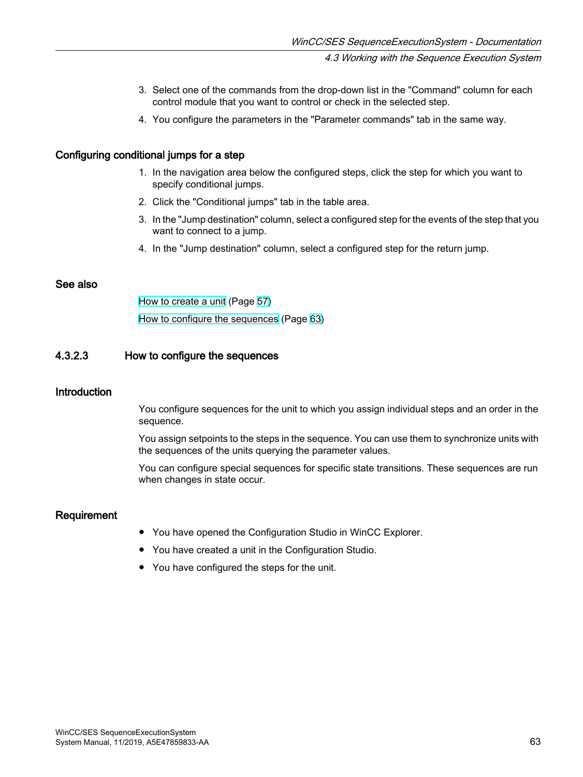- 3. Select one of the commands from the drop-down list in the "Command" column for each control module that you want to control or check in the selected step.
- 4. You configure the parameters in the "Parameter commands" tab in the same way.

## <span id="page-62-0"></span>Configuring conditional jumps for a step

- 1. In the navigation area below the configured steps, click the step for which you want to specify conditional jumps.
- 2. Click the "Conditional jumps" tab in the table area.
- 3. In the "Jump destination" column, select a configured step for the events of the step that you want to connect to a jump.
- 4. In the "Jump destination" column, select a configured step for the return jump.

#### See also

[How to create a unit](#page-56-0) (Page [57](#page-56-0))

How to configure the sequences (Page 63)

## 4.3.2.3 How to configure the sequences

#### Introduction

You configure sequences for the unit to which you assign individual steps and an order in the sequence.

You assign setpoints to the steps in the sequence. You can use them to synchronize units with the sequences of the units querying the parameter values.

You can configure special sequences for specific state transitions. These sequences are run when changes in state occur.

## Requirement

- You have opened the Configuration Studio in WinCC Explorer.
- You have created a unit in the Configuration Studio.
- You have configured the steps for the unit.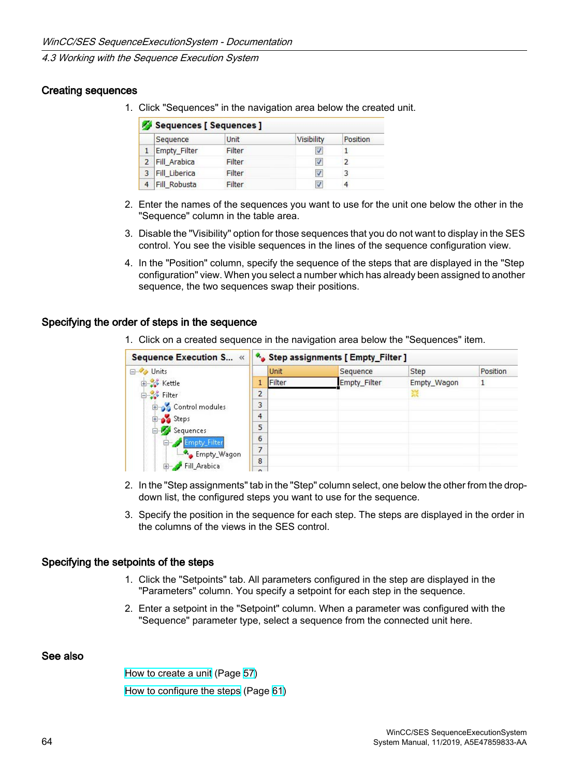## Creating sequences

1. Click "Sequences" in the navigation area below the created unit.

| Sequences [ Sequences ] |                |        |            |          |  |  |
|-------------------------|----------------|--------|------------|----------|--|--|
|                         | Sequence       | Unit   | Visibility | Position |  |  |
|                         | 1 Empty_Filter | Filter | ⊽          |          |  |  |
|                         | 2 Fill Arabica | Filter | V          |          |  |  |
|                         | Fill Liberica  | Filter | v          |          |  |  |
|                         | Fill Robusta   | Filter |            |          |  |  |

- 2. Enter the names of the sequences you want to use for the unit one below the other in the "Sequence" column in the table area.
- 3. Disable the "Visibility" option for those sequences that you do not want to display in the SES control. You see the visible sequences in the lines of the sequence configuration view.
- 4. In the "Position" column, specify the sequence of the steps that are displayed in the "Step configuration" view. When you select a number which has already been assigned to another sequence, the two sequences swap their positions.

# Specifying the order of steps in the sequence

1. Click on a created sequence in the navigation area below the "Sequences" item.

| Sequence Execution S « |        |        | Step assignments [ Empty_Filter ] |             |          |
|------------------------|--------|--------|-----------------------------------|-------------|----------|
| ⊟ o Units              |        | Unit   | Sequence                          | Step        | Position |
| E & Kettle             |        | Filter | Empty_Filter                      | Empty_Wagon |          |
| 白 % Filter             | 2      |        |                                   |             |          |
| Control modules        | 3      |        |                                   |             |          |
| Steps                  | 4      |        |                                   |             |          |
| Sequences              | 5      |        |                                   |             |          |
| Empty_Filter           | 6      |        |                                   |             |          |
| Empty_Wagon            | 7      |        |                                   |             |          |
| Fill_Arabica           | 8      |        |                                   |             |          |
| 田山                     | $\sim$ |        |                                   |             |          |

- 2. In the "Step assignments" tab in the "Step" column select, one below the other from the dropdown list, the configured steps you want to use for the sequence.
- 3. Specify the position in the sequence for each step. The steps are displayed in the order in the columns of the views in the SES control.

# Specifying the setpoints of the steps

- 1. Click the "Setpoints" tab. All parameters configured in the step are displayed in the "Parameters" column. You specify a setpoint for each step in the sequence.
- 2. Enter a setpoint in the "Setpoint" column. When a parameter was configured with the "Sequence" parameter type, select a sequence from the connected unit here.

## See also

[How to create a unit](#page-56-0) (Page [57\)](#page-56-0)

[How to configure the steps](#page-60-0) (Page [61](#page-60-0))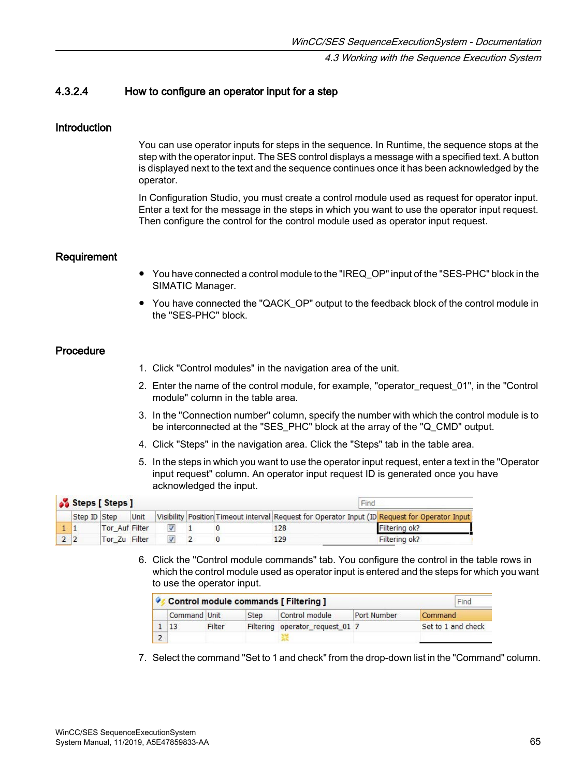# 4.3.2.4 How to configure an operator input for a step

## Introduction

You can use operator inputs for steps in the sequence. In Runtime, the sequence stops at the step with the operator input. The SES control displays a message with a specified text. A button is displayed next to the text and the sequence continues once it has been acknowledged by the operator.

In Configuration Studio, you must create a control module used as request for operator input. Enter a text for the message in the steps in which you want to use the operator input request. Then configure the control for the control module used as operator input request.

#### Requirement

- You have connected a control module to the "IREQ OP" input of the "SES-PHC" block in the SIMATIC Manager.
- You have connected the "QACK\_OP" output to the feedback block of the control module in the "SES-PHC" block.

#### Procedure

- 1. Click "Control modules" in the navigation area of the unit.
- 2. Enter the name of the control module, for example, "operator\_request\_01", in the "Control module" column in the table area.
- 3. In the "Connection number" column, specify the number with which the control module is to be interconnected at the "SES\_PHC" block at the array of the "Q\_CMD" output.
- 4. Click "Steps" in the navigation area. Click the "Steps" tab in the table area.
- 5. In the steps in which you want to use the operator input request, enter a text in the "Operator input request" column. An operator input request ID is generated once you have acknowledged the input.

| Steps [ Steps ] |                |      |  |  |  |     |  |                                                                                                |
|-----------------|----------------|------|--|--|--|-----|--|------------------------------------------------------------------------------------------------|
| Step ID Step    |                | Unit |  |  |  |     |  | Visibility Position Timeout interval Request for Operator Input (ID Request for Operator Input |
|                 | Tor Auf Filter |      |  |  |  | 128 |  | Filtering ok?                                                                                  |
|                 | Tor Zu Filter  |      |  |  |  | 129 |  | Filtering ok?                                                                                  |

6. Click the "Control module commands" tab. You configure the control in the table rows in which the control module used as operator input is entered and the steps for which you want to use the operator input.

| Control module commands [ Filtering ] |              |        |             |                                 |                    |                    |
|---------------------------------------|--------------|--------|-------------|---------------------------------|--------------------|--------------------|
|                                       | Command Unit |        | <b>Step</b> | Control module                  | <b>Port Number</b> | Command            |
|                                       |              | Filter |             | Filtering operator_request_01 7 |                    | Set to 1 and check |
|                                       |              |        |             |                                 |                    |                    |

7. Select the command "Set to 1 and check" from the drop-down list in the "Command" column.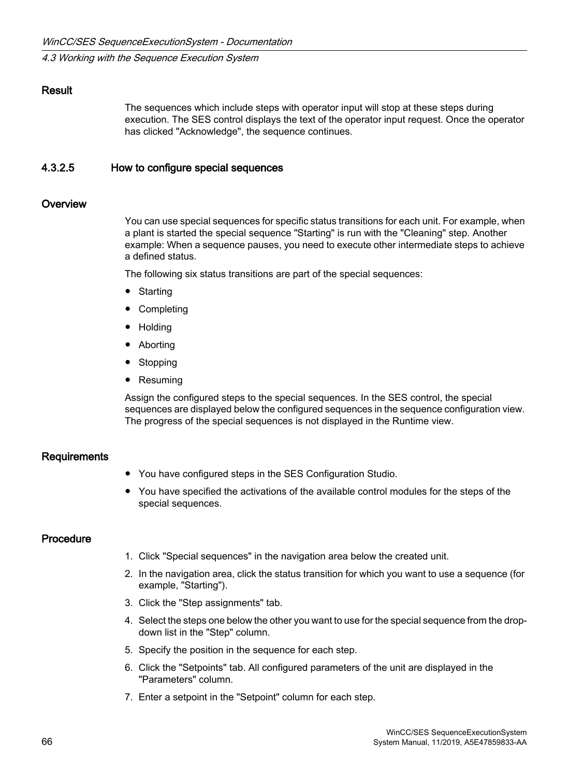# Result

The sequences which include steps with operator input will stop at these steps during execution. The SES control displays the text of the operator input request. Once the operator has clicked "Acknowledge", the sequence continues.

## 4.3.2.5 How to configure special sequences

## **Overview**

You can use special sequences for specific status transitions for each unit. For example, when a plant is started the special sequence "Starting" is run with the "Cleaning" step. Another example: When a sequence pauses, you need to execute other intermediate steps to achieve a defined status.

The following six status transitions are part of the special sequences:

- Starting
- Completing
- Holding
- Aborting
- Stopping
- Resuming

Assign the configured steps to the special sequences. In the SES control, the special sequences are displayed below the configured sequences in the sequence configuration view. The progress of the special sequences is not displayed in the Runtime view.

## **Requirements**

- You have configured steps in the SES Configuration Studio.
- You have specified the activations of the available control modules for the steps of the special sequences.

## Procedure

- 1. Click "Special sequences" in the navigation area below the created unit.
- 2. In the navigation area, click the status transition for which you want to use a sequence (for example, "Starting").
- 3. Click the "Step assignments" tab.
- 4. Select the steps one below the other you want to use for the special sequence from the dropdown list in the "Step" column.
- 5. Specify the position in the sequence for each step.
- 6. Click the "Setpoints" tab. All configured parameters of the unit are displayed in the "Parameters" column.
- 7. Enter a setpoint in the "Setpoint" column for each step.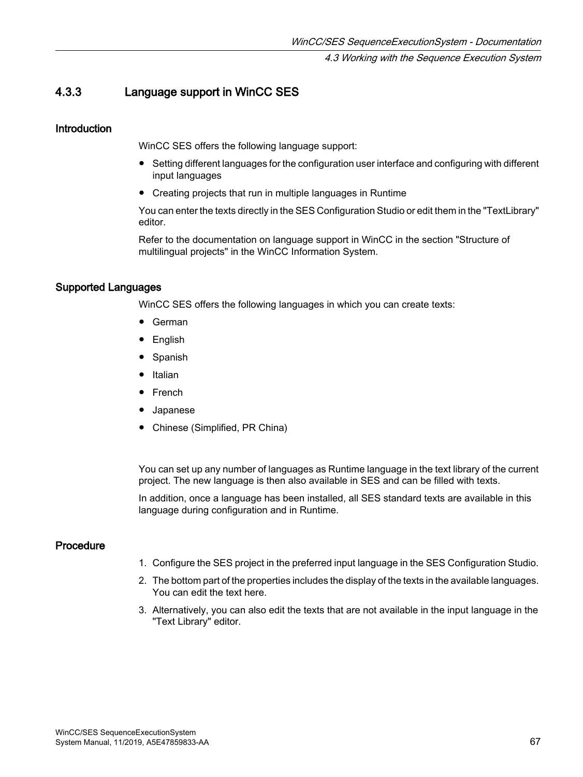# 4.3.3 Language support in WinCC SES

# Introduction

WinCC SES offers the following language support:

- Setting different languages for the configuration user interface and configuring with different input languages
- Creating projects that run in multiple languages in Runtime

You can enter the texts directly in the SES Configuration Studio or edit them in the "TextLibrary" editor.

Refer to the documentation on language support in WinCC in the section "Structure of multilingual projects" in the WinCC Information System.

# Supported Languages

WinCC SES offers the following languages in which you can create texts:

- German
- English
- Spanish
- Italian
- French
- Japanese
- Chinese (Simplified, PR China)

You can set up any number of languages as Runtime language in the text library of the current project. The new language is then also available in SES and can be filled with texts.

In addition, once a language has been installed, all SES standard texts are available in this language during configuration and in Runtime.

## Procedure

- 1. Configure the SES project in the preferred input language in the SES Configuration Studio.
- 2. The bottom part of the properties includes the display of the texts in the available languages. You can edit the text here.
- 3. Alternatively, you can also edit the texts that are not available in the input language in the "Text Library" editor.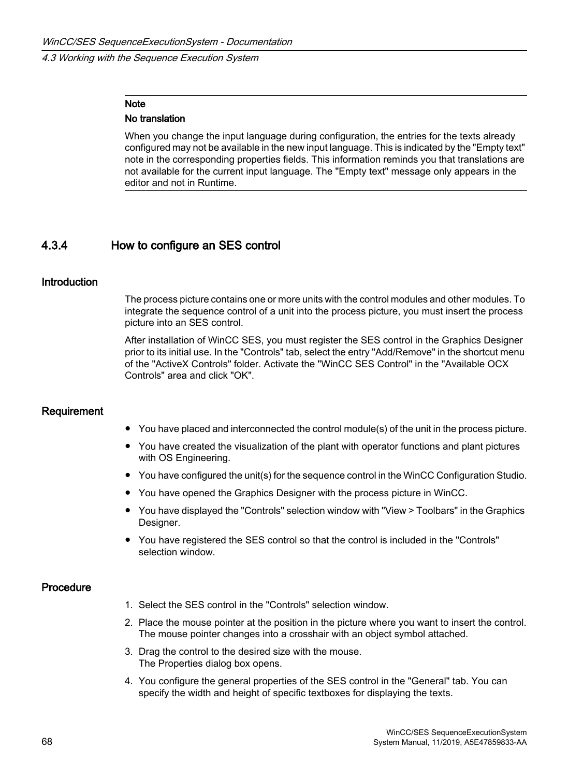#### **Note**

#### No translation

When you change the input language during configuration, the entries for the texts already configured may not be available in the new input language. This is indicated by the "Empty text" note in the corresponding properties fields. This information reminds you that translations are not available for the current input language. The "Empty text" message only appears in the editor and not in Runtime.

# 4.3.4 How to configure an SES control

### Introduction

The process picture contains one or more units with the control modules and other modules. To integrate the sequence control of a unit into the process picture, you must insert the process picture into an SES control.

After installation of WinCC SES, you must register the SES control in the Graphics Designer prior to its initial use. In the "Controls" tab, select the entry "Add/Remove" in the shortcut menu of the "ActiveX Controls" folder. Activate the "WinCC SES Control" in the "Available OCX Controls" area and click "OK".

## Requirement

- You have placed and interconnected the control module(s) of the unit in the process picture.
- You have created the visualization of the plant with operator functions and plant pictures with OS Engineering.
- You have configured the unit(s) for the sequence control in the WinCC Configuration Studio.
- You have opened the Graphics Designer with the process picture in WinCC.
- You have displayed the "Controls" selection window with "View > Toolbars" in the Graphics Designer.
- You have registered the SES control so that the control is included in the "Controls" selection window.

#### Procedure

- 1. Select the SES control in the "Controls" selection window.
- 2. Place the mouse pointer at the position in the picture where you want to insert the control. The mouse pointer changes into a crosshair with an object symbol attached.
- 3. Drag the control to the desired size with the mouse. The Properties dialog box opens.
- 4. You configure the general properties of the SES control in the "General" tab. You can specify the width and height of specific textboxes for displaying the texts.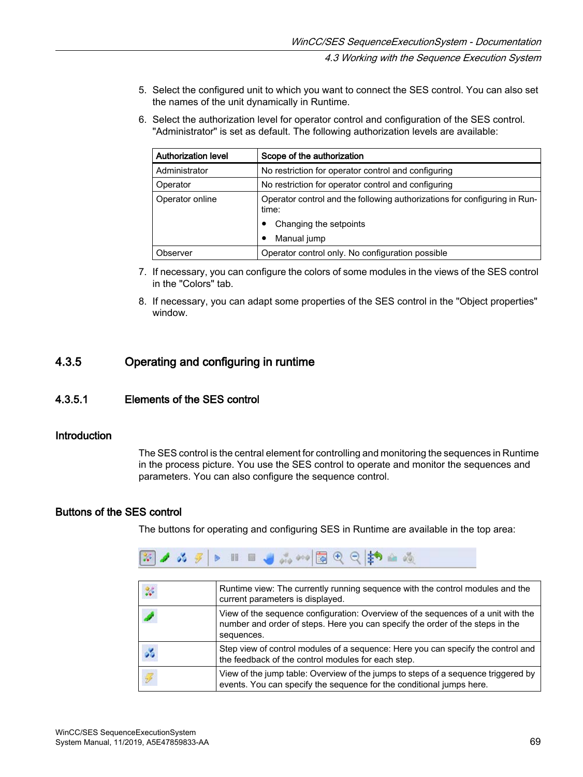- 5. Select the configured unit to which you want to connect the SES control. You can also set the names of the unit dynamically in Runtime.
- 6. Select the authorization level for operator control and configuration of the SES control. "Administrator" is set as default. The following authorization levels are available:

| <b>Authorization level</b> | Scope of the authorization                                                         |  |  |
|----------------------------|------------------------------------------------------------------------------------|--|--|
| Administrator              | No restriction for operator control and configuring                                |  |  |
| Operator                   | No restriction for operator control and configuring                                |  |  |
| Operator online            | Operator control and the following authorizations for configuring in Run-<br>time: |  |  |
|                            | Changing the setpoints                                                             |  |  |
|                            | Manual jump                                                                        |  |  |
| Observer                   | Operator control only. No configuration possible                                   |  |  |

- 7. If necessary, you can configure the colors of some modules in the views of the SES control in the "Colors" tab.
- 8. If necessary, you can adapt some properties of the SES control in the "Object properties" window.

# 4.3.5 Operating and configuring in runtime

# 4.3.5.1 Elements of the SES control

## Introduction

The SES control is the central element for controlling and monitoring the sequences in Runtime in the process picture. You use the SES control to operate and monitor the sequences and parameters. You can also configure the sequence control.

## Buttons of the SES control

The buttons for operating and configuring SES in Runtime are available in the top area:



| ×                        | Runtime view: The currently running sequence with the control modules and the<br>current parameters is displayed.                                                               |
|--------------------------|---------------------------------------------------------------------------------------------------------------------------------------------------------------------------------|
|                          | View of the sequence configuration: Overview of the sequences of a unit with the<br>number and order of steps. Here you can specify the order of the steps in the<br>sequences. |
| 56                       | Step view of control modules of a sequence: Here you can specify the control and<br>the feedback of the control modules for each step.                                          |
| $\overline{\mathscr{Y}}$ | View of the jump table: Overview of the jumps to steps of a sequence triggered by<br>events. You can specify the sequence for the conditional jumps here.                       |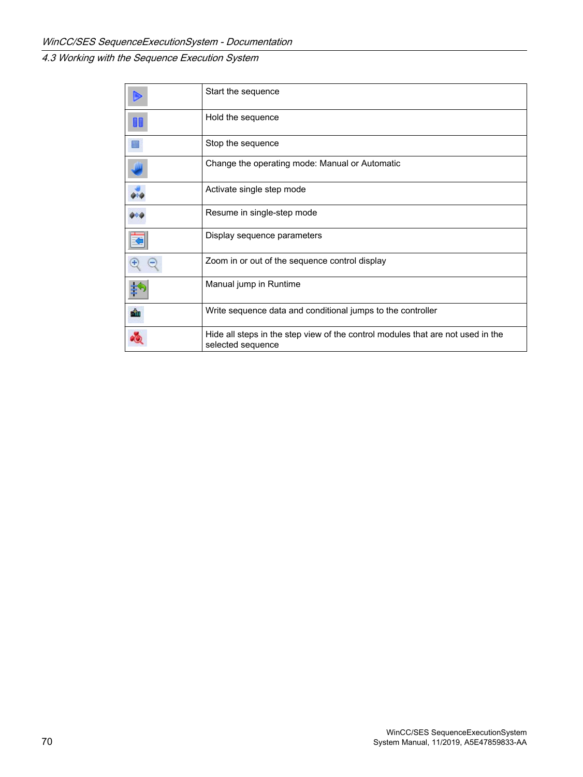|    | Start the sequence                                                                                   |
|----|------------------------------------------------------------------------------------------------------|
| 00 | Hold the sequence                                                                                    |
|    | Stop the sequence                                                                                    |
|    | Change the operating mode: Manual or Automatic                                                       |
|    | Activate single step mode                                                                            |
|    | Resume in single-step mode                                                                           |
|    | Display sequence parameters                                                                          |
|    | Zoom in or out of the sequence control display                                                       |
|    | Manual jump in Runtime                                                                               |
| MП | Write sequence data and conditional jumps to the controller                                          |
|    | Hide all steps in the step view of the control modules that are not used in the<br>selected sequence |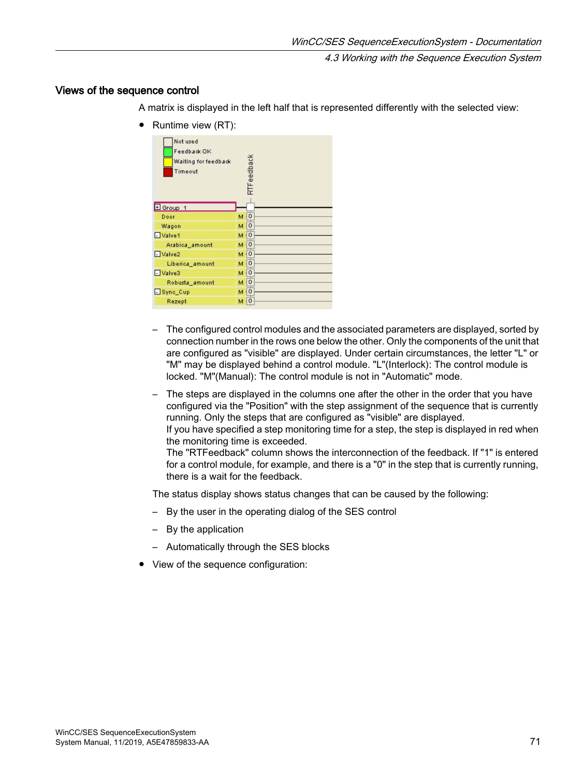## Views of the sequence control

A matrix is displayed in the left half that is represented differently with the selected view:

● Runtime view (RT):

| Not used<br>Feedback OK<br>Waiting for feedback<br>Timeout |                | RTFeedback |  |  |
|------------------------------------------------------------|----------------|------------|--|--|
| El Group 1                                                 |                |            |  |  |
| Door                                                       | м              | 0          |  |  |
| Wagon                                                      | м              | $\circ$    |  |  |
| Valve1                                                     | M <sub>0</sub> |            |  |  |
| Arabica_amount                                             | м              | $\circ$    |  |  |
| Valve2                                                     | M <sub>0</sub> |            |  |  |
| Liberica_amount                                            | M              | $\circ$    |  |  |
| Valve3                                                     | M <sub>0</sub> |            |  |  |
| Robusta_amount                                             | м              | $\circ$    |  |  |
| Sync_Cup                                                   | M <sub>0</sub> |            |  |  |
| Rezept                                                     | м              | 0          |  |  |

- The configured control modules and the associated parameters are displayed, sorted by connection number in the rows one below the other. Only the components of the unit that are configured as "visible" are displayed. Under certain circumstances, the letter "L" or "M" may be displayed behind a control module. "L"(Interlock): The control module is locked. "M"(Manual): The control module is not in "Automatic" mode.
- The steps are displayed in the columns one after the other in the order that you have configured via the "Position" with the step assignment of the sequence that is currently running. Only the steps that are configured as "visible" are displayed.

If you have specified a step monitoring time for a step, the step is displayed in red when the monitoring time is exceeded.

The "RTFeedback" column shows the interconnection of the feedback. If "1" is entered for a control module, for example, and there is a "0" in the step that is currently running, there is a wait for the feedback.

The status display shows status changes that can be caused by the following:

- By the user in the operating dialog of the SES control
- By the application
- Automatically through the SES blocks
- View of the sequence configuration: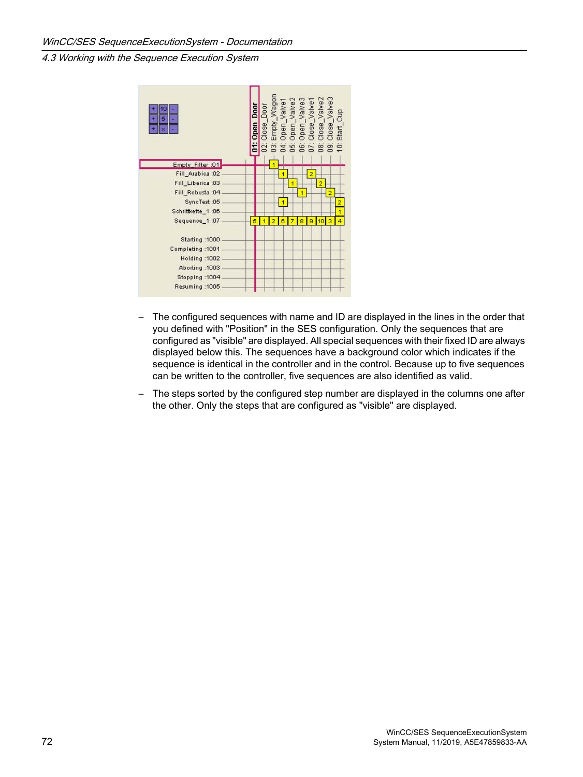

- The configured sequences with name and ID are displayed in the lines in the order that you defined with "Position" in the SES configuration. Only the sequences that are configured as "visible" are displayed. All special sequences with their fixed ID are always displayed below this. The sequences have a background color which indicates if the sequence is identical in the controller and in the control. Because up to five sequences can be written to the controller, five sequences are also identified as valid.
- The steps sorted by the configured step number are displayed in the columns one after the other. Only the steps that are configured as "visible" are displayed.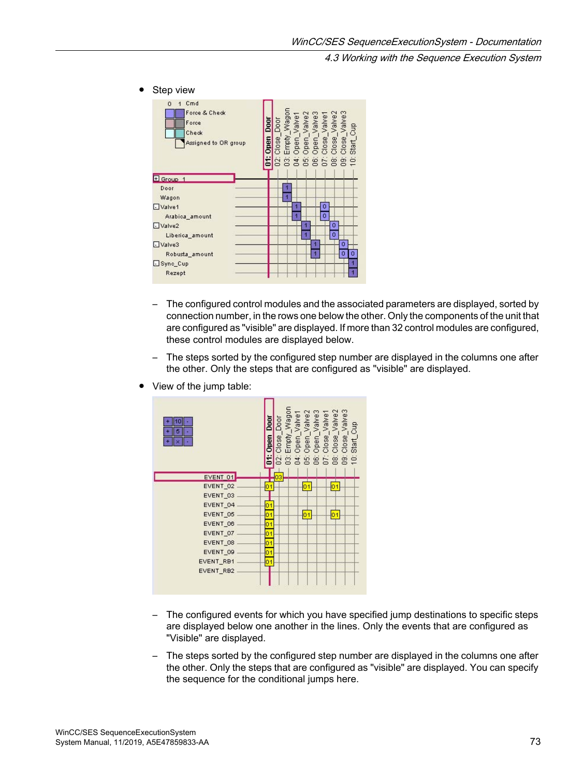<span id="page-72-0"></span>● Step view



- The configured control modules and the associated parameters are displayed, sorted by connection number, in the rows one below the other. Only the components of the unit that are configured as "visible" are displayed. If more than 32 control modules are configured, these control modules are displayed below.
- The steps sorted by the configured step number are displayed in the columns one after the other. Only the steps that are configured as "visible" are displayed.

| 5<br>×    | : Empty_Wagon<br>: Open_Valve1<br>: Open_Valve2<br>: Open_Valve3<br>: Close_Valve1<br>Close_Valve2<br>Close_Valve3<br>01: Open Door<br>Close_Door<br>10: Start_Cup<br>838<br>Š<br>8588 |
|-----------|----------------------------------------------------------------------------------------------------------------------------------------------------------------------------------------|
| EVENT 01  | 03                                                                                                                                                                                     |
| EVENT_02  | 01<br>01<br>01                                                                                                                                                                         |
| EVENT_03  |                                                                                                                                                                                        |
| EVENT_04  | 01                                                                                                                                                                                     |
| EVENT_05  | 01<br>01<br>01                                                                                                                                                                         |
| EVENT 06  | 01                                                                                                                                                                                     |
| EVENT_07  | 01                                                                                                                                                                                     |
| EVENT_08  | 01                                                                                                                                                                                     |
| EVENT_09  | 01                                                                                                                                                                                     |
| EVENT_RB1 | 01                                                                                                                                                                                     |
| EVENT_RB2 |                                                                                                                                                                                        |
|           |                                                                                                                                                                                        |

● View of the jump table:

- The configured events for which you have specified jump destinations to specific steps are displayed below one another in the lines. Only the events that are configured as "Visible" are displayed.
- The steps sorted by the configured step number are displayed in the columns one after the other. Only the steps that are configured as "visible" are displayed. You can specify the sequence for the conditional jumps here.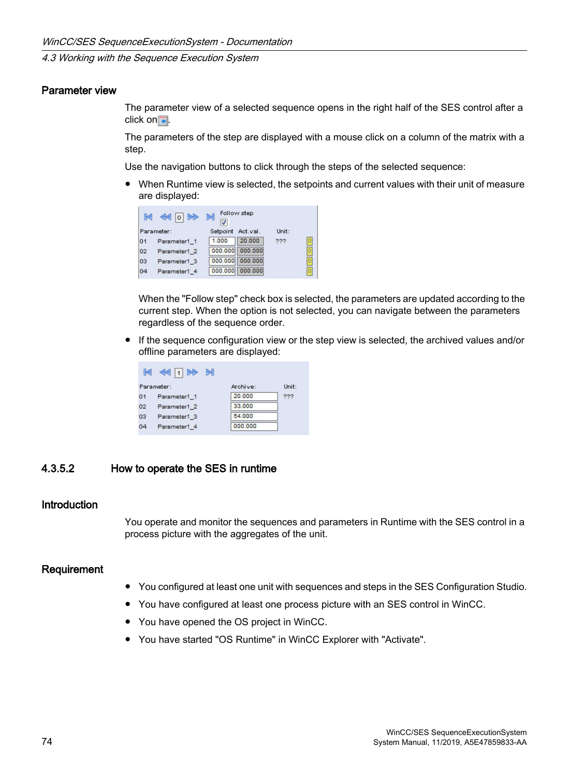#### <span id="page-73-0"></span>Parameter view

The parameter view of a selected sequence opens in the right half of the SES control after a click on  $\blacksquare$ .

The parameters of the step are displayed with a mouse click on a column of the matrix with a step.

Use the navigation buttons to click through the steps of the selected sequence:

● When Runtime view is selected, the setpoints and current values with their unit of measure are displayed:

|    | $\Omega$<br>⋘           | $\overline{a}$    | Follow step |       |  |
|----|-------------------------|-------------------|-------------|-------|--|
|    | Parameter:              | Setpoint Act.val. |             | Unit: |  |
| 01 | Parameter1 1            | 1.000             | 20.000      | 222   |  |
| 02 | Parameter1 <sub>2</sub> | 000.000           | 000.000     |       |  |
| 03 | Parameter1 3            | 000.000           | 000,000     |       |  |
| 04 | Parameter1 4            | 000.000           | 000.000     |       |  |

When the "Follow step" check box is selected, the parameters are updated according to the current step. When the option is not selected, you can navigate between the parameters regardless of the sequence order.

If the sequence configuration view or the step view is selected, the archived values and/or offline parameters are displayed:

|    | MAIN         |          |       |
|----|--------------|----------|-------|
|    | Parameter:   | Archive: | Unit: |
| 01 | Parameter1 1 | 20,000   | 777   |
| 02 | Parameter1 2 | 33,000   |       |
| 03 | Parameter1 3 | 54,000   |       |
| 04 | Parameter1 4 | 000.000  |       |

### 4.3.5.2 How to operate the SES in runtime

### Introduction

You operate and monitor the sequences and parameters in Runtime with the SES control in a process picture with the aggregates of the unit.

#### Requirement

- You configured at least one unit with sequences and steps in the SES Configuration Studio.
- You have configured at least one process picture with an SES control in WinCC.
- You have opened the OS project in WinCC.
- You have started "OS Runtime" in WinCC Explorer with "Activate".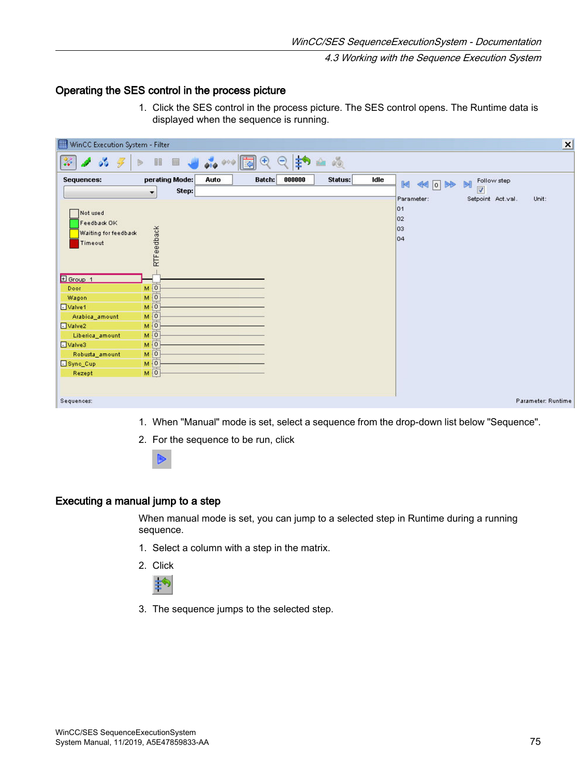#### <span id="page-74-0"></span>Operating the SES control in the process picture

1. Click the SES control in the process picture. The SES control opens. The Runtime data is displayed when the sequence is running.

| WinCC Execution System - Filter                                                                                                                                                                                    |                                                                                                                                                                                                                                                                                        | $\mathbf{x}$                                                                                          |
|--------------------------------------------------------------------------------------------------------------------------------------------------------------------------------------------------------------------|----------------------------------------------------------------------------------------------------------------------------------------------------------------------------------------------------------------------------------------------------------------------------------------|-------------------------------------------------------------------------------------------------------|
| ŵ<br>F<br>$\mathcal{L}$                                                                                                                                                                                            | ES.<br>嘀<br>$^{\circledR}$<br>$\sqrt{2}$<br>Θ<br>m<br>$414 - 400$<br>$\mathbb{R}$                                                                                                                                                                                                      |                                                                                                       |
| Sequences:<br>Not used<br>Feedback OK<br>Waiting for feedback<br>Timeout<br>El Group 1<br>Door<br>Wagon<br>Valve1<br>Arabica_amount<br>Valve2<br>Liberica_amount<br>Valve3<br>Robusta_amount<br>Sync_Cup<br>Rezept | perating Mode:<br>000000<br>Auto<br><b>Batch:</b><br>Status:<br>Idle<br>Step:<br>▼<br>RTFeedback<br>M <sub>0</sub><br>M <sub>0</sub><br>$M$ <sup>0</sup><br>M <sub>0</sub><br>M <sub>0</sub><br>M <sub>0</sub><br>M <sub>0</sub><br>M <sub>0</sub><br>M <sub>0</sub><br>M <sub>0</sub> | Follow step<br>N<br>M<br>400<br>⊽<br>Setpoint Act.val.<br>Unit:<br>Parameter:<br>01<br>02<br>03<br>04 |
| Sequences:                                                                                                                                                                                                         |                                                                                                                                                                                                                                                                                        | Parameter: Runtime                                                                                    |
|                                                                                                                                                                                                                    |                                                                                                                                                                                                                                                                                        |                                                                                                       |

- 1. When "Manual" mode is set, select a sequence from the drop-down list below "Sequence".
- 2. For the sequence to be run, click



#### Executing a manual jump to a step

When manual mode is set, you can jump to a selected step in Runtime during a running sequence.

- 1. Select a column with a step in the matrix.
- 2. Click



3. The sequence jumps to the selected step.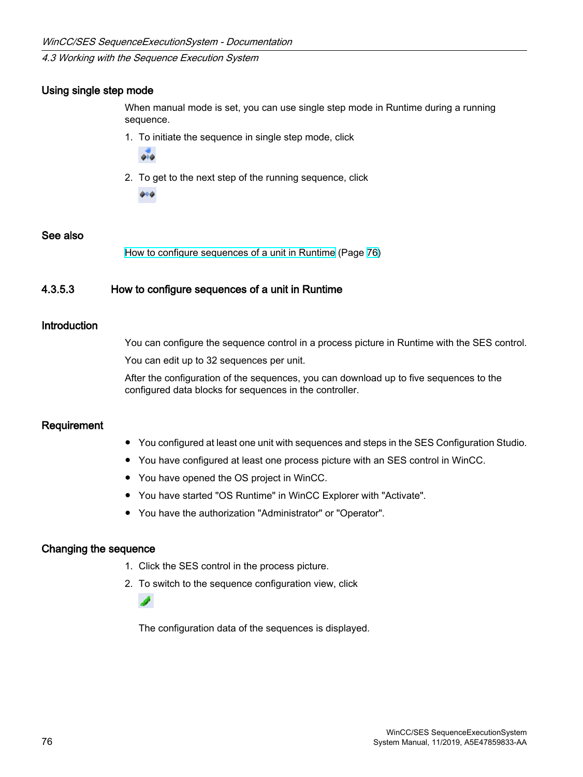#### <span id="page-75-0"></span>Using single step mode

When manual mode is set, you can use single step mode in Runtime during a running sequence.

1. To initiate the sequence in single step mode, click



2. To get to the next step of the running sequence, click

 $4 + 4$ 

#### See also

How to configure sequences of a unit in Runtime (Page 76)

#### 4.3.5.3 How to configure sequences of a unit in Runtime

#### Introduction

You can configure the sequence control in a process picture in Runtime with the SES control.

You can edit up to 32 sequences per unit.

After the configuration of the sequences, you can download up to five sequences to the configured data blocks for sequences in the controller.

#### Requirement

- You configured at least one unit with sequences and steps in the SES Configuration Studio.
- You have configured at least one process picture with an SES control in WinCC.
- You have opened the OS project in WinCC.
- You have started "OS Runtime" in WinCC Explorer with "Activate".
- You have the authorization "Administrator" or "Operator".

#### Changing the sequence

- 1. Click the SES control in the process picture.
- 2. To switch to the sequence configuration view, click

The configuration data of the sequences is displayed.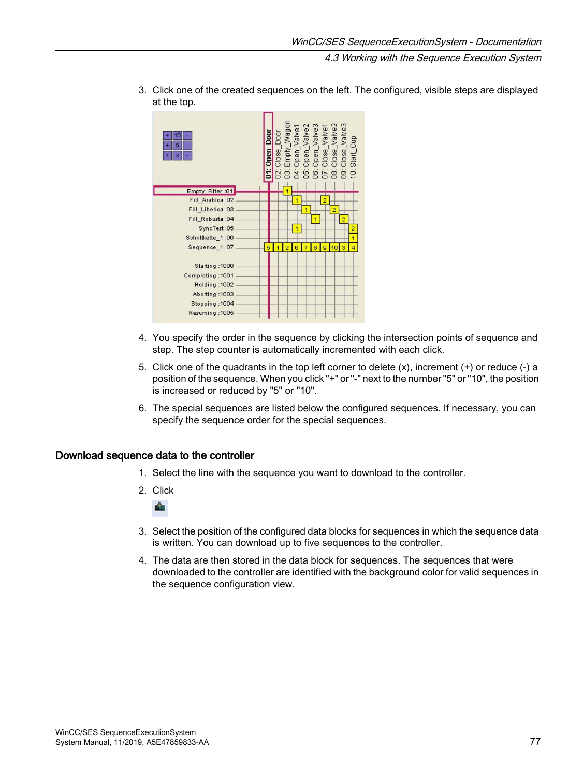- 02: Close\_Door<br>- 03: Empty\_Wagon<br>- 04: Open\_Valwe1<br>- 05: Open\_Valwe3<br>- 06: Open\_Valwe1<br>- 06: Close\_Valwe2 Empty\_Wagon **Deer** å **Of: Open** Close Start (  $\ddot{g}$  $\ddot{\sigma}$ Empty Filter :01 Fill\_Arabica :02 Fill\_Liberica :03 Fill\_Robusta :04 SyncTest:05  $\overline{1}$ Schrittkette\_1:06 Sequence\_1:07 =  $-5$  1 2 6 7 8 9 Starting: 1000 Completing: 1001 Holding: 1002 Aborting: 1003 Stopping: 1004 Resuming : 1005
- <span id="page-76-0"></span>3. Click one of the created sequences on the left. The configured, visible steps are displayed at the top.

- 4. You specify the order in the sequence by clicking the intersection points of sequence and step. The step counter is automatically incremented with each click.
- 5. Click one of the quadrants in the top left corner to delete  $(x)$ , increment  $(+)$  or reduce  $(-)$  a position of the sequence. When you click "+" or "-" next to the number "5" or "10", the position is increased or reduced by "5" or "10".
- 6. The special sequences are listed below the configured sequences. If necessary, you can specify the sequence order for the special sequences.

#### Download sequence data to the controller

- 1. Select the line with the sequence you want to download to the controller.
- 2. Click



- 3. Select the position of the configured data blocks for sequences in which the sequence data is written. You can download up to five sequences to the controller.
- 4. The data are then stored in the data block for sequences. The sequences that were downloaded to the controller are identified with the background color for valid sequences in the sequence configuration view.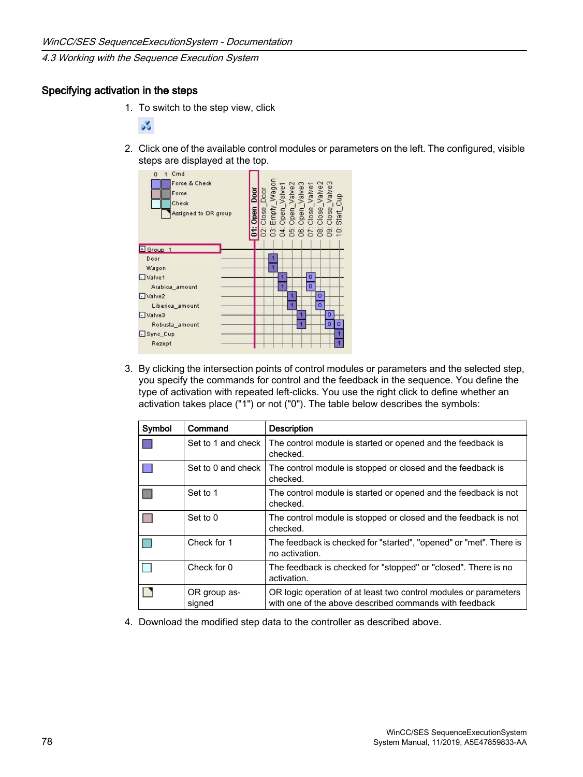### <span id="page-77-0"></span>Specifying activation in the steps

1. To switch to the step view, click

8

2. Click one of the available control modules or parameters on the left. The configured, visible steps are displayed at the top.

| Cmd<br>0<br>Force & Check<br>Force<br>Check<br>Assigned to OR group | Close_Door<br>Empt_Wagon<br>Copen_Valve1<br>Copen_Valve2<br>Copen_Valve3<br>Close_Valve2<br>Close_Valve3<br>01: Open Door<br>10: Start_Cup<br>$\ddot{\rm s}$<br>$\tilde{\mathbf{C}}$<br><b>88</b><br>$\overline{04}$<br>ġ<br>$\ddot{\mathbf{g}}$<br>b. |
|---------------------------------------------------------------------|--------------------------------------------------------------------------------------------------------------------------------------------------------------------------------------------------------------------------------------------------------|
| El Group 1                                                          |                                                                                                                                                                                                                                                        |
| Door                                                                |                                                                                                                                                                                                                                                        |
| Wagon                                                               | 1                                                                                                                                                                                                                                                      |
| Valve1                                                              | ο                                                                                                                                                                                                                                                      |
| Arabica_amount                                                      | o                                                                                                                                                                                                                                                      |
| Valve2                                                              | o                                                                                                                                                                                                                                                      |
| Liberica_amount                                                     | o                                                                                                                                                                                                                                                      |
| Valve3                                                              | o<br>1                                                                                                                                                                                                                                                 |
| Robusta_amount                                                      | $\overline{0}$<br>1<br>о                                                                                                                                                                                                                               |
| Sync Cup                                                            |                                                                                                                                                                                                                                                        |
| Rezept                                                              |                                                                                                                                                                                                                                                        |

3. By clicking the intersection points of control modules or parameters and the selected step, you specify the commands for control and the feedback in the sequence. You define the type of activation with repeated left-clicks. You use the right click to define whether an activation takes place ("1") or not ("0"). The table below describes the symbols:

| Symbol | Command                | <b>Description</b>                                                                                                         |
|--------|------------------------|----------------------------------------------------------------------------------------------------------------------------|
|        | Set to 1 and check     | The control module is started or opened and the feedback is<br>checked.                                                    |
|        | Set to 0 and check     | The control module is stopped or closed and the feedback is<br>checked.                                                    |
|        | Set to 1               | The control module is started or opened and the feedback is not<br>checked.                                                |
|        | Set to 0               | The control module is stopped or closed and the feedback is not<br>checked.                                                |
|        | Check for 1            | The feedback is checked for "started", "opened" or "met". There is<br>no activation.                                       |
|        | Check for 0            | The feedback is checked for "stopped" or "closed". There is no<br>activation.                                              |
|        | OR group as-<br>signed | OR logic operation of at least two control modules or parameters<br>with one of the above described commands with feedback |

4. Download the modified step data to the controller as described above.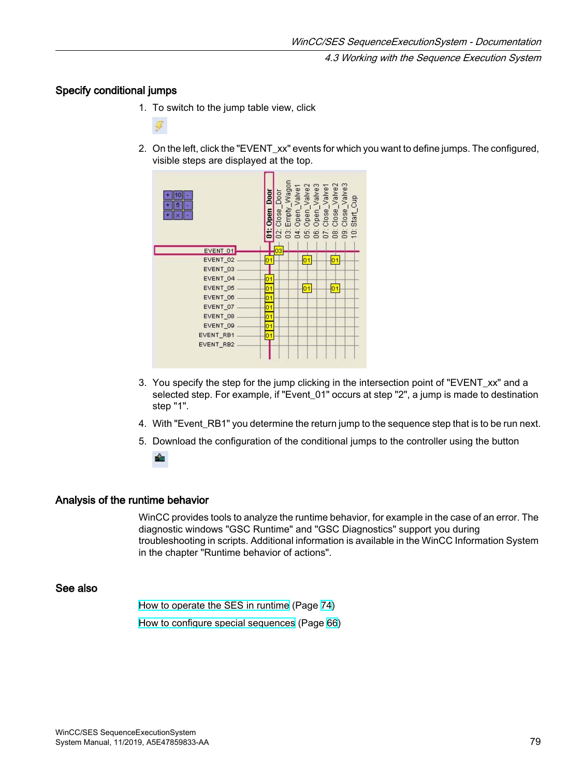### <span id="page-78-0"></span>Specify conditional jumps

- 1. To switch to the jump table view, click
	-
- 2. On the left, click the "EVENT\_xx" events for which you want to define jumps. The configured, visible steps are displayed at the top.

| л         | 01: Open Door<br>Close_Door<br>$\ddot{0}$<br>$\tilde{\mathbf{2}}$ | Empt_Wagon<br>Coen_Valve1<br>Coen_Valve2<br>Coen_Valve3<br>Close_Valve2<br>Close_Valve2<br>Close_Valve3<br>04:<br>$\ddot{6}$<br>$\ddot{S}$ | Start_Cup<br>10 <sub>i</sub><br>ġ<br>$07$ :<br>ġ |
|-----------|-------------------------------------------------------------------|--------------------------------------------------------------------------------------------------------------------------------------------|--------------------------------------------------|
| EVENT 01  | 03                                                                |                                                                                                                                            |                                                  |
| EVENT_02  |                                                                   | 01                                                                                                                                         | 01                                               |
| EVENT_03  |                                                                   |                                                                                                                                            |                                                  |
| EVENT_04  | 01                                                                |                                                                                                                                            |                                                  |
| EVENT_05  | 01                                                                | 01                                                                                                                                         | 01                                               |
| EVENT_06  | 01                                                                |                                                                                                                                            |                                                  |
| EVENT_07  | O1                                                                |                                                                                                                                            |                                                  |
| EVENT_08  | 01                                                                |                                                                                                                                            |                                                  |
| EVENT_09  | 01                                                                |                                                                                                                                            |                                                  |
| EVENT_RB1 | 01                                                                |                                                                                                                                            |                                                  |
| EVENT_RB2 |                                                                   |                                                                                                                                            |                                                  |
|           |                                                                   |                                                                                                                                            |                                                  |

 $\blacksquare$ 

- 3. You specify the step for the jump clicking in the intersection point of "EVENT\_xx" and a selected step. For example, if "Event\_01" occurs at step "2", a jump is made to destination step "1".
- 4. With "Event\_RB1" you determine the return jump to the sequence step that is to be run next.
- 5. Download the configuration of the conditional jumps to the controller using the button



#### Analysis of the runtime behavior

WinCC provides tools to analyze the runtime behavior, for example in the case of an error. The diagnostic windows "GSC Runtime" and "GSC Diagnostics" support you during troubleshooting in scripts. Additional information is available in the WinCC Information System in the chapter "Runtime behavior of actions".

#### See also

[How to operate the SES in runtime](#page-73-0) (Page [74](#page-73-0)) [How to configure special sequences](#page-65-0) (Page [66](#page-65-0))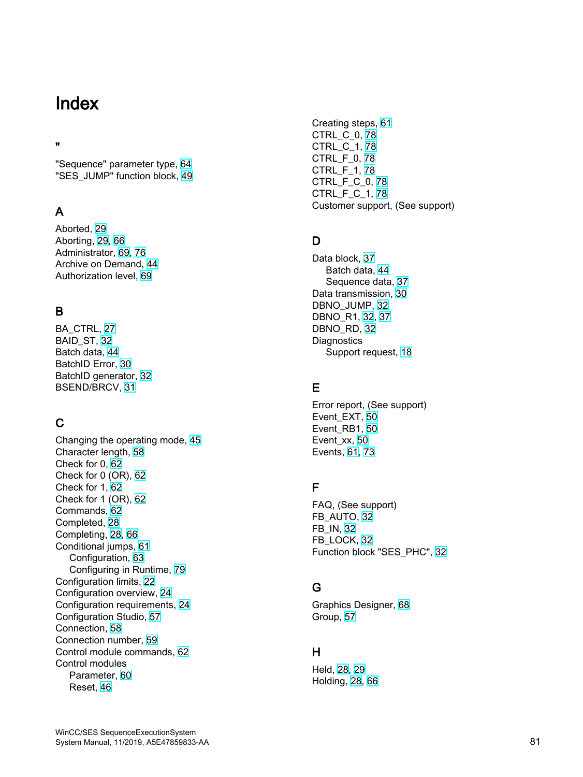# Index

#### "

"Sequence" parameter type, [64](#page-63-0) "SES\_JUMP" function block, [49](#page-48-0)

### A

Aborted, [29](#page-28-0) Aborting, [29,](#page-28-0) [66](#page-65-0) Administrator, [69](#page-68-0), [76](#page-75-0) Archive on Demand, [44](#page-43-0) Authorization level, [69](#page-68-0)

# B

BA\_CTRL, [27](#page-26-0) BAID\_ST, [32](#page-31-0) Batch data, [44](#page-43-0) BatchID Error, [30](#page-29-0) BatchID generator, [32](#page-31-0) BSEND/BRCV, [31](#page-30-0)

# $\mathbf C$

Changing the operating mode, [45](#page-44-0) Character length, [58](#page-57-0) Check for 0, [62](#page-61-0) Check for 0 (OR), [62](#page-61-0) Check for 1, [62](#page-61-0) Check for 1 (OR), [62](#page-61-0) Commands, [62](#page-61-0) Completed, [28](#page-27-0) Completing, [28,](#page-27-0) [66](#page-65-0) Conditional jumps, [61](#page-60-0) Configuration, [63](#page-62-0) Configuring in Runtime, [79](#page-78-0) Configuration limits, [22](#page-21-0) Configuration overview, [24](#page-23-0) Configuration requirements, [24](#page-23-0) Configuration Studio, [57](#page-56-0) Connection, [58](#page-57-0) Connection number, [59](#page-58-0) Control module commands, [62](#page-61-0) Control modules Parameter, [60](#page-59-0) Reset, [46](#page-45-0)

Creating steps, [61](#page-60-0) CTRL\_C\_0, [78](#page-77-0) CTRL\_C\_1, [78](#page-77-0) CTRL\_F\_0, [78](#page-77-0) CTRL\_F\_1, [78](#page-77-0) CTRL\_F\_C\_0, [78](#page-77-0) CTRL\_F\_C\_1, [78](#page-77-0) Customer support, (See support)

### D

Data block, [37](#page-36-0) Batch data, [44](#page-43-0) Sequence data, [37](#page-36-0) Data transmission, [30](#page-29-0) DBNO\_JUMP, [32](#page-31-0) DBNO\_R1, [32](#page-31-0), [37](#page-36-0) DBNO\_RD, [32](#page-31-0) **Diagnostics** Support request, [18](#page-17-0)

### E

Error report, (See support) Event\_EXT, [50](#page-49-0) Event RB1, [50](#page-49-0) Event\_xx, [50](#page-49-0) Events, [61](#page-60-0), [73](#page-72-0)

# F

FAQ, (See support) FB\_AUTO, [32](#page-31-0) FB\_IN, [32](#page-31-0) FB\_LOCK, [32](#page-31-0) Function block "SES\_PHC", [32](#page-31-0)

### G

Graphics Designer, [68](#page-67-0) Group, [57](#page-56-0)

### H

Held, [28](#page-27-0), [29](#page-28-0) Holding, [28](#page-27-0), [66](#page-65-0)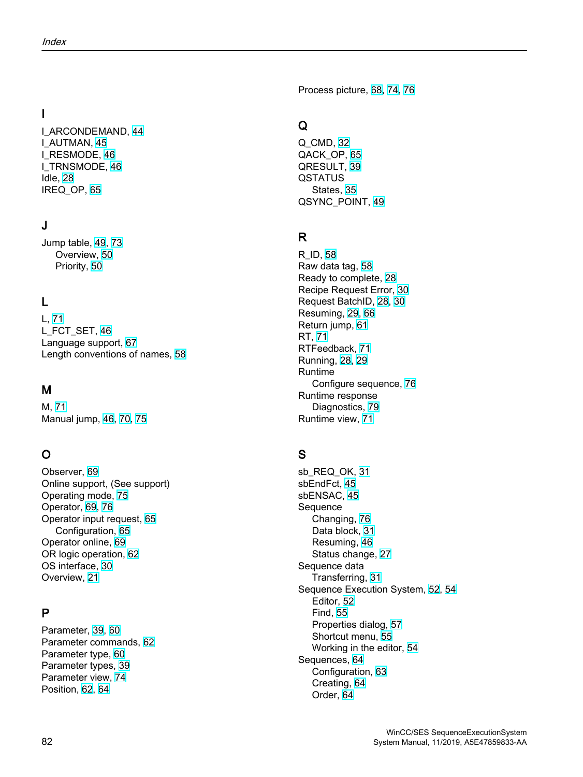# I

I\_ARCONDEMAND, [44](#page-43-0) I\_AUTMAN, [45](#page-44-0) I\_RESMODE, [46](#page-45-0) I\_TRNSMODE, [46](#page-45-0) Idle, [28](#page-27-0) IREQ\_OP, [65](#page-64-0)

# J

Jump table, [49](#page-48-0), [73](#page-72-0) Overview, [50](#page-49-0) Priority, [50](#page-49-0)

### L

L, [71](#page-70-0) L\_FCT\_SET, [46](#page-45-0) Language support, [67](#page-66-0) Length conventions of names, [58](#page-57-0)

### M

M, [71](#page-70-0) Manual jump, [46](#page-45-0), [70](#page-69-0), [75](#page-74-0)

### O

Observer, [69](#page-68-0) Online support, (See support) Operating mode, [75](#page-74-0) Operator, [69,](#page-68-0) [76](#page-75-0) Operator input request, [65](#page-64-0) Configuration, [65](#page-64-0) Operator online, [69](#page-68-0) OR logic operation, [62](#page-61-0) OS interface, [30](#page-29-0) Overview, [21](#page-20-0)

### P

Parameter, [39,](#page-38-0) [60](#page-59-0) Parameter commands, [62](#page-61-0) Parameter type, [60](#page-59-0) Parameter types, [39](#page-38-0) Parameter view, [74](#page-73-0) Position, [62,](#page-61-0) [64](#page-63-0)

Process picture, [68](#page-67-0), [74](#page-73-0), [76](#page-75-0)

# Q

Q\_CMD, [32](#page-31-0) QACK\_OP, [65](#page-64-0) QRESULT, [39](#page-38-0) QSTATUS States, [35](#page-34-0) QSYNC\_POINT, [49](#page-48-0)

# R

R\_ID, [58](#page-57-0) Raw data tag, [58](#page-57-0) Ready to complete, [28](#page-27-0) Recipe Request Error, [30](#page-29-0) Request BatchID, [28,](#page-27-0) [30](#page-29-0) Resuming, [29](#page-28-0), [66](#page-65-0) Return jump, [61](#page-60-0) RT, [71](#page-70-0) RTFeedback, [71](#page-70-0) Running, [28,](#page-27-0) [29](#page-28-0) Runtime Configure sequence, [76](#page-75-0) Runtime response Diagnostics, [79](#page-78-0) Runtime view, [71](#page-70-0)

# S

sb\_REQ\_OK, [31](#page-30-0) sbEndFct, [45](#page-44-0) sbENSAC, [45](#page-44-0) Sequence Changing, [76](#page-75-0) Data block, [31](#page-30-0) Resuming, [46](#page-45-0) Status change, [27](#page-26-0) Sequence data Transferring, [31](#page-30-0) Sequence Execution System, [52](#page-51-0), [54](#page-53-0) Editor, [52](#page-51-0) Find, [55](#page-54-0) Properties dialog, [57](#page-56-0) Shortcut menu, [55](#page-54-0) Working in the editor, [54](#page-53-0) Sequences, [64](#page-63-0) Configuration, [63](#page-62-0) Creating, [64](#page-63-0) Order, [64](#page-63-0)